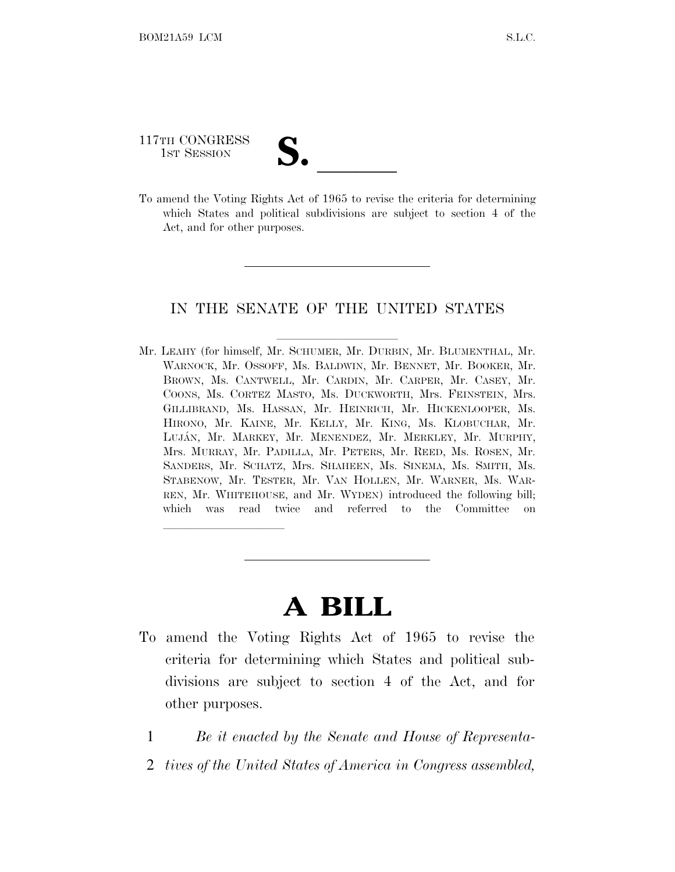117TH CONGRESS 117TH CONGRESS<br>
1ST SESSION<br>
To amend the Voting Rights Act of 1965 to revise the criteria for determining

lland and a state of the state of the state of the state of the state of the state of the state of the state o

which States and political subdivisions are subject to section 4 of the Act, and for other purposes.

### IN THE SENATE OF THE UNITED STATES

Mr. LEAHY (for himself, Mr. SCHUMER, Mr. DURBIN, Mr. BLUMENTHAL, Mr. WARNOCK, Mr. OSSOFF, Ms. BALDWIN, Mr. BENNET, Mr. BOOKER, Mr. BROWN, Ms. CANTWELL, Mr. CARDIN, Mr. CARPER, Mr. CASEY, Mr. COONS, Ms. CORTEZ MASTO, Ms. DUCKWORTH, Mrs. FEINSTEIN, Mrs. GILLIBRAND, Ms. HASSAN, Mr. HEINRICH, Mr. HICKENLOOPER, Ms. HIRONO, Mr. KAINE, Mr. KELLY, Mr. KING, Ms. KLOBUCHAR, Mr. LUJA´N, Mr. MARKEY, Mr. MENENDEZ, Mr. MERKLEY, Mr. MURPHY, Mrs. MURRAY, Mr. PADILLA, Mr. PETERS, Mr. REED, Ms. ROSEN, Mr. SANDERS, Mr. SCHATZ, Mrs. SHAHEEN, Ms. SINEMA, Ms. SMITH, Ms. STABENOW, Mr. TESTER, Mr. VAN HOLLEN, Mr. WARNER, Ms. WAR-REN, Mr. WHITEHOUSE, and Mr. WYDEN) introduced the following bill; which was read twice and referred to the Committee on

## **A BILL**

- To amend the Voting Rights Act of 1965 to revise the criteria for determining which States and political subdivisions are subject to section 4 of the Act, and for other purposes.
	- 1 *Be it enacted by the Senate and House of Representa-*
	- 2 *tives of the United States of America in Congress assembled,*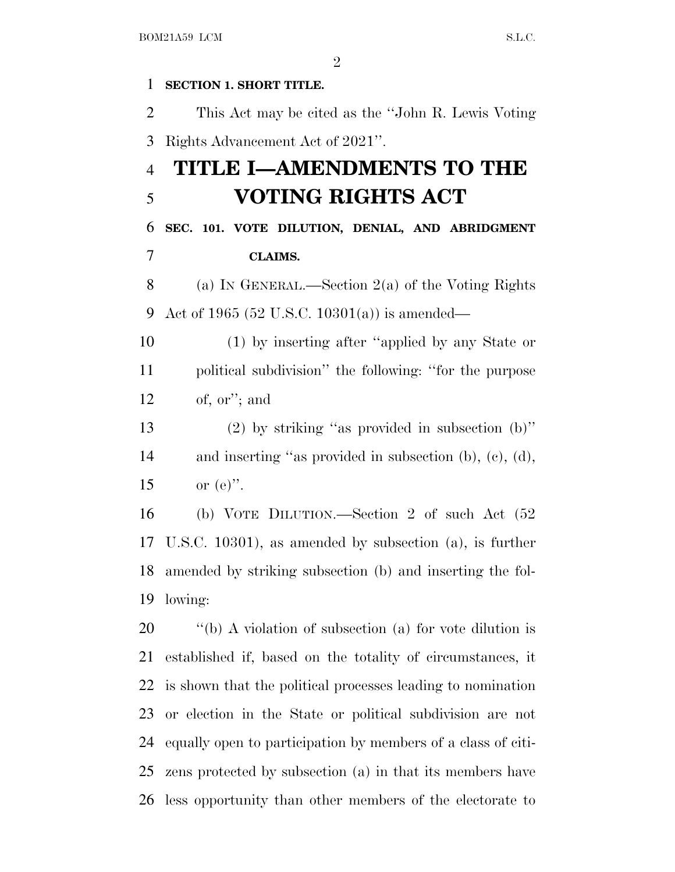**SECTION 1. SHORT TITLE.** This Act may be cited as the ''John R. Lewis Voting Rights Advancement Act of 2021''. **TITLE I—AMENDMENTS TO THE VOTING RIGHTS ACT SEC. 101. VOTE DILUTION, DENIAL, AND ABRIDGMENT CLAIMS.** (a) I<sup>N</sup> GENERAL.—Section 2(a) of the Voting Rights Act of 1965 (52 U.S.C. 10301(a)) is amended— (1) by inserting after ''applied by any State or political subdivision'' the following: ''for the purpose of, or''; and (2) by striking ''as provided in subsection (b)'' and inserting ''as provided in subsection (b), (c), (d), 15 or  $(e)$ ". (b) VOTE DILUTION.—Section 2 of such Act (52 U.S.C. 10301), as amended by subsection (a), is further amended by striking subsection (b) and inserting the fol- lowing:  $\qquad$  "(b) A violation of subsection (a) for vote dilution is established if, based on the totality of circumstances, it is shown that the political processes leading to nomination or election in the State or political subdivision are not equally open to participation by members of a class of citi-zens protected by subsection (a) in that its members have

less opportunity than other members of the electorate to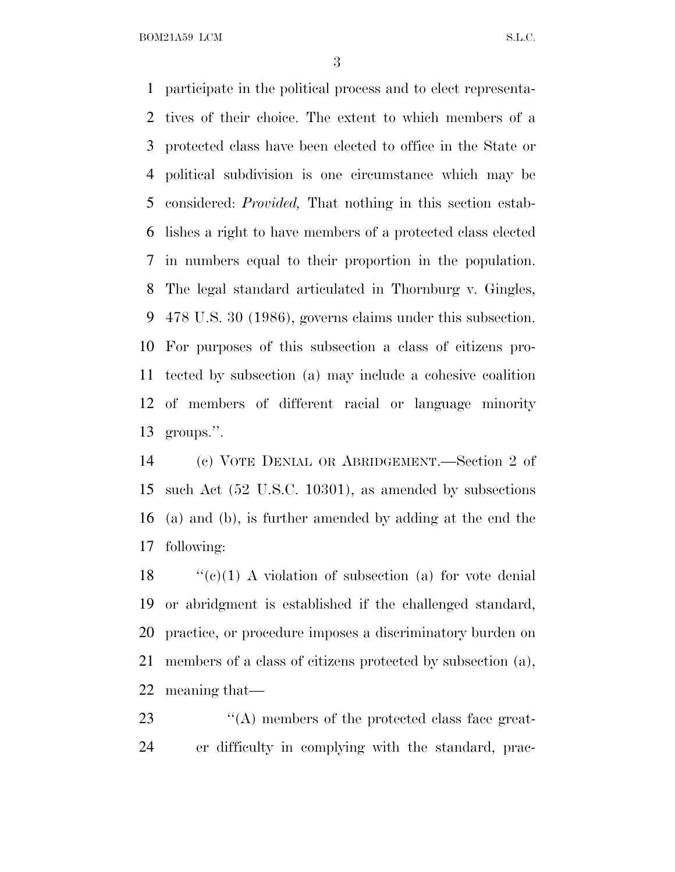BOM21A59 LCM S.L.C.

 participate in the political process and to elect representa- tives of their choice. The extent to which members of a protected class have been elected to office in the State or political subdivision is one circumstance which may be considered: *Provided,* That nothing in this section estab- lishes a right to have members of a protected class elected in numbers equal to their proportion in the population. The legal standard articulated in Thornburg v. Gingles, 478 U.S. 30 (1986), governs claims under this subsection. For purposes of this subsection a class of citizens pro- tected by subsection (a) may include a cohesive coalition of members of different racial or language minority groups.''.

 (c) VOTE DENIAL OR ABRIDGEMENT.—Section 2 of such Act (52 U.S.C. 10301), as amended by subsections (a) and (b), is further amended by adding at the end the following:

 $\langle (e)(1) \rangle$  A violation of subsection (a) for vote denial or abridgment is established if the challenged standard, practice, or procedure imposes a discriminatory burden on members of a class of citizens protected by subsection (a), meaning that—

23  $\langle A \rangle$  members of the protected class face great-er difficulty in complying with the standard, prac-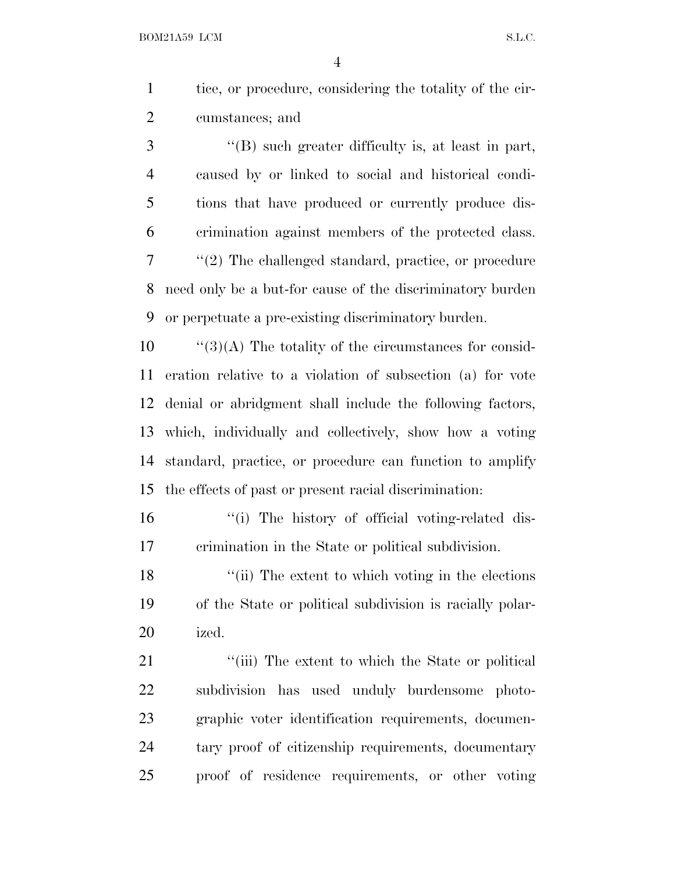tice, or procedure, considering the totality of the cir-cumstances; and

 ''(B) such greater difficulty is, at least in part, caused by or linked to social and historical condi- tions that have produced or currently produce dis- crimination against members of the protected class. ''(2) The challenged standard, practice, or procedure need only be a but-for cause of the discriminatory burden or perpetuate a pre-existing discriminatory burden.

 ''(3)(A) The totality of the circumstances for consid- eration relative to a violation of subsection (a) for vote denial or abridgment shall include the following factors, which, individually and collectively, show how a voting standard, practice, or procedure can function to amplify the effects of past or present racial discrimination:

16 ''(i) The history of official voting-related dis-crimination in the State or political subdivision.

18 ''(ii) The extent to which voting in the elections of the State or political subdivision is racially polar-ized.

21 ''(iii) The extent to which the State or political subdivision has used unduly burdensome photo- graphic voter identification requirements, documen- tary proof of citizenship requirements, documentary proof of residence requirements, or other voting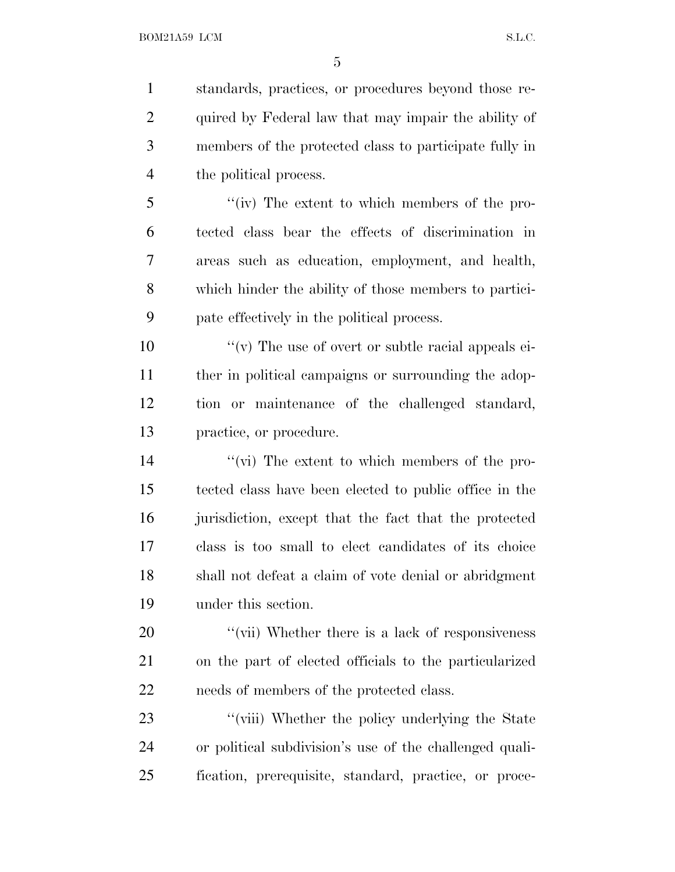standards, practices, or procedures beyond those re- quired by Federal law that may impair the ability of members of the protected class to participate fully in the political process.

 ''(iv) The extent to which members of the pro- tected class bear the effects of discrimination in areas such as education, employment, and health, which hinder the ability of those members to partici-pate effectively in the political process.

 $\gamma$  (v) The use of overt or subtle racial appeals ei-11 ther in political campaigns or surrounding the adop- tion or maintenance of the challenged standard, practice, or procedure.

 ''(vi) The extent to which members of the pro- tected class have been elected to public office in the jurisdiction, except that the fact that the protected class is too small to elect candidates of its choice shall not defeat a claim of vote denial or abridgment under this section.

20 "(vii) Whether there is a lack of responsiveness on the part of elected officials to the particularized needs of members of the protected class.

23 "(viii) Whether the policy underlying the State or political subdivision's use of the challenged quali-fication, prerequisite, standard, practice, or proce-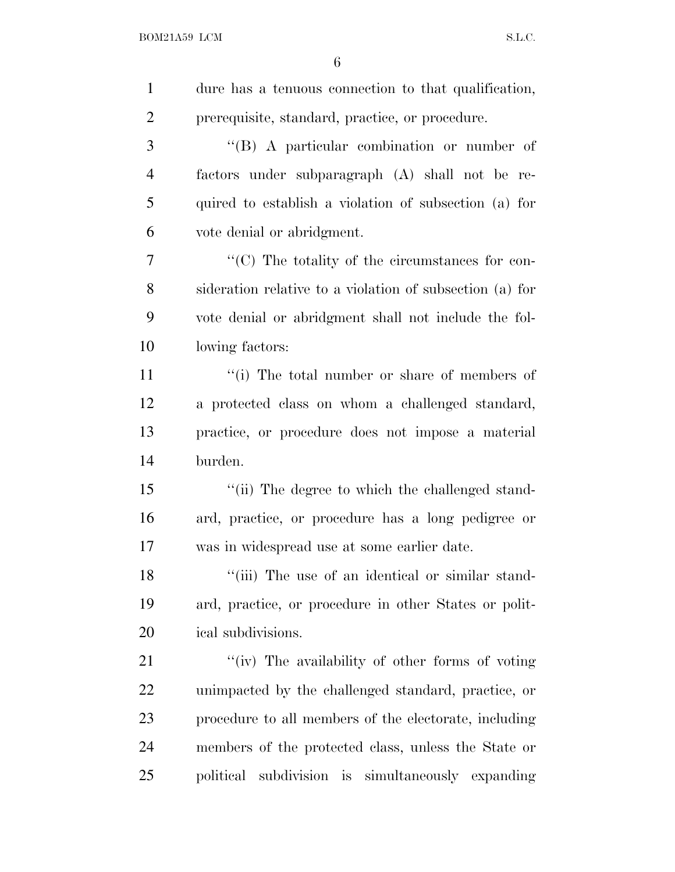| $\mathbf{1}$   | dure has a tenuous connection to that qualification,        |
|----------------|-------------------------------------------------------------|
| $\overline{2}$ | prerequisite, standard, practice, or procedure.             |
| 3              | "(B) A particular combination or number of                  |
| $\overline{4}$ | factors under subparagraph (A) shall not be re-             |
| 5              | quired to establish a violation of subsection (a) for       |
| 6              | vote denial or abridgment.                                  |
| 7              | $\cdot\cdot$ (C) The totality of the circumstances for con- |
| 8              | sideration relative to a violation of subsection (a) for    |
| 9              | vote denial or abridgment shall not include the fol-        |
| 10             | lowing factors:                                             |
| 11             | "(i) The total number or share of members of                |
| 12             | a protected class on whom a challenged standard,            |
| 13             | practice, or procedure does not impose a material           |
| 14             | burden.                                                     |
| 15             | "(ii) The degree to which the challenged stand-             |
| 16             | ard, practice, or procedure has a long pedigree or          |
| 17             | was in widespread use at some earlier date.                 |
| 18             | "(iii) The use of an identical or similar stand-            |
| 19             | ard, practice, or procedure in other States or polit-       |
| 20             | ical subdivisions.                                          |
| 21             | "(iv) The availability of other forms of voting             |
| <u>22</u>      | unimpacted by the challenged standard, practice, or         |
| 23             | procedure to all members of the electorate, including       |
| 24             | members of the protected class, unless the State or         |
| 25             | political subdivision is simultaneously expanding           |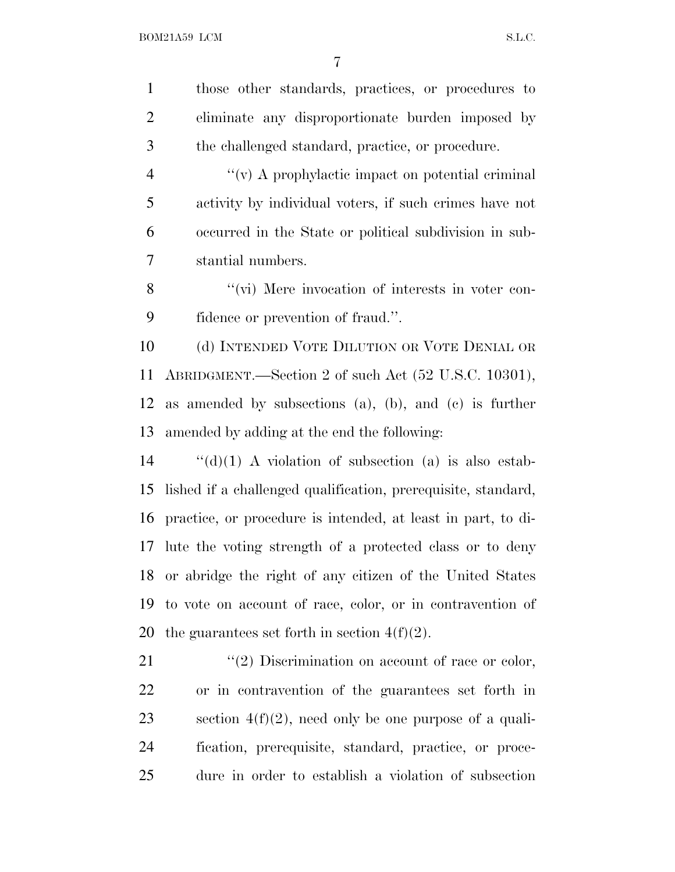those other standards, practices, or procedures to eliminate any disproportionate burden imposed by the challenged standard, practice, or procedure. ''(v) A prophylactic impact on potential criminal activity by individual voters, if such crimes have not occurred in the State or political subdivision in sub- stantial numbers. 8 "(vi) Mere invocation of interests in voter con- fidence or prevention of fraud.''. (d) INTENDED VOTE DILUTION OR VOTE DENIAL OR ABRIDGMENT.—Section 2 of such Act (52 U.S.C. 10301), as amended by subsections (a), (b), and (c) is further amended by adding at the end the following: ''(d)(1) A violation of subsection (a) is also estab- lished if a challenged qualification, prerequisite, standard, practice, or procedure is intended, at least in part, to di- lute the voting strength of a protected class or to deny or abridge the right of any citizen of the United States to vote on account of race, color, or in contravention of 20 the guarantees set forth in section  $4(f)(2)$ .  $(2)$  Discrimination on account of race or color, or in contravention of the guarantees set forth in 23 section  $4(f)(2)$ , need only be one purpose of a quali- fication, prerequisite, standard, practice, or proce-dure in order to establish a violation of subsection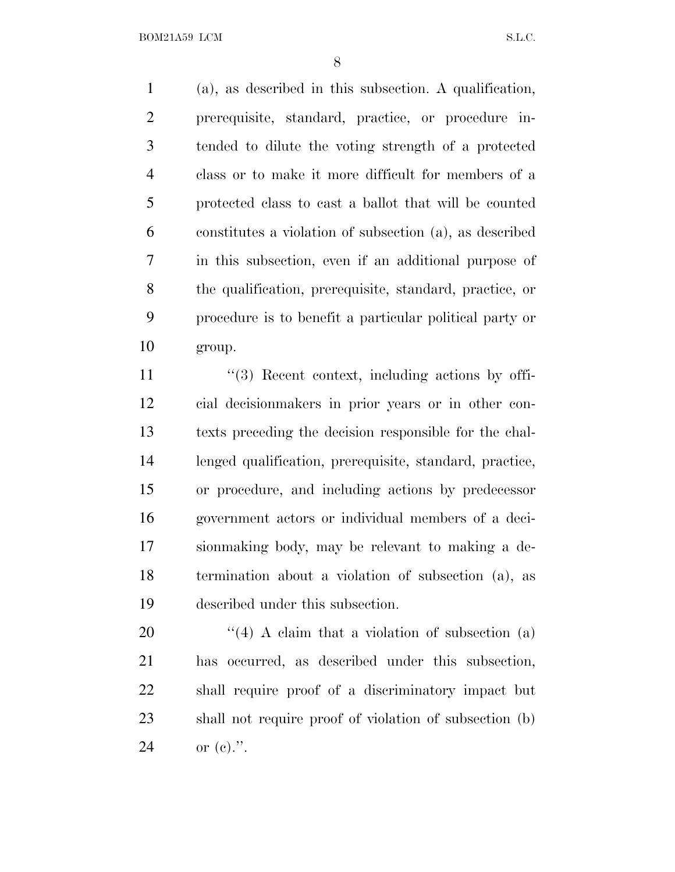BOM21A59 LCM S.L.C.

 (a), as described in this subsection. A qualification, prerequisite, standard, practice, or procedure in- tended to dilute the voting strength of a protected class or to make it more difficult for members of a protected class to cast a ballot that will be counted constitutes a violation of subsection (a), as described in this subsection, even if an additional purpose of the qualification, prerequisite, standard, practice, or procedure is to benefit a particular political party or group.

11 ''(3) Recent context, including actions by offi- cial decisionmakers in prior years or in other con- texts preceding the decision responsible for the chal- lenged qualification, prerequisite, standard, practice, or procedure, and including actions by predecessor government actors or individual members of a deci- sionmaking body, may be relevant to making a de- termination about a violation of subsection (a), as described under this subsection.

 $\frac{4}{4}$  A claim that a violation of subsection (a) has occurred, as described under this subsection, shall require proof of a discriminatory impact but shall not require proof of violation of subsection (b) or (c).''.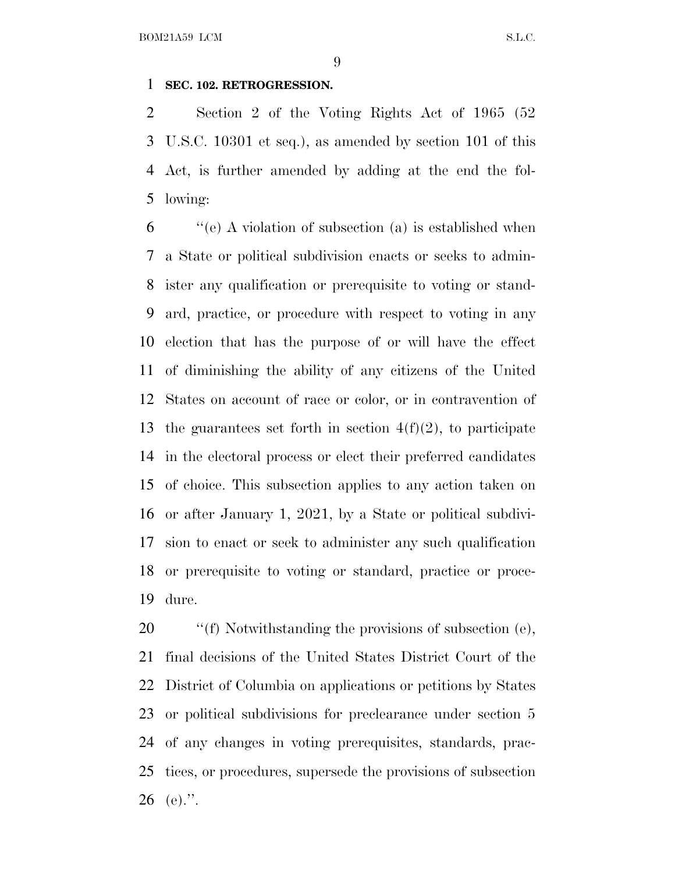#### **SEC. 102. RETROGRESSION.**

 Section 2 of the Voting Rights Act of 1965 (52 U.S.C. 10301 et seq.), as amended by section 101 of this Act, is further amended by adding at the end the fol-lowing:

 ''(e) A violation of subsection (a) is established when a State or political subdivision enacts or seeks to admin- ister any qualification or prerequisite to voting or stand- ard, practice, or procedure with respect to voting in any election that has the purpose of or will have the effect of diminishing the ability of any citizens of the United States on account of race or color, or in contravention of 13 the guarantees set forth in section  $4(f)(2)$ , to participate in the electoral process or elect their preferred candidates of choice. This subsection applies to any action taken on or after January 1, 2021, by a State or political subdivi- sion to enact or seek to administer any such qualification or prerequisite to voting or standard, practice or proce-dure.

 $\cdot$  ''(f) Notwithstanding the provisions of subsection (e), final decisions of the United States District Court of the District of Columbia on applications or petitions by States or political subdivisions for preclearance under section 5 of any changes in voting prerequisites, standards, prac- tices, or procedures, supersede the provisions of subsection 26 (e).".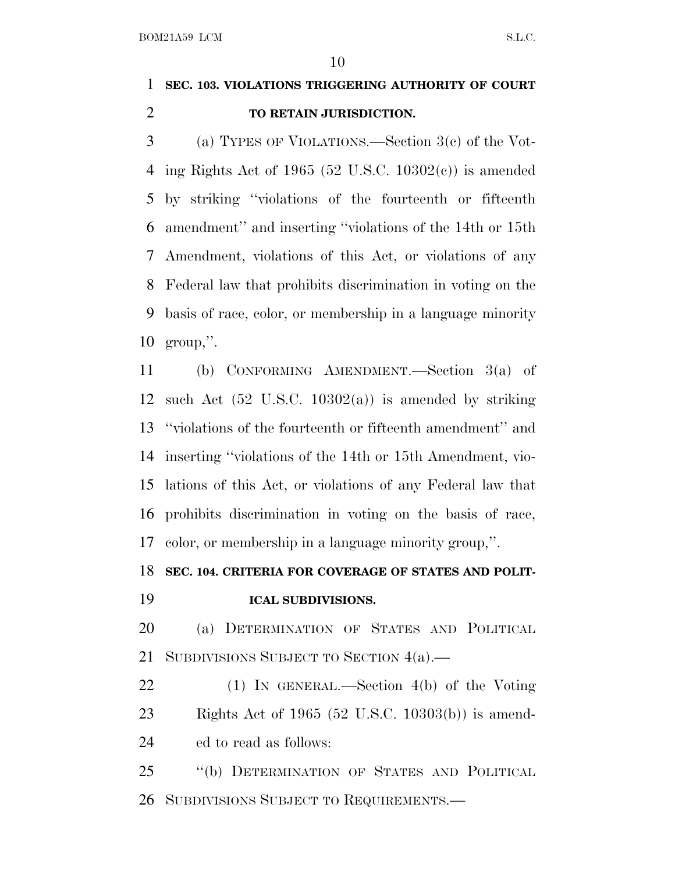### **SEC. 103. VIOLATIONS TRIGGERING AUTHORITY OF COURT TO RETAIN JURISDICTION.**

 (a) TYPES OF VIOLATIONS.—Section 3(c) of the Vot-4 ing Rights Act of 1965 (52 U.S.C. 10302 $(e)$ ) is amended by striking ''violations of the fourteenth or fifteenth amendment'' and inserting ''violations of the 14th or 15th Amendment, violations of this Act, or violations of any Federal law that prohibits discrimination in voting on the basis of race, color, or membership in a language minority group,''.

 (b) CONFORMING AMENDMENT.—Section 3(a) of 12 such Act  $(52 \text{ U.S.C. } 10302(a))$  is amended by striking ''violations of the fourteenth or fifteenth amendment'' and inserting ''violations of the 14th or 15th Amendment, vio- lations of this Act, or violations of any Federal law that prohibits discrimination in voting on the basis of race, color, or membership in a language minority group,''.

#### **SEC. 104. CRITERIA FOR COVERAGE OF STATES AND POLIT-**

**ICAL SUBDIVISIONS.**

### (a) DETERMINATION OF STATES AND POLITICAL 21 SUBDIVISIONS SUBJECT TO SECTION 4(a).

 (1) IN GENERAL.—Section 4(b) of the Voting Rights Act of 1965 (52 U.S.C. 10303(b)) is amend-ed to read as follows:

 ''(b) DETERMINATION OF STATES AND POLITICAL SUBDIVISIONS SUBJECT TO REQUIREMENTS.—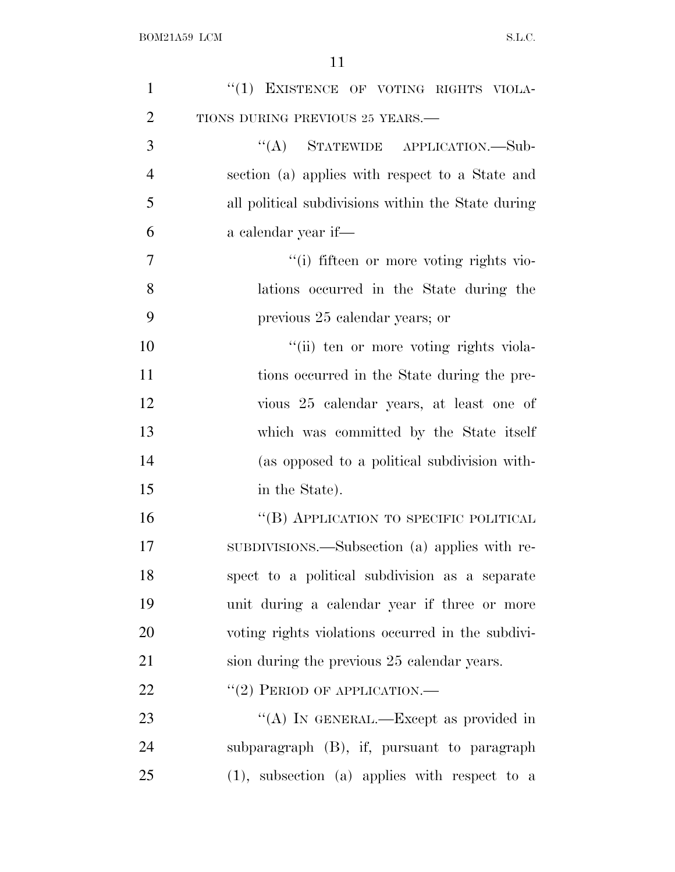| $\mathbf{1}$   | "(1) EXISTENCE OF VOTING RIGHTS VIOLA-             |
|----------------|----------------------------------------------------|
| $\overline{2}$ | TIONS DURING PREVIOUS 25 YEARS.-                   |
| 3              | "(A) STATEWIDE APPLICATION.—Sub-                   |
| $\overline{4}$ | section (a) applies with respect to a State and    |
| 5              | all political subdivisions within the State during |
| 6              | a calendar year if—                                |
| $\overline{7}$ | "(i) fifteen or more voting rights vio-            |
| 8              | lations occurred in the State during the           |
| 9              | previous 25 calendar years; or                     |
| 10             | "(ii) ten or more voting rights viola-             |
| 11             | tions occurred in the State during the pre-        |
| 12             | vious 25 calendar years, at least one of           |
| 13             | which was committed by the State itself            |
| 14             | (as opposed to a political subdivision with-       |
| 15             | in the State).                                     |
| 16             | "(B) APPLICATION TO SPECIFIC POLITICAL             |
| 17             | SUBDIVISIONS.—Subsection (a) applies with re-      |
| 18             | spect to a political subdivision as a separate     |
| 19             | unit during a calendar year if three or more       |
| 20             | voting rights violations occurred in the subdivi-  |
| 21             | sion during the previous 25 calendar years.        |
| 22             | $``(2)$ PERIOD OF APPLICATION.—                    |
| 23             | "(A) IN GENERAL.—Except as provided in             |
| 24             | subparagraph (B), if, pursuant to paragraph        |
| 25             | $(1)$ , subsection $(a)$ applies with respect to a |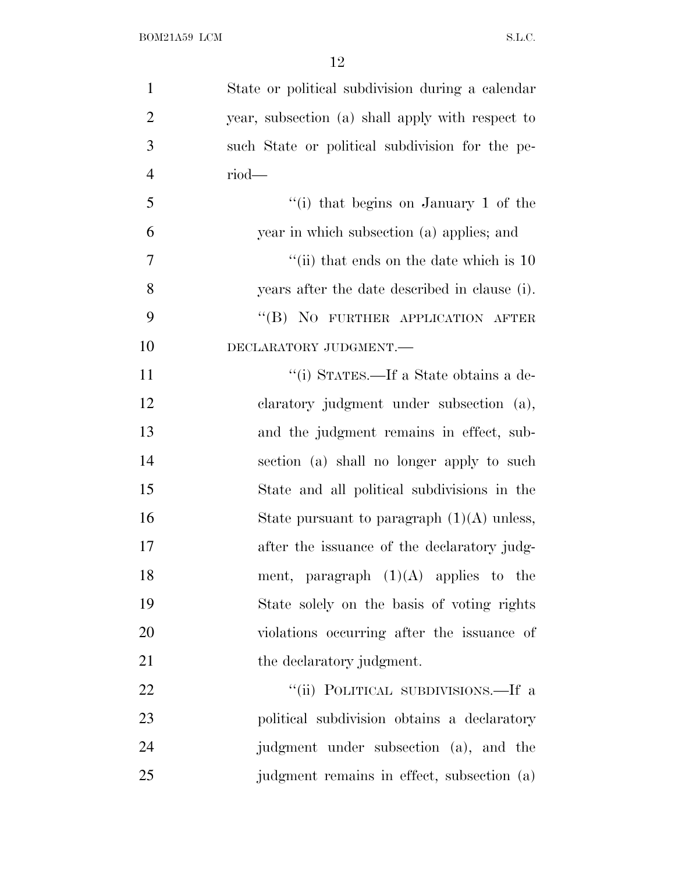| $\mathbf{1}$   | State or political subdivision during a calendar |
|----------------|--------------------------------------------------|
| $\overline{2}$ | year, subsection (a) shall apply with respect to |
| 3              | such State or political subdivision for the pe-  |
| $\overline{4}$ | $riod$ —                                         |
| 5              | "(i) that begins on January 1 of the             |
| 6              | year in which subsection (a) applies; and        |
| 7              | "(ii) that ends on the date which is $10$        |
| 8              | years after the date described in clause (i).    |
| 9              | "(B) NO FURTHER APPLICATION AFTER                |
| 10             | DECLARATORY JUDGMENT.-                           |
| 11             | "(i) STATES.—If a State obtains a de-            |
| 12             | claratory judgment under subsection (a),         |
| 13             | and the judgment remains in effect, sub-         |
| 14             | section (a) shall no longer apply to such        |
| 15             | State and all political subdivisions in the      |
| 16             | State pursuant to paragraph $(1)(A)$ unless,     |
| 17             | after the issuance of the declaratory judg-      |
| 18             | ment, paragraph $(1)(A)$ applies to the          |
| 19             | State solely on the basis of voting rights       |
| 20             | violations occurring after the issuance of       |
| 21             | the declaratory judgment.                        |
| 22             | "(ii) POLITICAL SUBDIVISIONS.—If a               |
| 23             | political subdivision obtains a declaratory      |
| 24             | judgment under subsection (a), and the           |
| 25             | judgment remains in effect, subsection (a)       |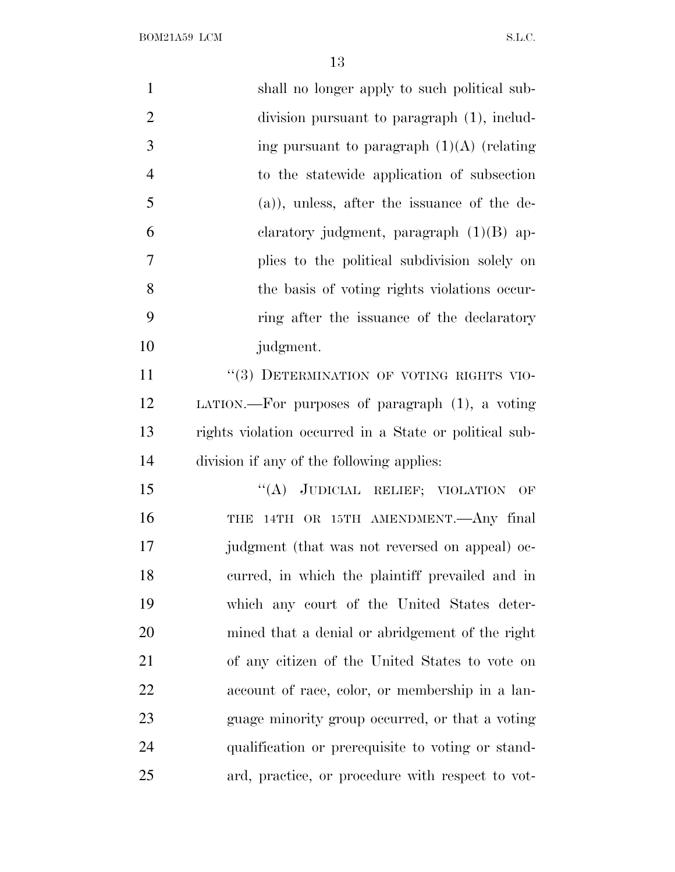$\begin{minipage}{.4\linewidth} \textbf{BOM21A59}\textbf{ LCM} \end{minipage}$ 

| $\mathbf{1}$   | shall no longer apply to such political sub-           |
|----------------|--------------------------------------------------------|
| $\overline{2}$ | division pursuant to paragraph (1), includ-            |
| 3              | ing pursuant to paragraph $(1)(A)$ (relating           |
| $\overline{4}$ | to the statewide application of subsection             |
| 5              | $(a)$ , unless, after the issuance of the de-          |
| 6              | claratory judgment, paragraph $(1)(B)$ ap-             |
| 7              | plies to the political subdivision solely on           |
| 8              | the basis of voting rights violations occur-           |
| 9              | ring after the issuance of the declaratory             |
| 10             | judgment.                                              |
| 11             | "(3) DETERMINATION OF VOTING RIGHTS VIO-               |
| 12             | LATION.—For purposes of paragraph $(1)$ , a voting     |
| 13             | rights violation occurred in a State or political sub- |
| 14             | division if any of the following applies:              |
| 15             | "(A) JUDICIAL RELIEF; VIOLATION OF                     |
| 16             | 14TH OR 15TH AMENDMENT. Any final<br>THE               |
| 17             | judgment (that was not reversed on appeal) oc-         |
| 18             | curred, in which the plaintiff prevailed and in        |
| 19             | which any court of the United States deter-            |
| 20             | mined that a denial or abridgement of the right        |
| 21             | of any citizen of the United States to vote on         |
| <u>22</u>      | account of race, color, or membership in a lan-        |
| 23             | guage minority group occurred, or that a voting        |
| 24             | qualification or prerequisite to voting or stand-      |
| 25             | ard, practice, or procedure with respect to vot-       |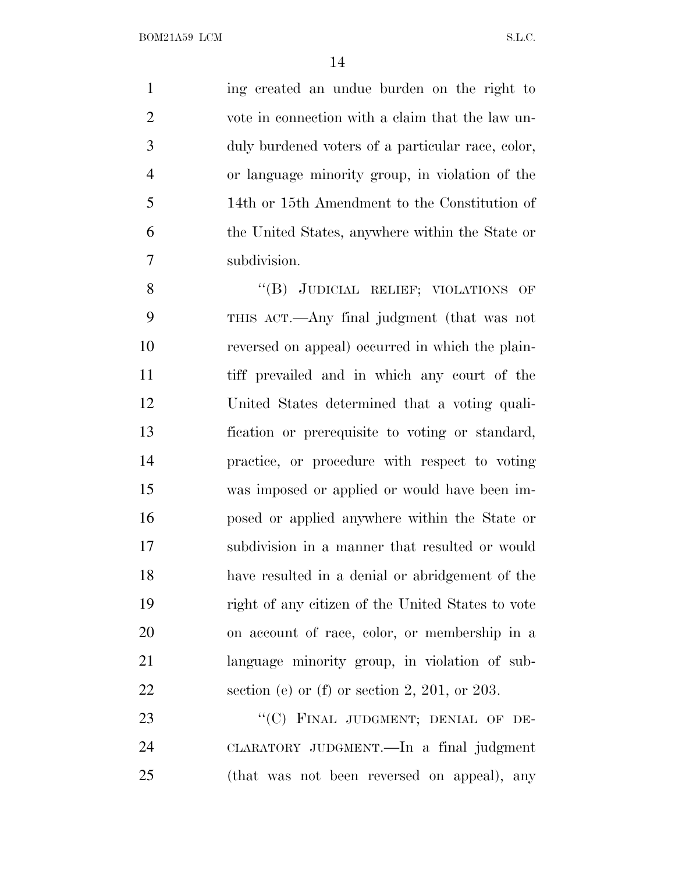ing created an undue burden on the right to vote in connection with a claim that the law un- duly burdened voters of a particular race, color, or language minority group, in violation of the 14th or 15th Amendment to the Constitution of the United States, anywhere within the State or subdivision.

8 "(B) JUDICIAL RELIEF; VIOLATIONS OF THIS ACT.—Any final judgment (that was not reversed on appeal) occurred in which the plain- tiff prevailed and in which any court of the United States determined that a voting quali- fication or prerequisite to voting or standard, practice, or procedure with respect to voting was imposed or applied or would have been im- posed or applied anywhere within the State or subdivision in a manner that resulted or would have resulted in a denial or abridgement of the right of any citizen of the United States to vote on account of race, color, or membership in a language minority group, in violation of sub-section (e) or (f) or section 2, 201, or 203.

23 "(C) FINAL JUDGMENT; DENIAL OF DE- CLARATORY JUDGMENT.—In a final judgment (that was not been reversed on appeal), any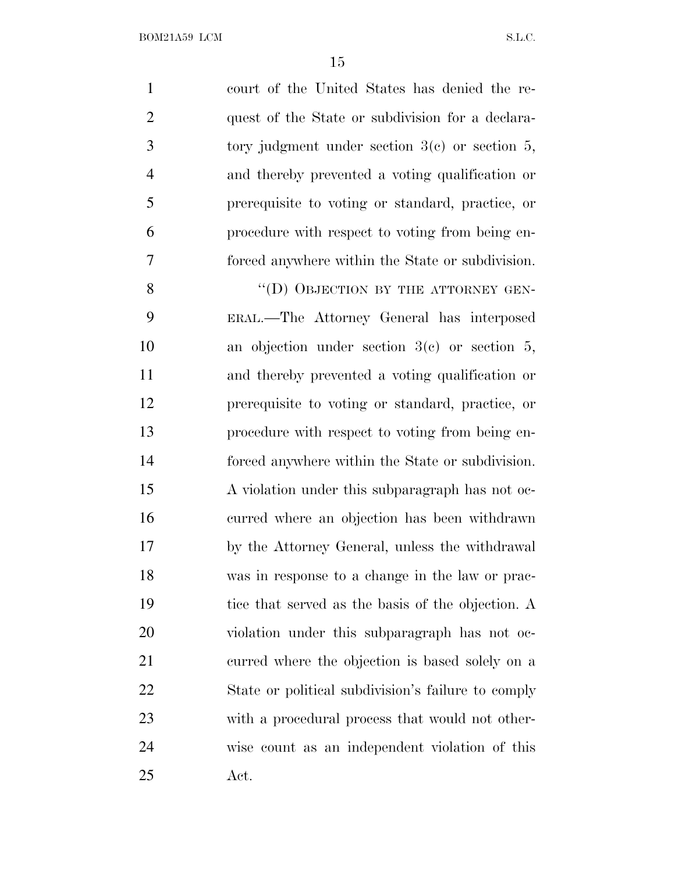court of the United States has denied the re- quest of the State or subdivision for a declara- tory judgment under section 3(c) or section 5, and thereby prevented a voting qualification or prerequisite to voting or standard, practice, or procedure with respect to voting from being en-forced anywhere within the State or subdivision.

8 "(D) OBJECTION BY THE ATTORNEY GEN- ERAL.—The Attorney General has interposed an objection under section 3(c) or section 5, and thereby prevented a voting qualification or prerequisite to voting or standard, practice, or procedure with respect to voting from being en- forced anywhere within the State or subdivision. 15 A violation under this subparagraph has not oc- curred where an objection has been withdrawn by the Attorney General, unless the withdrawal was in response to a change in the law or prac- tice that served as the basis of the objection. A violation under this subparagraph has not oc- curred where the objection is based solely on a State or political subdivision's failure to comply with a procedural process that would not other- wise count as an independent violation of this Act.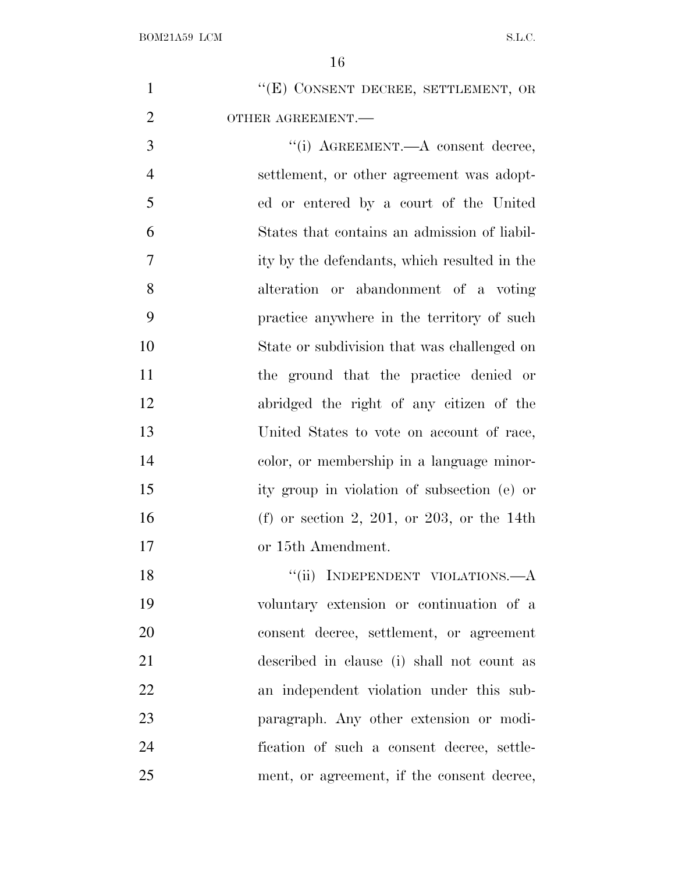|                | 16                                           |
|----------------|----------------------------------------------|
| $\mathbf{1}$   | "(E) CONSENT DECREE, SETTLEMENT, OR          |
| $\overline{2}$ | OTHER AGREEMENT.-                            |
| 3              | "(i) AGREEMENT.—A consent decree,            |
| $\overline{4}$ | settlement, or other agreement was adopt-    |
| 5              | ed or entered by a court of the United       |
| 6              | States that contains an admission of liabil- |
| $\overline{7}$ | ity by the defendants, which resulted in the |
| 8              | alteration or abandonment of a voting        |
| 9              | practice anywhere in the territory of such   |
| 10             | State or subdivision that was challenged on  |
| 11             | the ground that the practice denied or       |
| 12             | abridged the right of any citizen of the     |
| 13             | United States to vote on account of race,    |
| 14             | color, or membership in a language minor-    |
| 15             | ity group in violation of subsection (e) or  |
| 16             | (f) or section 2, 201, or 203, or the 14th   |
| 17             | or 15th Amendment.                           |
| 18             | "(ii) INDEPENDENT VIOLATIONS.-- A            |

 voluntary extension or continuation of a consent decree, settlement, or agreement described in clause (i) shall not count as an independent violation under this sub- paragraph. Any other extension or modi- fication of such a consent decree, settle-ment, or agreement, if the consent decree,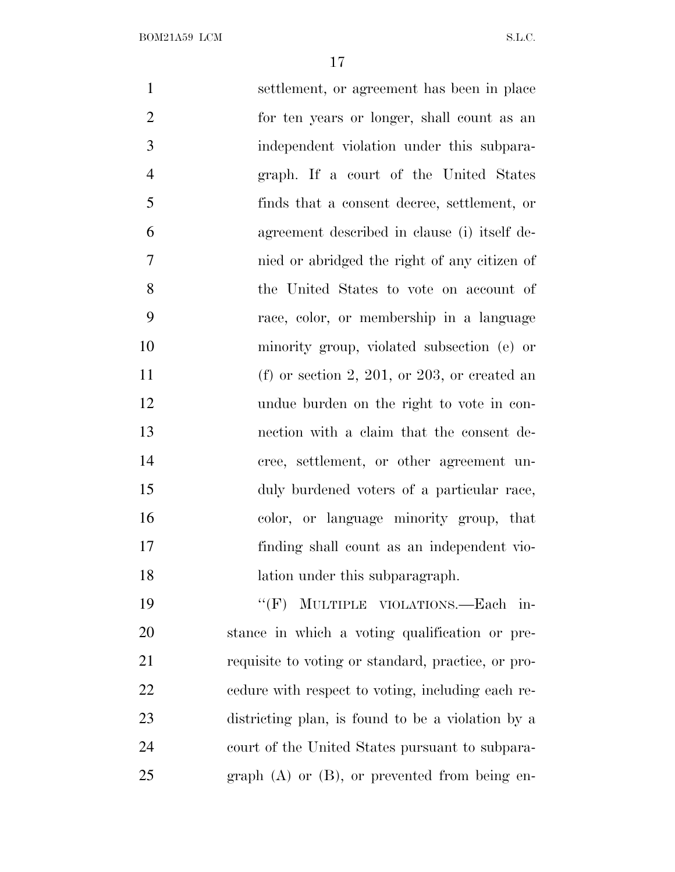| $\mathbf{1}$   | settlement, or agreement has been in place         |
|----------------|----------------------------------------------------|
| $\overline{2}$ | for ten years or longer, shall count as an         |
| 3              | independent violation under this subpara-          |
| $\overline{4}$ | graph. If a court of the United States             |
| 5              | finds that a consent decree, settlement, or        |
| 6              | agreement described in clause (i) itself de-       |
| 7              | nied or abridged the right of any citizen of       |
| 8              | the United States to vote on account of            |
| 9              | race, color, or membership in a language           |
| 10             | minority group, violated subsection (e) or         |
| 11             | (f) or section 2, 201, or 203, or created an       |
| 12             | undue burden on the right to vote in con-          |
| 13             | nection with a claim that the consent de-          |
| 14             | cree, settlement, or other agreement un-           |
| 15             | duly burdened voters of a particular race,         |
| 16             | color, or language minority group, that            |
| 17             | finding shall count as an independent vio-         |
| 18             | lation under this subparagraph.                    |
| 19             | "(F) MULTIPLE VIOLATIONS.—Each in-                 |
| 20             | stance in which a voting qualification or pre-     |
| 21             | requisite to voting or standard, practice, or pro- |
| 22             | edure with respect to voting, including each re-   |
| 23             | districting plan, is found to be a violation by a  |
| 24             | court of the United States pursuant to subpara-    |
| 25             | graph $(A)$ or $(B)$ , or prevented from being en- |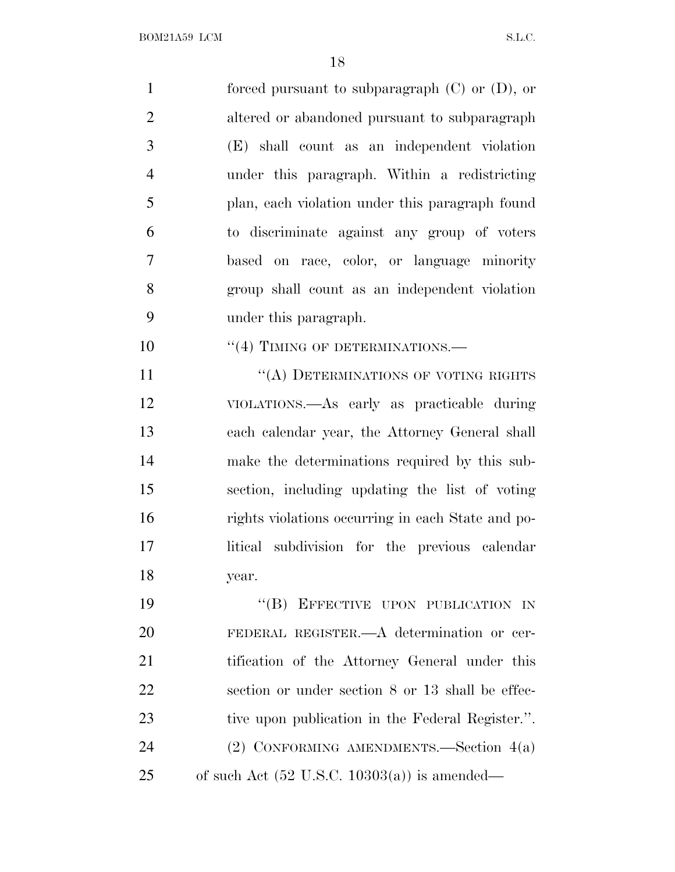| $\mathbf{1}$   | forced pursuant to subparagraph $(C)$ or $(D)$ , or     |
|----------------|---------------------------------------------------------|
| $\overline{2}$ | altered or abandoned pursuant to subparagraph           |
| 3              | (E) shall count as an independent violation             |
| $\overline{4}$ | under this paragraph. Within a redistricting            |
| 5              | plan, each violation under this paragraph found         |
| 6              | to discriminate against any group of voters             |
| 7              | based on race, color, or language minority              |
| 8              | group shall count as an independent violation           |
| 9              | under this paragraph.                                   |
| 10             | "(4) TIMING OF DETERMINATIONS.-                         |
| 11             | "(A) DETERMINATIONS OF VOTING RIGHTS                    |
| 12             | VIOLATIONS.- As early as practicable during             |
| 13             | each calendar year, the Attorney General shall          |
| 14             | make the determinations required by this sub-           |
| 15             | section, including updating the list of voting          |
| 16             | rights violations occurring in each State and po-       |
| 17             | litical subdivision for the previous calendar           |
| 18             | year.                                                   |
| 19             | "(B) EFFECTIVE UPON PUBLICATION IN                      |
| 20             | FEDERAL REGISTER.—A determination or cer-               |
| 21             | tification of the Attorney General under this           |
| 22             | section or under section 8 or 13 shall be effec-        |
| 23             | tive upon publication in the Federal Register.".        |
| 24             | (2) CONFORMING AMENDMENTS.—Section $4(a)$               |
| 25             | of such Act $(52 \text{ U.S.C. } 10303(a))$ is amended— |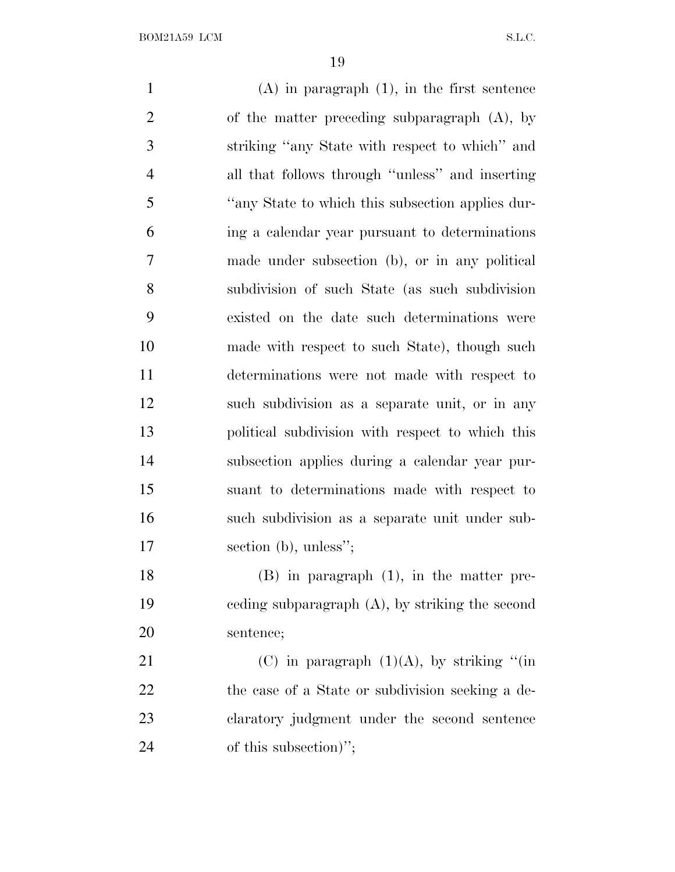(A) in paragraph (1), in the first sentence of the matter preceding subparagraph (A), by striking ''any State with respect to which'' and all that follows through ''unless'' and inserting ''any State to which this subsection applies dur- ing a calendar year pursuant to determinations made under subsection (b), or in any political subdivision of such State (as such subdivision existed on the date such determinations were made with respect to such State), though such determinations were not made with respect to such subdivision as a separate unit, or in any political subdivision with respect to which this subsection applies during a calendar year pur- suant to determinations made with respect to such subdivision as a separate unit under sub-17 section (b), unless"; (B) in paragraph (1), in the matter pre- ceding subparagraph (A), by striking the second sentence; 21 (C) in paragraph  $(1)(A)$ , by striking "(in 22 the case of a State or subdivision seeking a de-claratory judgment under the second sentence

24 of this subsection)";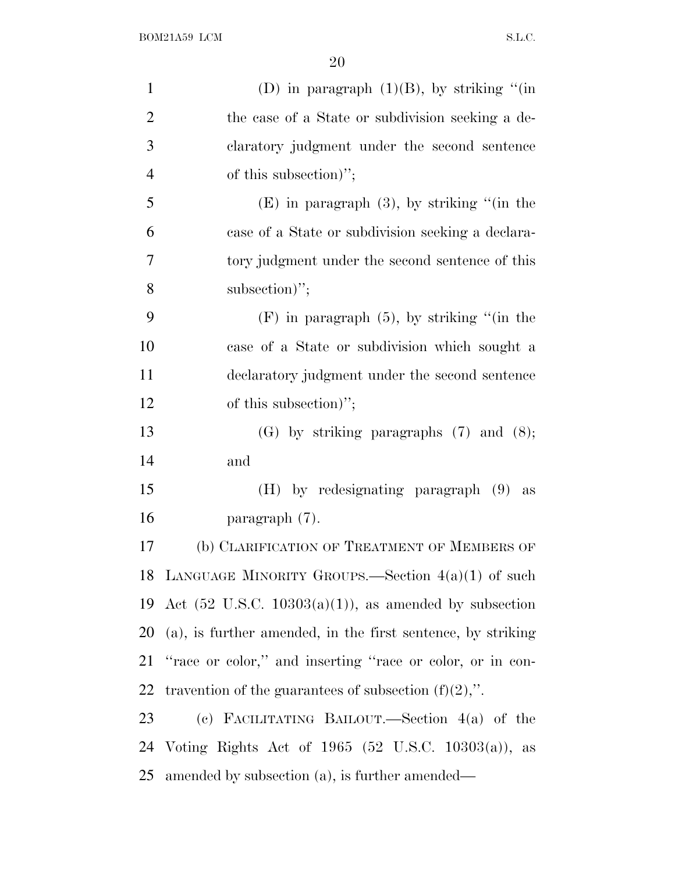| $\mathbf{1}$   | (D) in paragraph $(1)(B)$ , by striking "(in                         |
|----------------|----------------------------------------------------------------------|
| $\overline{2}$ | the case of a State or subdivision seeking a de-                     |
| 3              | claratory judgment under the second sentence                         |
| $\overline{4}$ | of this subsection)";                                                |
| 5              | $(E)$ in paragraph $(3)$ , by striking "(in the                      |
| 6              | case of a State or subdivision seeking a declara-                    |
| 7              | tory judgment under the second sentence of this                      |
| 8              | subsection)";                                                        |
| 9              | $(F)$ in paragraph $(5)$ , by striking "(in the                      |
| 10             | case of a State or subdivision which sought a                        |
| 11             | declaratory judgment under the second sentence                       |
| 12             | of this subsection)";                                                |
| 13             | $(G)$ by striking paragraphs $(7)$ and $(8)$ ;                       |
| 14             | and                                                                  |
| 15             | $(H)$ by redesignating paragraph $(9)$ as                            |
| 16             | paragraph $(7)$ .                                                    |
| 17             | (b) CLARIFICATION OF TREATMENT OF MEMBERS OF                         |
|                | 18 LANGUAGE MINORITY GROUPS.—Section $4(a)(1)$ of such               |
|                | 19 Act $(52 \text{ U.S.C. } 10303(a)(1))$ , as amended by subsection |
|                | 20 (a), is further amended, in the first sentence, by striking       |
|                | 21 "race or color," and inserting "race or color, or in con-         |
| 22             | travention of the guarantees of subsection $(f)(2)$ ,".              |
| 23             | (c) FACILITATING BAILOUT.—Section $4(a)$ of the                      |
|                | 24 Voting Rights Act of 1965 (52 U.S.C. 10303(a)), as                |
| 25             | amended by subsection (a), is further amended—                       |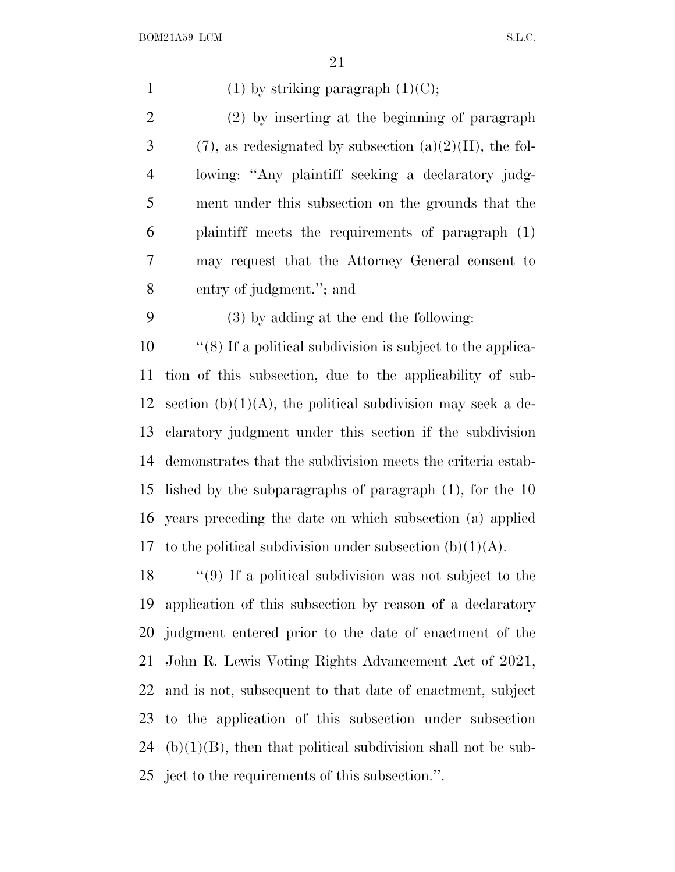| $\mathbf{1}$   | $(1)$ by striking paragraph $(1)(C)$ ;                            |
|----------------|-------------------------------------------------------------------|
| $\overline{2}$ | (2) by inserting at the beginning of paragraph                    |
| 3              | $(7)$ , as redesignated by subsection $(a)(2)(H)$ , the fol-      |
| $\overline{4}$ | lowing: "Any plaintiff seeking a declaratory judg-                |
| 5              | ment under this subsection on the grounds that the                |
| 6              | plaintiff meets the requirements of paragraph (1)                 |
| 7              | may request that the Attorney General consent to                  |
| 8              | entry of judgment."; and                                          |
| 9              | (3) by adding at the end the following:                           |
| 10             | $\cdot$ (8) If a political subdivision is subject to the applica- |
| 11             | tion of this subsection, due to the applicability of sub-         |
| 12             | section (b) $(1)(A)$ , the political subdivision may seek a de-   |
| 13             | claratory judgment under this section if the subdivision          |
| 14             | demonstrates that the subdivision meets the criteria estab-       |
| 15             | lished by the subparagraphs of paragraph $(1)$ , for the 10       |
| 16             | years preceding the date on which subsection (a) applied          |
| 17             | to the political subdivision under subsection $(b)(1)(A)$ .       |
| 18             | $\lq(9)$ If a political subdivision was not subject to the        |
| 19             | application of this subsection by reason of a declaratory         |
| 20             | judgment entered prior to the date of enactment of the            |
| 21             | John R. Lewis Voting Rights Advancement Act of 2021,              |
| 22             | and is not, subsequent to that date of enactment, subject         |
| 23             | to the application of this subsection under subsection            |
| 24             | $(b)(1)(B)$ , then that political subdivision shall not be sub-   |
|                | 25 ject to the requirements of this subsection.".                 |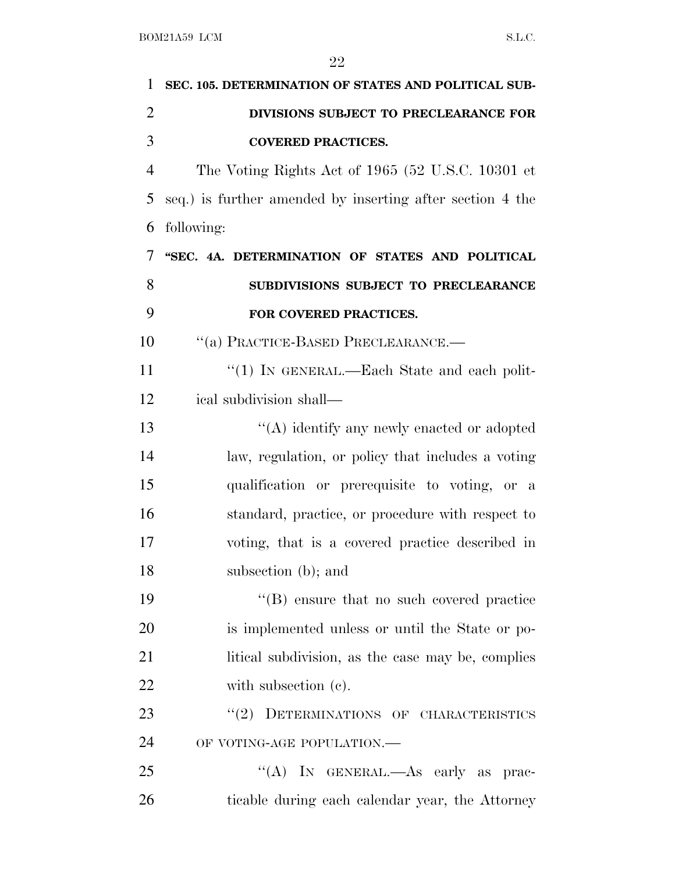| 1              | SEC. 105. DETERMINATION OF STATES AND POLITICAL SUB-      |
|----------------|-----------------------------------------------------------|
| $\overline{2}$ | DIVISIONS SUBJECT TO PRECLEARANCE FOR                     |
| 3              | <b>COVERED PRACTICES.</b>                                 |
| $\overline{4}$ | The Voting Rights Act of 1965 (52 U.S.C. 10301 et         |
| 5              | seq.) is further amended by inserting after section 4 the |
| 6              | following:                                                |
| 7              | "SEC. 4A. DETERMINATION OF STATES AND POLITICAL           |
| 8              | SUBDIVISIONS SUBJECT TO PRECLEARANCE                      |
| 9              | FOR COVERED PRACTICES.                                    |
| 10             | "(a) PRACTICE-BASED PRECLEARANCE.-                        |
| 11             | "(1) IN GENERAL.—Each State and each polit-               |
| 12             | ical subdivision shall—                                   |
| 13             | $\lq\lq$ identify any newly enacted or adopted            |
| 14             | law, regulation, or policy that includes a voting         |
| 15             | qualification or prerequisite to voting, or a             |
| 16             | standard, practice, or procedure with respect to          |
| 17             | voting, that is a covered practice described in           |
| 18             | subsection (b); and                                       |
| 19             | $\lq\lq$ ensure that no such covered practice             |
| 20             | is implemented unless or until the State or po-           |
| 21             | litical subdivision, as the case may be, complies         |
| 22             | with subsection $(e)$ .                                   |
| 23             | DETERMINATIONS OF CHARACTERISTICS<br>(2)                  |
| 24             | OF VOTING-AGE POPULATION.-                                |
| 25             | "(A) IN GENERAL.—As early as prac-                        |
| 26             | ticable during each calendar year, the Attorney           |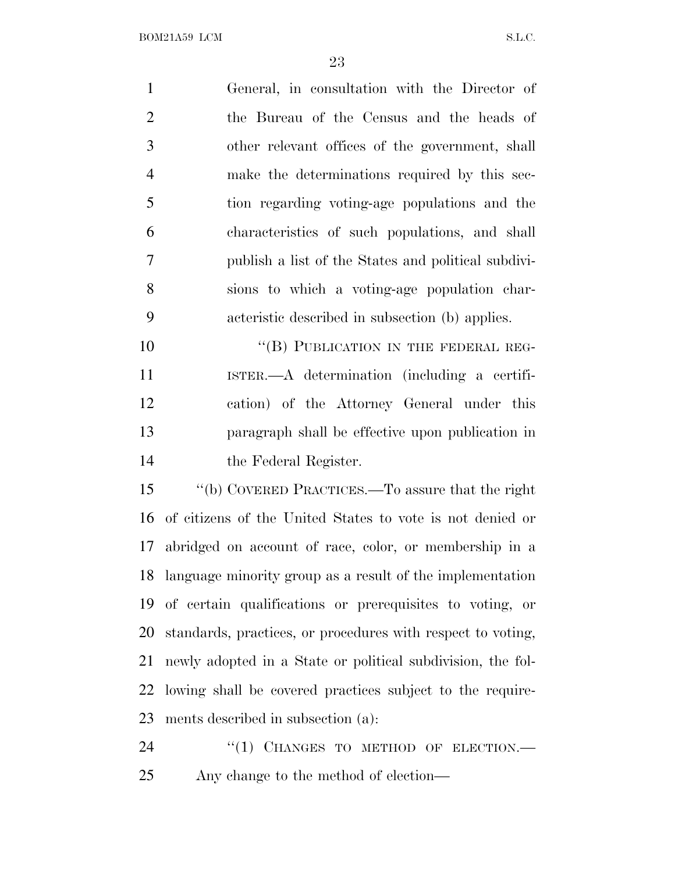General, in consultation with the Director of the Bureau of the Census and the heads of other relevant offices of the government, shall make the determinations required by this sec- tion regarding voting-age populations and the characteristics of such populations, and shall publish a list of the States and political subdivi- sions to which a voting-age population char- acteristic described in subsection (b) applies. 10 "(B) PUBLICATION IN THE FEDERAL REG-

 ISTER.—A determination (including a certifi- cation) of the Attorney General under this paragraph shall be effective upon publication in the Federal Register.

 ''(b) COVERED PRACTICES.—To assure that the right of citizens of the United States to vote is not denied or abridged on account of race, color, or membership in a language minority group as a result of the implementation of certain qualifications or prerequisites to voting, or standards, practices, or procedures with respect to voting, newly adopted in a State or political subdivision, the fol- lowing shall be covered practices subject to the require-ments described in subsection (a):

24 "(1) CHANGES TO METHOD OF ELECTION.— Any change to the method of election—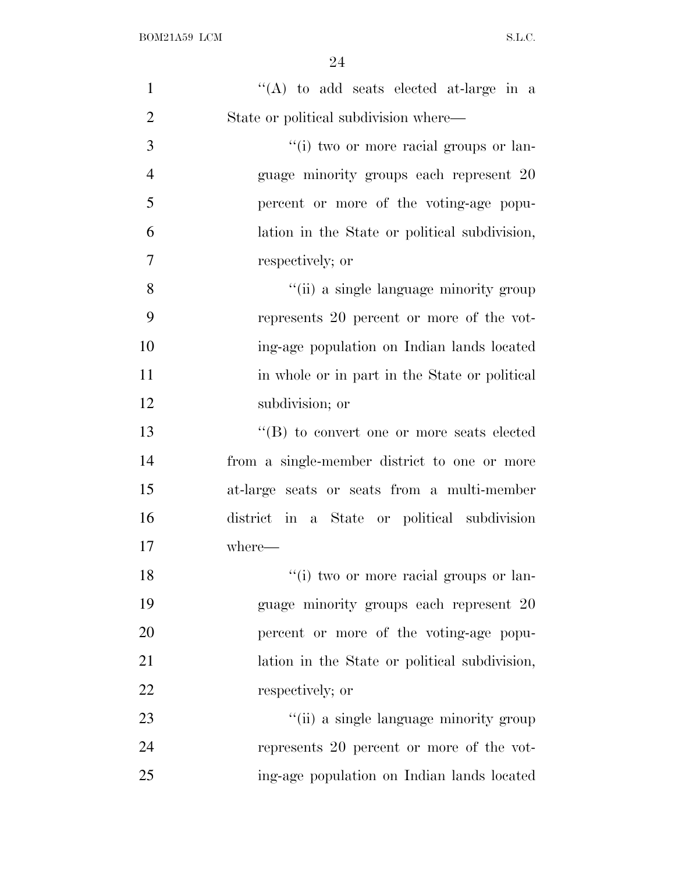| $\mathbf{1}$   | "(A) to add seats elected at-large in a       |
|----------------|-----------------------------------------------|
| $\overline{2}$ | State or political subdivision where—         |
| 3              | "(i) two or more racial groups or lan-        |
| $\overline{4}$ | guage minority groups each represent 20       |
| 5              | percent or more of the voting-age popu-       |
| 6              | lation in the State or political subdivision, |
| 7              | respectively; or                              |
| 8              | "(ii) a single language minority group        |
| 9              | represents 20 percent or more of the vot-     |
| 10             | ing-age population on Indian lands located    |
| 11             | in whole or in part in the State or political |
| 12             | subdivision; or                               |
| 13             | "(B) to convert one or more seats elected     |
| 14             | from a single-member district to one or more  |
| 15             | at-large seats or seats from a multi-member   |
| 16             | district in a State or political subdivision  |
| 17             | where-                                        |
| 18             | "(i) two or more racial groups or lan-        |
| 19             | guage minority groups each represent 20       |
| 20             | percent or more of the voting-age popu-       |
| 21             | lation in the State or political subdivision, |
| 22             | respectively; or                              |
| 23             | "(ii) a single language minority group        |
| 24             | represents 20 percent or more of the vot-     |
| 25             | ing-age population on Indian lands located    |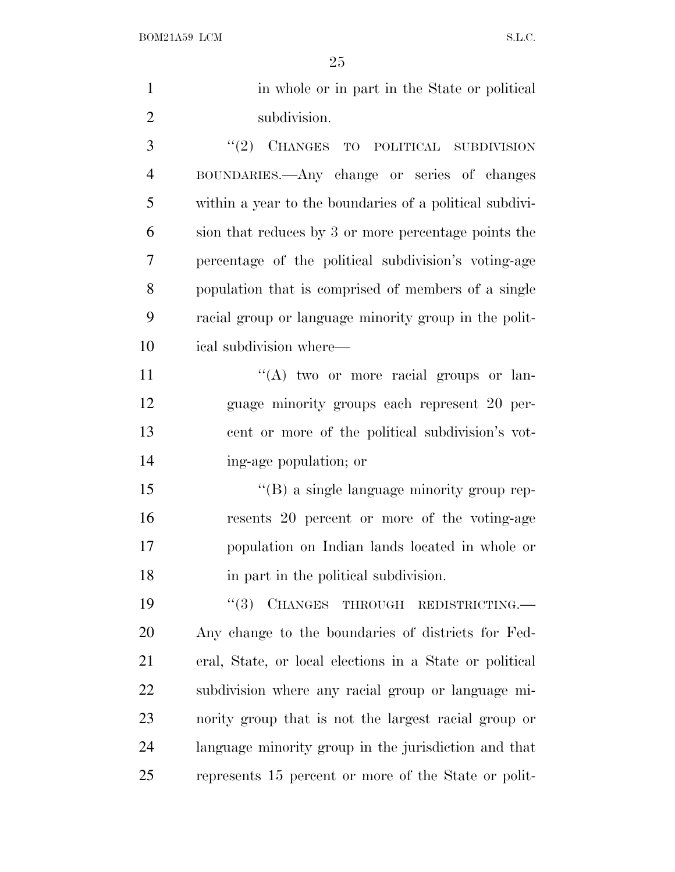| $\mathbf{1}$   | in whole or in part in the State or political           |
|----------------|---------------------------------------------------------|
| $\overline{2}$ | subdivision.                                            |
| 3              | CHANGES TO POLITICAL SUBDIVISION<br>(2)                 |
| $\overline{4}$ | BOUNDARIES.—Any change or series of changes             |
| 5              | within a year to the boundaries of a political subdivi- |
| 6              | sion that reduces by 3 or more percentage points the    |
| $\tau$         | percentage of the political subdivision's voting-age    |
| 8              | population that is comprised of members of a single     |
| 9              | racial group or language minority group in the polit-   |
| 10             | ical subdivision where—                                 |
| 11             | "(A) two or more racial groups or lan-                  |
| 12             | guage minority groups each represent 20 per-            |
| 13             | cent or more of the political subdivision's vot-        |
| 14             | ing-age population; or                                  |
| 15             | "(B) a single language minority group rep-              |
| 16             | resents 20 percent or more of the voting-age            |
| 17             | population on Indian lands located in whole or          |
| 18             | in part in the political subdivision.                   |
| 19             | CHANGES THROUGH REDISTRICTING.<br>``(3)                 |
| 20             | Any change to the boundaries of districts for Fed-      |
| 21             | eral, State, or local elections in a State or political |
| 22             | subdivision where any racial group or language mi-      |
| 23             | nority group that is not the largest racial group or    |
| 24             | language minority group in the jurisdiction and that    |
| 25             | represents 15 percent or more of the State or polit-    |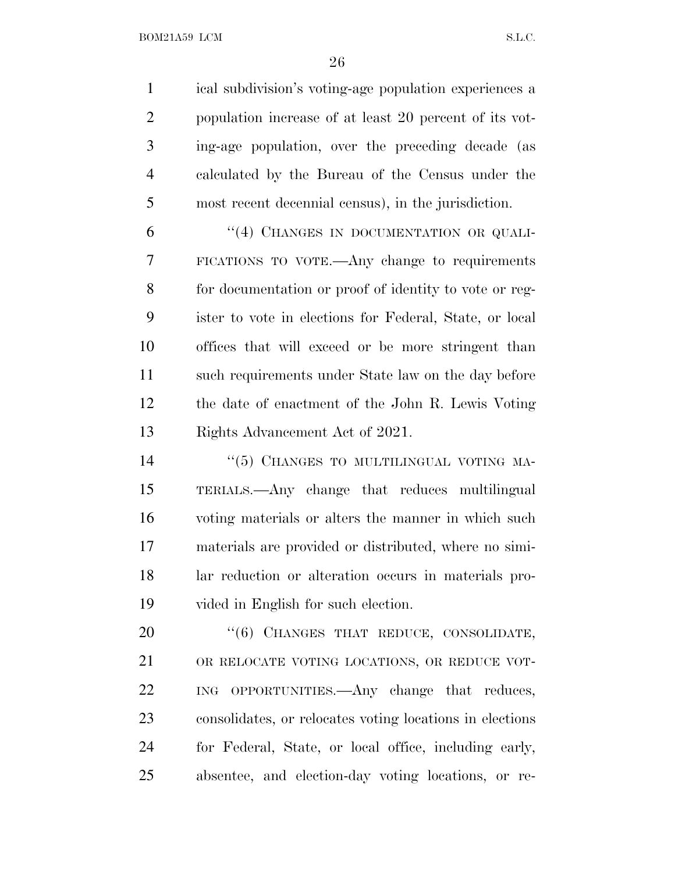BOM21A59 LCM S.L.C.

 ical subdivision's voting-age population experiences a population increase of at least 20 percent of its vot- ing-age population, over the preceding decade (as calculated by the Bureau of the Census under the most recent decennial census), in the jurisdiction.

6 "(4) CHANGES IN DOCUMENTATION OR QUALI- FICATIONS TO VOTE.—Any change to requirements for documentation or proof of identity to vote or reg- ister to vote in elections for Federal, State, or local offices that will exceed or be more stringent than such requirements under State law on the day before the date of enactment of the John R. Lewis Voting Rights Advancement Act of 2021.

 $(5)$  CHANGES TO MULTILINGUAL VOTING MA- TERIALS.—Any change that reduces multilingual voting materials or alters the manner in which such materials are provided or distributed, where no simi- lar reduction or alteration occurs in materials pro-vided in English for such election.

20 "(6) CHANGES THAT REDUCE, CONSOLIDATE, OR RELOCATE VOTING LOCATIONS, OR REDUCE VOT- ING OPPORTUNITIES.—Any change that reduces, consolidates, or relocates voting locations in elections for Federal, State, or local office, including early, absentee, and election-day voting locations, or re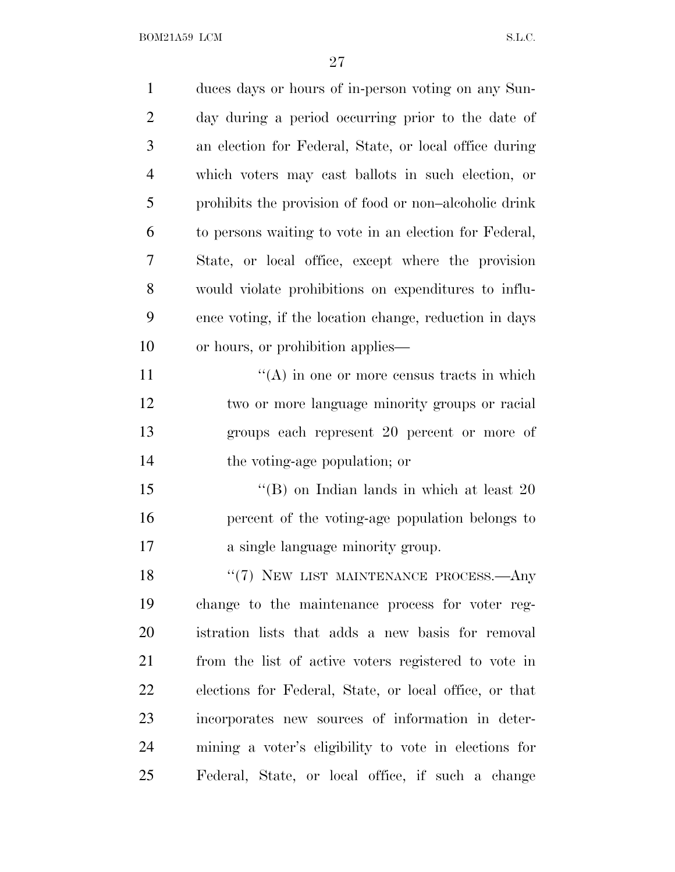BOM21A59 LCM  $S.L.C.$ 

| $\mathbf{1}$   | duces days or hours of in-person voting on any Sun-    |
|----------------|--------------------------------------------------------|
| $\overline{2}$ | day during a period occurring prior to the date of     |
| 3              | an election for Federal, State, or local office during |
| $\overline{4}$ | which voters may cast ballots in such election, or     |
| 5              | prohibits the provision of food or non-alcoholic drink |
| 6              | to persons waiting to vote in an election for Federal, |
| 7              | State, or local office, except where the provision     |
| 8              | would violate prohibitions on expenditures to influ-   |
| 9              | ence voting, if the location change, reduction in days |
| 10             | or hours, or prohibition applies—                      |
| 11             | $\lq\lq$ in one or more census tracts in which         |
| 12             | two or more language minority groups or racial         |
| 13             | groups each represent 20 percent or more of            |
| 14             | the voting-age population; or                          |
| 15             | "(B) on Indian lands in which at least $20$            |
| 16             | percent of the voting-age population belongs to        |
| 17             | a single language minority group.                      |
| 18             | "(7) NEW LIST MAINTENANCE PROCESS.—Any                 |
| 19             | change to the maintenance process for voter reg-       |
| 20             | istration lists that adds a new basis for removal      |
| 21             | from the list of active voters registered to vote in   |
| 22             | elections for Federal, State, or local office, or that |
| 23             | incorporates new sources of information in deter-      |
| 24             | mining a voter's eligibility to vote in elections for  |
| 25             | Federal, State, or local office, if such a change      |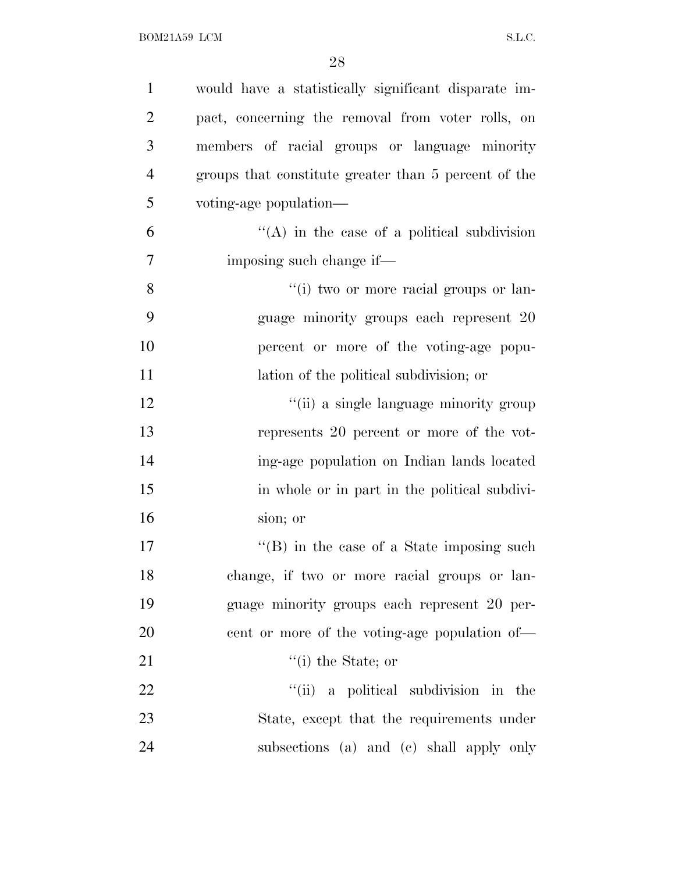| $\mathbf{1}$   | would have a statistically significant disparate im- |
|----------------|------------------------------------------------------|
| $\overline{2}$ | pact, concerning the removal from voter rolls, on    |
| 3              | members of racial groups or language minority        |
| $\overline{4}$ | groups that constitute greater than 5 percent of the |
| 5              | voting-age population-                               |
| 6              | $\lq\lq$ in the case of a political subdivision      |
| 7              | imposing such change if—                             |
| $8\,$          | "(i) two or more racial groups or lan-               |
| 9              | guage minority groups each represent 20              |
| 10             | percent or more of the voting-age popu-              |
| 11             | lation of the political subdivision; or              |
| 12             | "(ii) a single language minority group               |
| 13             | represents 20 percent or more of the vot-            |
| 14             | ing-age population on Indian lands located           |
| 15             | in whole or in part in the political subdivi-        |
| 16             | sion; or                                             |
| 17             | $\lq\lq$ (B) in the case of a State imposing such    |
| 18             | change, if two or more racial groups or lan-         |
| 19             | guage minority groups each represent 20 per-         |
| 20             | eent or more of the voting-age population of—        |
| 21             | $\lq$ <sup>"</sup> (i) the State; or                 |
| 22             | "(ii) a political subdivision in the                 |
| 23             | State, except that the requirements under            |
| 24             | subsections (a) and (c) shall apply only             |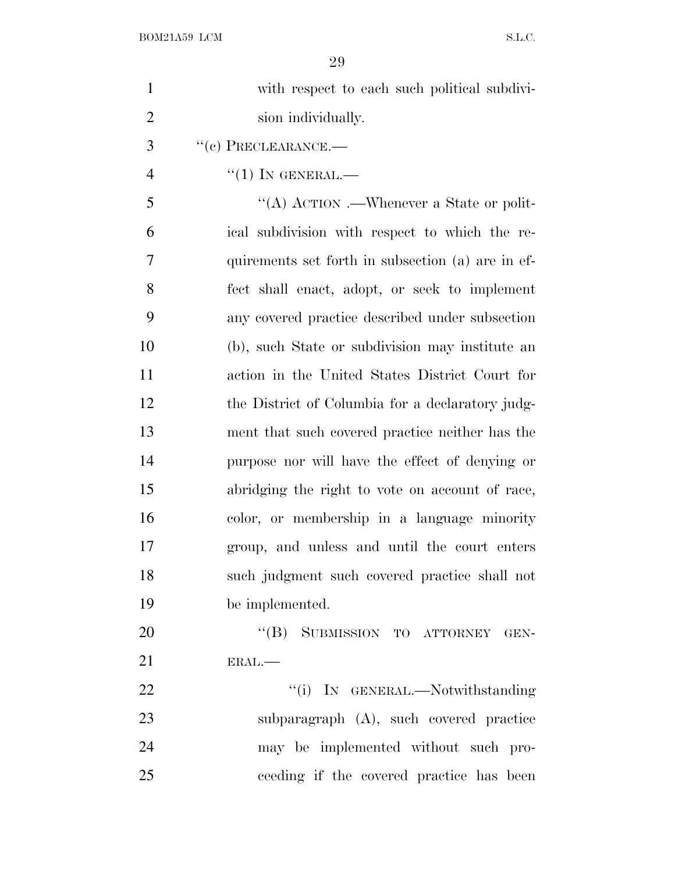| $\mathbf{1}$   | with respect to each such political subdivi-      |
|----------------|---------------------------------------------------|
| $\overline{2}$ | sion individually.                                |
| 3              | $``(e)$ PRECLEARANCE.—                            |
| $\overline{4}$ | $``(1)$ In GENERAL.—                              |
| 5              | "(A) ACTION .—Whenever a State or polit-          |
| 6              | ical subdivision with respect to which the re-    |
| 7              | quirements set forth in subsection (a) are in ef- |
| 8              | fect shall enact, adopt, or seek to implement     |
| 9              | any covered practice described under subsection   |
| 10             | (b), such State or subdivision may institute an   |
| 11             | action in the United States District Court for    |
| 12             | the District of Columbia for a declaratory judg-  |
| 13             | ment that such covered practice neither has the   |
| 14             | purpose nor will have the effect of denying or    |
| 15             | abridging the right to vote on account of race,   |
| 16             | color, or membership in a language minority       |
| 17             | group, and unless and until the court enters      |
| 18             | such judgment such covered practice shall not     |
| 19             | be implemented.                                   |
| 20             | "(B) SUBMISSION TO ATTORNEY GEN-                  |
| 21             | ERAL.                                             |
| 22             | "(i) IN GENERAL.—Notwithstanding                  |
| 23             | subparagraph (A), such covered practice           |
| 24             | may be implemented without such pro-              |
| 25             | ceeding if the covered practice has been          |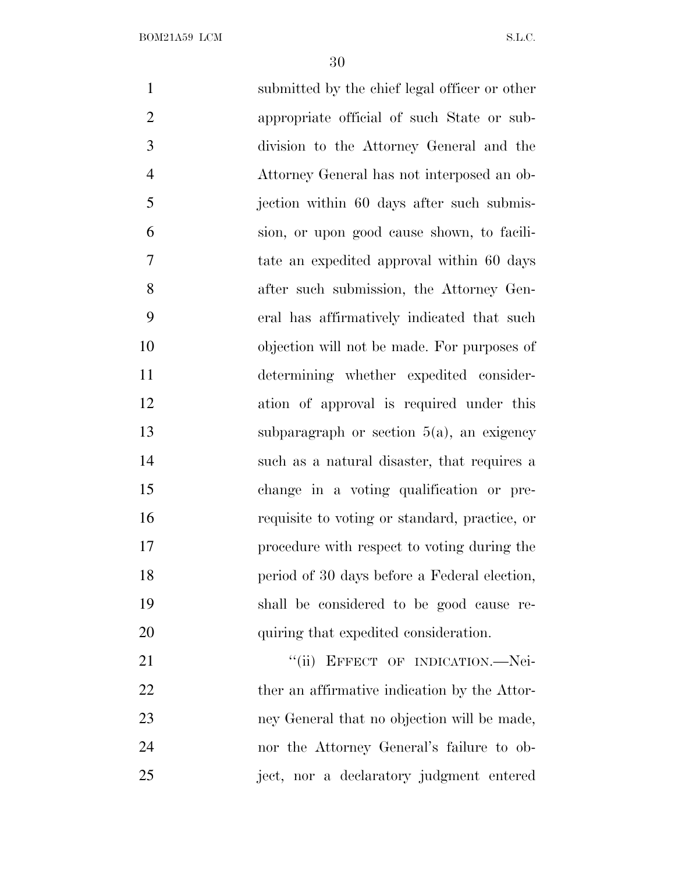submitted by the chief legal officer or other appropriate official of such State or sub- division to the Attorney General and the Attorney General has not interposed an ob-5 jection within 60 days after such submis- sion, or upon good cause shown, to facili- tate an expedited approval within 60 days after such submission, the Attorney Gen- eral has affirmatively indicated that such objection will not be made. For purposes of determining whether expedited consider- ation of approval is required under this subparagraph or section 5(a), an exigency such as a natural disaster, that requires a change in a voting qualification or pre- requisite to voting or standard, practice, or procedure with respect to voting during the period of 30 days before a Federal election, shall be considered to be good cause re-20 quiring that expedited consideration. 21 "(ii) EFFECT OF INDICATION.—Nei-22 ther an affirmative indication by the Attor- ney General that no objection will be made, nor the Attorney General's failure to ob-ject, nor a declaratory judgment entered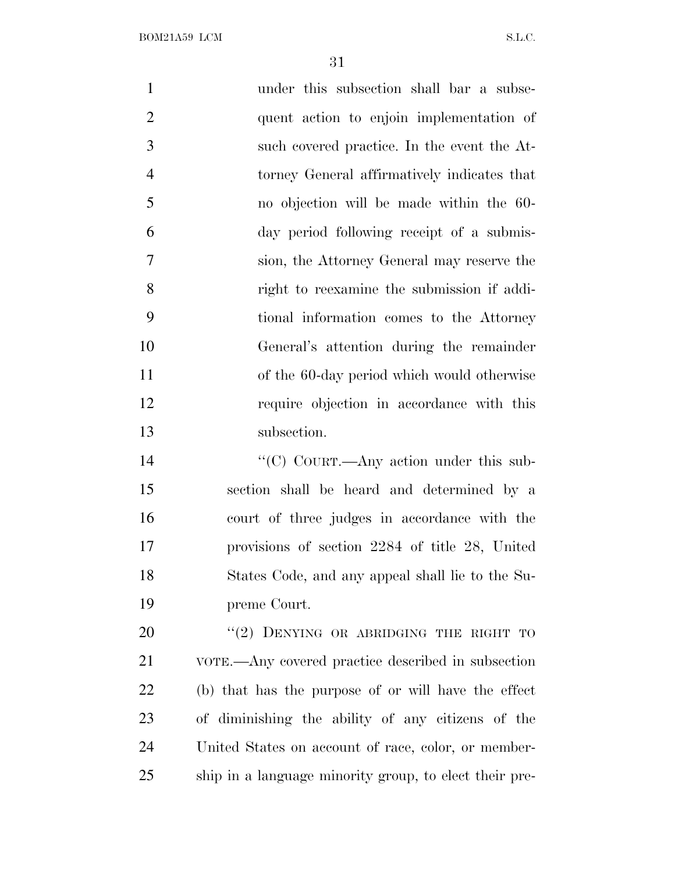| $\mathbf{1}$   | under this subsection shall bar a subse-            |
|----------------|-----------------------------------------------------|
| $\overline{2}$ | quent action to enjoin implementation of            |
| 3              | such covered practice. In the event the At-         |
| $\overline{4}$ | torney General affirmatively indicates that         |
| 5              | no objection will be made within the 60-            |
| 6              | day period following receipt of a submis-           |
| 7              | sion, the Attorney General may reserve the          |
| 8              | right to reexamine the submission if addi-          |
| 9              | tional information comes to the Attorney            |
| 10             | General's attention during the remainder            |
| 11             | of the 60-day period which would otherwise          |
| 12             | require objection in accordance with this           |
| 13             | subsection.                                         |
| 14             | "(C) COURT.—Any action under this sub-              |
| 15             | section shall be heard and determined by a          |
| 16             | court of three judges in accordance with the        |
| 17             | provisions of section 2284 of title 28, United      |
| 18             | States Code, and any appeal shall lie to the Su-    |
| 19             | preme Court.                                        |
| 20             | "(2) DENYING OR ABRIDGING THE RIGHT TO              |
| 21             | VOTE.—Any covered practice described in subsection  |
| 22             | (b) that has the purpose of or will have the effect |
| 23             | of diminishing the ability of any citizens of the   |
| 24             | United States on account of race, color, or member- |
|                |                                                     |

ship in a language minority group, to elect their pre-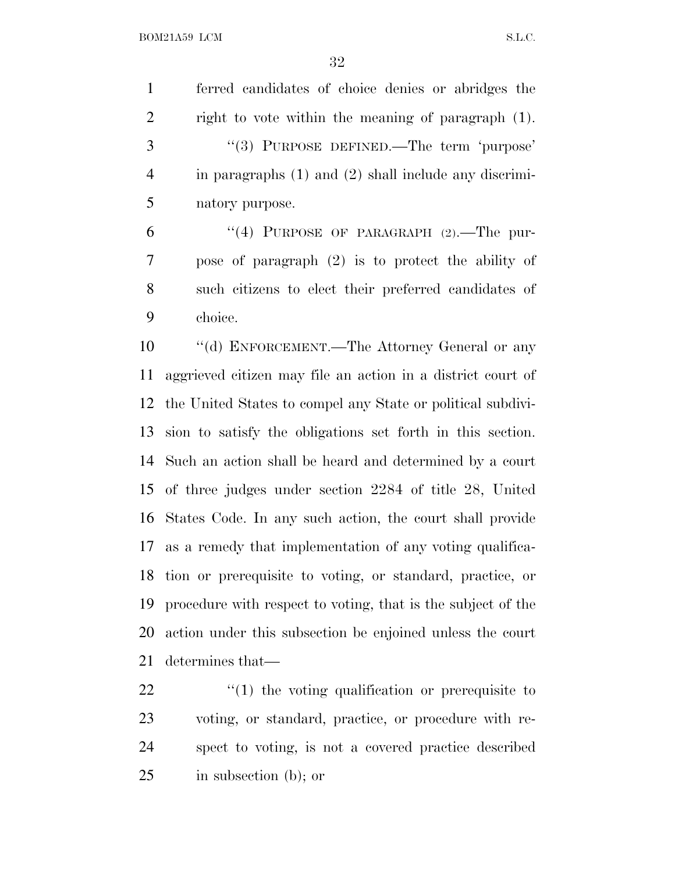ferred candidates of choice denies or abridges the right to vote within the meaning of paragraph (1). 3 "(3) PURPOSE DEFINED.—The term 'purpose' in paragraphs (1) and (2) shall include any discrimi-natory purpose.

 $(4)$  PURPOSE OF PARAGRAPH  $(2)$ . The pur- pose of paragraph (2) is to protect the ability of such citizens to elect their preferred candidates of choice.

 ''(d) ENFORCEMENT.—The Attorney General or any aggrieved citizen may file an action in a district court of the United States to compel any State or political subdivi- sion to satisfy the obligations set forth in this section. Such an action shall be heard and determined by a court of three judges under section 2284 of title 28, United States Code. In any such action, the court shall provide as a remedy that implementation of any voting qualifica- tion or prerequisite to voting, or standard, practice, or procedure with respect to voting, that is the subject of the action under this subsection be enjoined unless the court determines that—

 $\frac{1}{2}$  (1) the voting qualification or prerequisite to voting, or standard, practice, or procedure with re- spect to voting, is not a covered practice described in subsection (b); or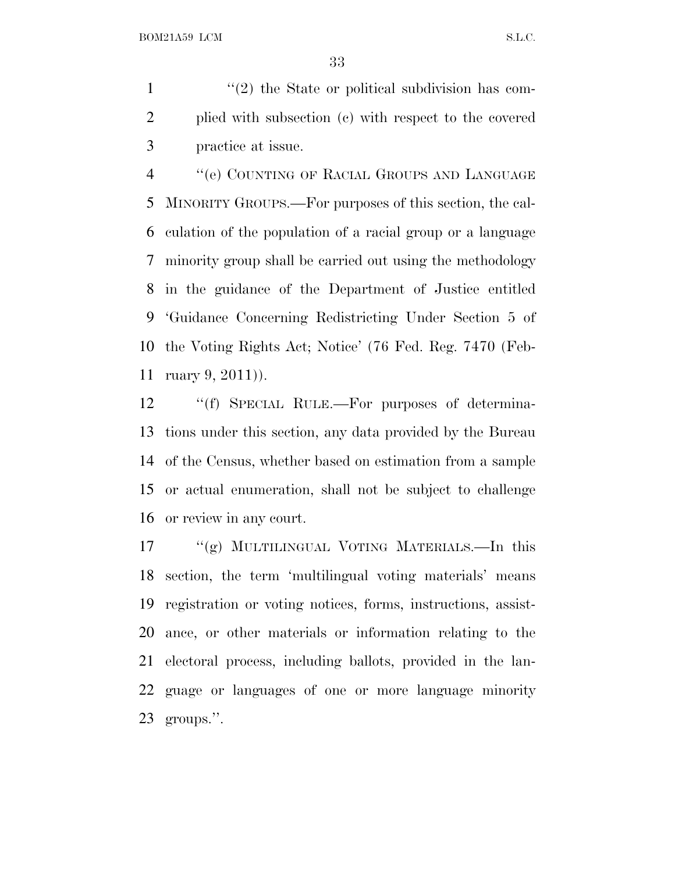$\frac{1}{2}$  <sup>(1</sup>(2) the State or political subdivision has com- plied with subsection (c) with respect to the covered practice at issue.

 ''(e) COUNTING OF RACIAL GROUPS AND LANGUAGE MINORITY GROUPS.—For purposes of this section, the cal- culation of the population of a racial group or a language minority group shall be carried out using the methodology in the guidance of the Department of Justice entitled 'Guidance Concerning Redistricting Under Section 5 of the Voting Rights Act; Notice' (76 Fed. Reg. 7470 (Feb-ruary 9, 2011)).

 ''(f) SPECIAL RULE.—For purposes of determina- tions under this section, any data provided by the Bureau of the Census, whether based on estimation from a sample or actual enumeration, shall not be subject to challenge or review in any court.

 ''(g) MULTILINGUAL VOTING MATERIALS.—In this section, the term 'multilingual voting materials' means registration or voting notices, forms, instructions, assist- ance, or other materials or information relating to the electoral process, including ballots, provided in the lan- guage or languages of one or more language minority groups.''.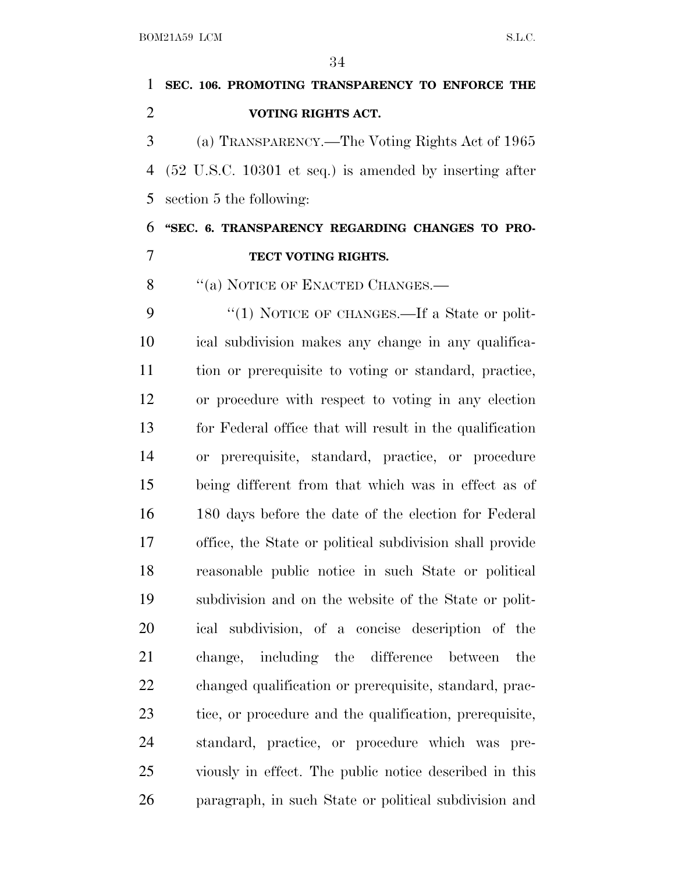# **SEC. 106. PROMOTING TRANSPARENCY TO ENFORCE THE VOTING RIGHTS ACT.** (a) TRANSPARENCY.—The Voting Rights Act of 1965 (52 U.S.C. 10301 et seq.) is amended by inserting after section 5 the following: **''SEC. 6. TRANSPARENCY REGARDING CHANGES TO PRO- TECT VOTING RIGHTS.** 8 "(a) NOTICE OF ENACTED CHANGES.— 9 "(1) NOTICE OF CHANGES.—If a State or polit- ical subdivision makes any change in any qualifica- tion or prerequisite to voting or standard, practice, or procedure with respect to voting in any election for Federal office that will result in the qualification or prerequisite, standard, practice, or procedure being different from that which was in effect as of 180 days before the date of the election for Federal office, the State or political subdivision shall provide reasonable public notice in such State or political subdivision and on the website of the State or polit- ical subdivision, of a concise description of the change, including the difference between the changed qualification or prerequisite, standard, prac-tice, or procedure and the qualification, prerequisite,

 standard, practice, or procedure which was pre- viously in effect. The public notice described in this paragraph, in such State or political subdivision and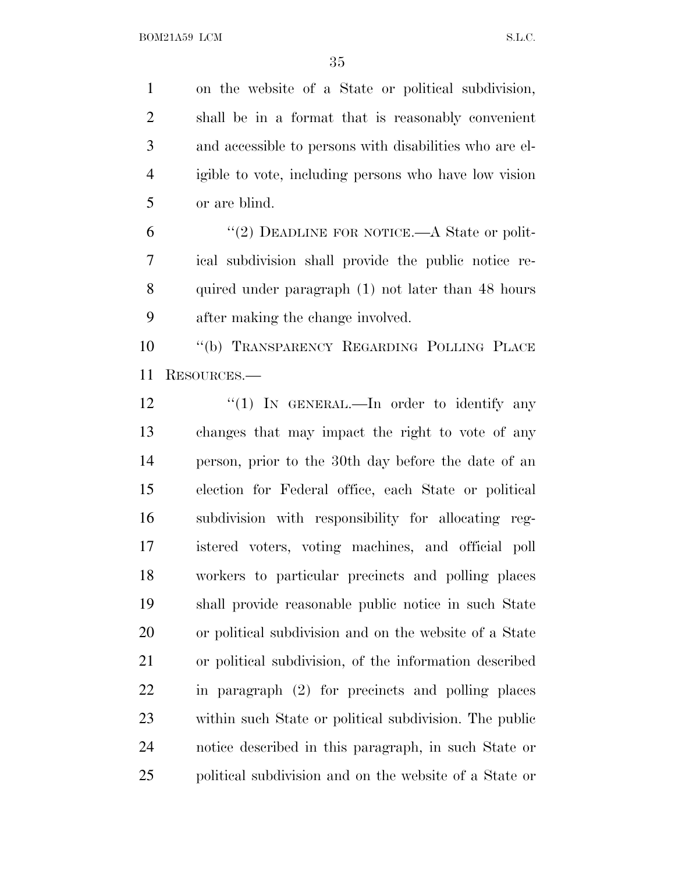on the website of a State or political subdivision, shall be in a format that is reasonably convenient and accessible to persons with disabilities who are el- igible to vote, including persons who have low vision or are blind.

6 "(2) DEADLINE FOR NOTICE.—A State or polit- ical subdivision shall provide the public notice re- quired under paragraph (1) not later than 48 hours after making the change involved.

 ''(b) TRANSPARENCY REGARDING POLLING PLACE RESOURCES.—

12 "(1) In GENERAL.—In order to identify any changes that may impact the right to vote of any person, prior to the 30th day before the date of an election for Federal office, each State or political subdivision with responsibility for allocating reg- istered voters, voting machines, and official poll workers to particular precincts and polling places shall provide reasonable public notice in such State or political subdivision and on the website of a State or political subdivision, of the information described in paragraph (2) for precincts and polling places within such State or political subdivision. The public notice described in this paragraph, in such State or political subdivision and on the website of a State or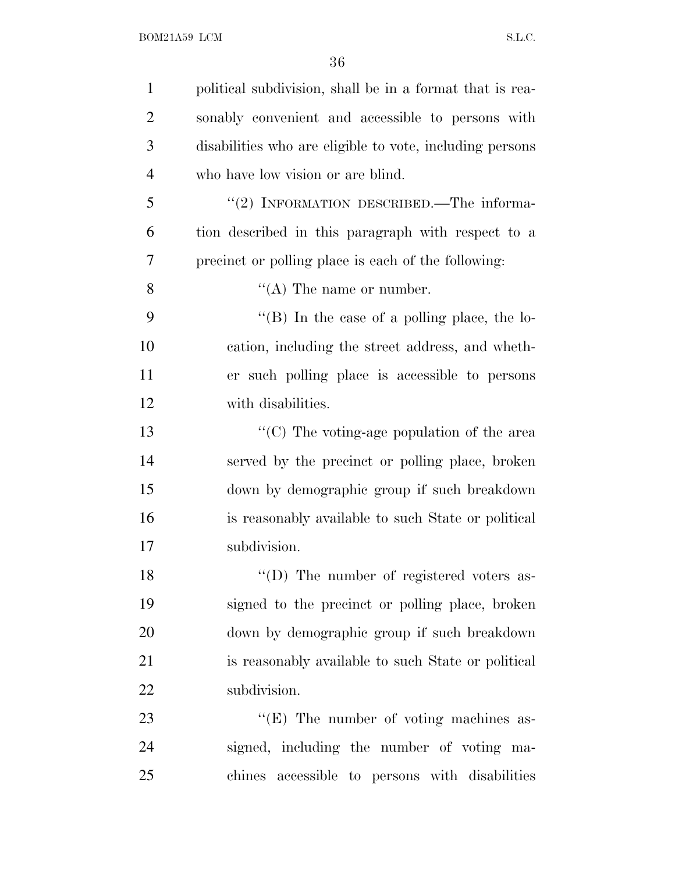| $\mathbf{1}$   | political subdivision, shall be in a format that is rea- |
|----------------|----------------------------------------------------------|
| $\overline{2}$ | sonably convenient and accessible to persons with        |
| 3              | disabilities who are eligible to vote, including persons |
| $\overline{4}$ | who have low vision or are blind.                        |
| 5              | "(2) INFORMATION DESCRIBED.—The informa-                 |
| 6              | tion described in this paragraph with respect to a       |
| 7              | precinct or polling place is each of the following:      |
| 8              | $\lq\lq$ (A) The name or number.                         |
| 9              | "(B) In the case of a polling place, the lo-             |
| 10             | cation, including the street address, and wheth-         |
| 11             | er such polling place is accessible to persons           |
| 12             | with disabilities.                                       |
| 13             | " $(C)$ The voting-age population of the area            |
| 14             | served by the precinct or polling place, broken          |
| 15             | down by demographic group if such breakdown              |
| 16             | is reasonably available to such State or political       |
| 17             | subdivision.                                             |
| 18             | "(D) The number of registered voters as-                 |
| 19             | signed to the precinct or polling place, broken          |
| 20             | down by demographic group if such breakdown              |
| 21             | is reasonably available to such State or political       |
| 22             | subdivision.                                             |
| 23             | $\lq\lq(E)$ The number of voting machines as-            |
| 24             | signed, including the number of voting ma-               |
| 25             | chines accessible to persons with disabilities           |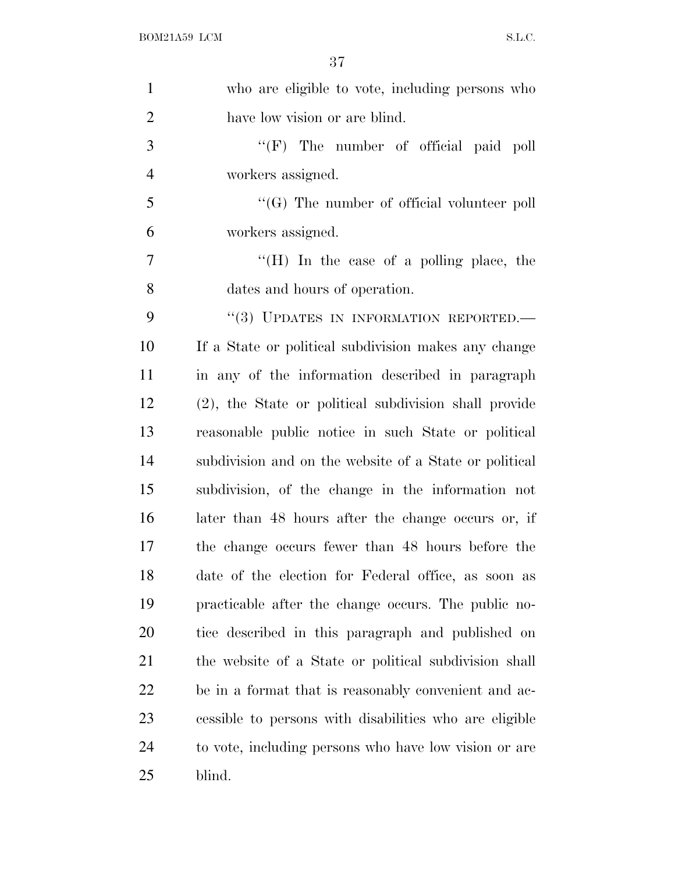| $\mathbf{1}$   | who are eligible to vote, including persons who        |
|----------------|--------------------------------------------------------|
| $\overline{2}$ | have low vision or are blind.                          |
| 3              | "(F) The number of official paid poll                  |
| $\overline{4}$ | workers assigned.                                      |
| 5              | $\lq\lq (G)$ The number of official volunteer poll     |
| 6              | workers assigned.                                      |
| $\overline{7}$ | "(H) In the case of a polling place, the               |
| 8              | dates and hours of operation.                          |
| 9              | "(3) UPDATES IN INFORMATION REPORTED.-                 |
| 10             | If a State or political subdivision makes any change   |
| 11             | in any of the information described in paragraph       |
| 12             | (2), the State or political subdivision shall provide  |
| 13             | reasonable public notice in such State or political    |
| 14             | subdivision and on the website of a State or political |
| 15             | subdivision, of the change in the information not      |
| 16             | later than 48 hours after the change occurs or, if     |
| 17             | the change occurs fewer than 48 hours before the       |
| 18             | date of the election for Federal office, as soon as    |
| 19             | practicable after the change occurs. The public no-    |
| 20             | tice described in this paragraph and published on      |
| 21             | the website of a State or political subdivision shall  |
| 22             | be in a format that is reasonably convenient and ac-   |
| 23             | cessible to persons with disabilities who are eligible |
| 24             | to vote, including persons who have low vision or are  |
| 25             | blind.                                                 |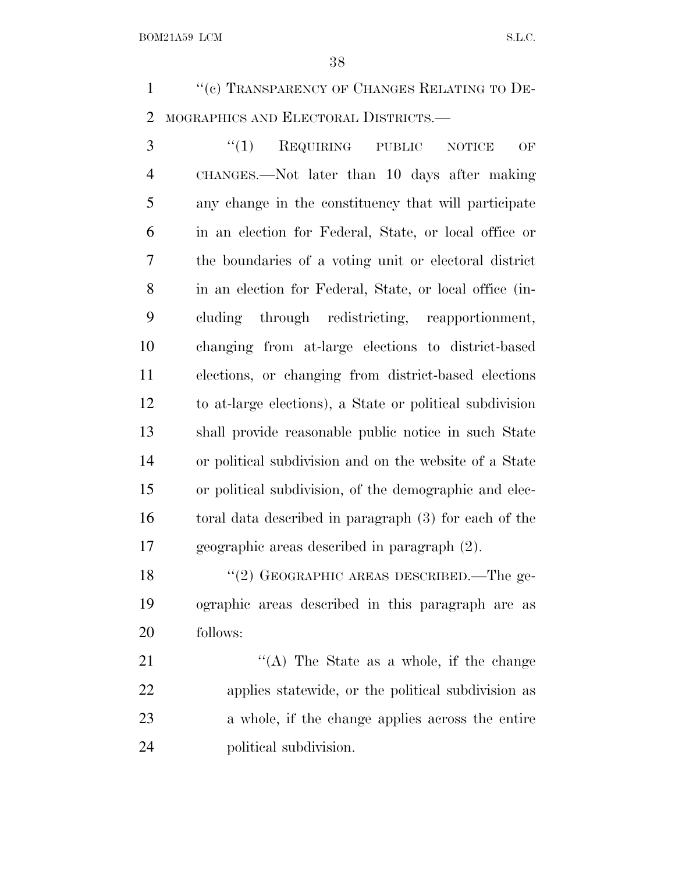1 "(c) TRANSPARENCY OF CHANGES RELATING TO DE-MOGRAPHICS AND ELECTORAL DISTRICTS.—

3 "(1) REQUIRING PUBLIC NOTICE OF CHANGES.—Not later than 10 days after making any change in the constituency that will participate in an election for Federal, State, or local office or the boundaries of a voting unit or electoral district in an election for Federal, State, or local office (in- cluding through redistricting, reapportionment, changing from at-large elections to district-based elections, or changing from district-based elections to at-large elections), a State or political subdivision shall provide reasonable public notice in such State or political subdivision and on the website of a State or political subdivision, of the demographic and elec- toral data described in paragraph (3) for each of the geographic areas described in paragraph (2).

18 "(2) GEOGRAPHIC AREAS DESCRIBED.—The ge- ographic areas described in this paragraph are as follows:

21 "'(A) The State as a whole, if the change applies statewide, or the political subdivision as a whole, if the change applies across the entire political subdivision.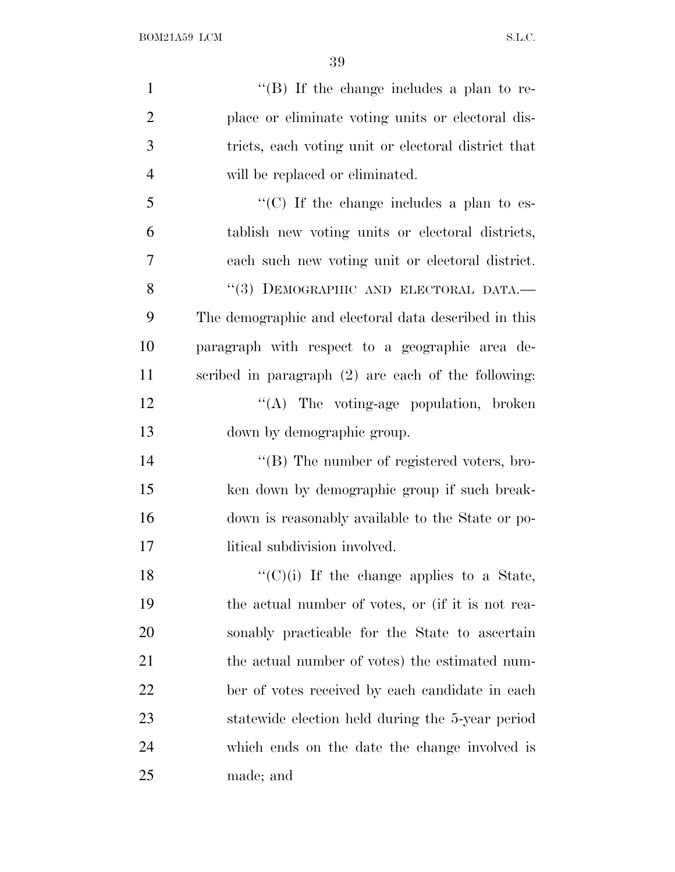| $\mathbf{1}$   | "(B) If the change includes a plan to re-             |
|----------------|-------------------------------------------------------|
| $\overline{2}$ | place or eliminate voting units or electoral dis-     |
| 3              | tricts, each voting unit or electoral district that   |
| $\overline{4}$ | will be replaced or eliminated.                       |
| 5              | " $(C)$ If the change includes a plan to es-          |
| 6              | tablish new voting units or electoral districts,      |
| $\overline{7}$ | each such new voting unit or electoral district.      |
| 8              | "(3) DEMOGRAPHIC AND ELECTORAL DATA.-                 |
| 9              | The demographic and electoral data described in this  |
| 10             | paragraph with respect to a geographic area de-       |
| 11             | scribed in paragraph $(2)$ are each of the following: |
| 12             | $\lq\lq$ . The voting-age population, broken          |
| 13             | down by demographic group.                            |
| 14             | $\lq\lq (B)$ The number of registered voters, bro-    |
| 15             | ken down by demographic group if such break-          |
| 16             | down is reasonably available to the State or po-      |
| 17             | litical subdivision involved.                         |
| 18             | $``(C)(i)$ If the change applies to a State,          |
| 19             | the actual number of votes, or (if it is not rea-     |
| 20             | sonably practicable for the State to ascertain        |
| 21             | the actual number of votes) the estimated num-        |
| 22             | ber of votes received by each candidate in each       |
| 23             | statewide election held during the 5-year period      |
| 24             | which ends on the date the change involved is         |
| 25             | made; and                                             |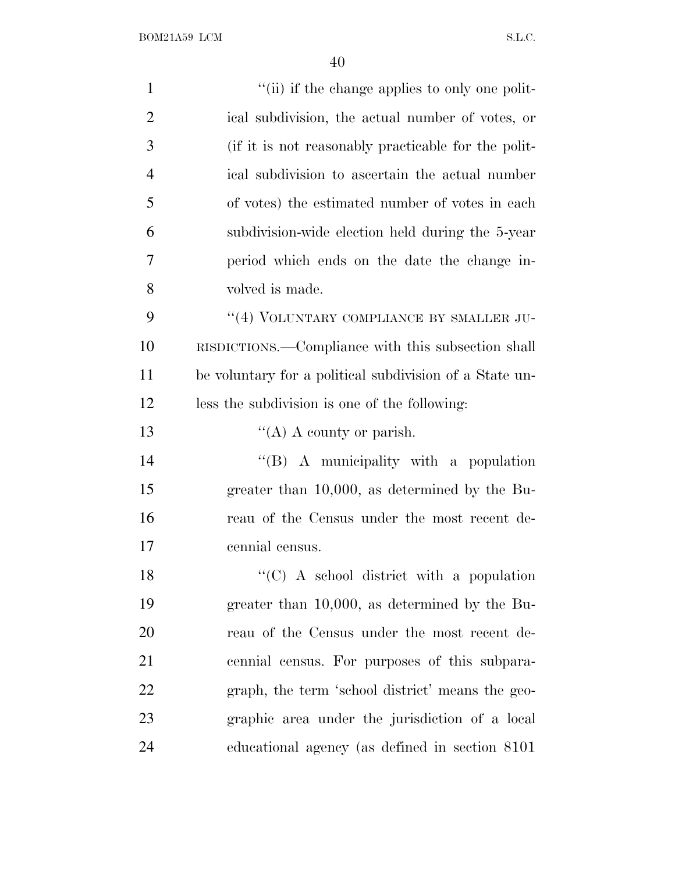| $\mathbf{1}$   | "(ii) if the change applies to only one polit-          |
|----------------|---------------------------------------------------------|
| $\overline{2}$ | ical subdivision, the actual number of votes, or        |
| 3              | (if it is not reasonably practicable for the polit-     |
| $\overline{4}$ | ical subdivision to ascertain the actual number         |
| 5              | of votes) the estimated number of votes in each         |
| 6              | subdivision-wide election held during the 5-year        |
| 7              | period which ends on the date the change in-            |
| 8              | volved is made.                                         |
| 9              | "(4) VOLUNTARY COMPLIANCE BY SMALLER JU-                |
| 10             | RISDICTIONS.—Compliance with this subsection shall      |
| 11             | be voluntary for a political subdivision of a State un- |
| 12             | less the subdivision is one of the following:           |
| 13             | "(A) A county or parish.                                |
| 14             | " $(B)$ A municipality with a population                |
| 15             | greater than $10,000$ , as determined by the Bu-        |
| 16             | reau of the Census under the most recent de-            |
| 17             | cennial census.                                         |
| 18             | "(C) A school district with a population                |
| 19             | greater than $10,000$ , as determined by the Bu-        |
| 20             | reau of the Census under the most recent de-            |
| 21             | cennial census. For purposes of this subpara-           |
| 22             | graph, the term 'school district' means the geo-        |
| 23             | graphic area under the jurisdiction of a local          |
| 24             | educational agency (as defined in section 8101)         |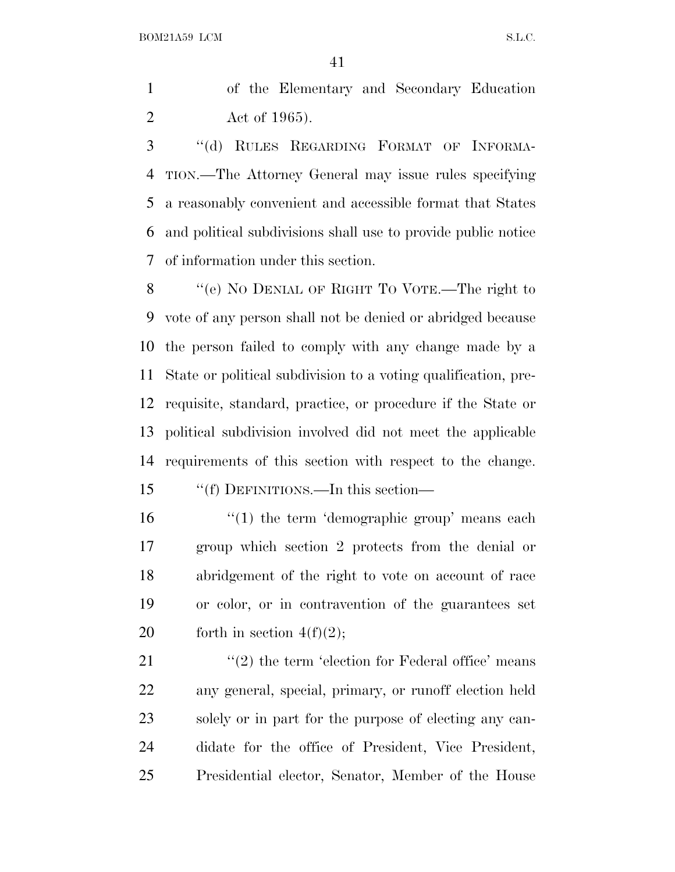of the Elementary and Secondary Education Act of 1965).

 ''(d) RULES REGARDING FORMAT OF INFORMA- TION.—The Attorney General may issue rules specifying a reasonably convenient and accessible format that States and political subdivisions shall use to provide public notice of information under this section.

 ''(e) N<sup>O</sup> DENIAL OF RIGHT T<sup>O</sup> VOTE.—The right to vote of any person shall not be denied or abridged because the person failed to comply with any change made by a State or political subdivision to a voting qualification, pre- requisite, standard, practice, or procedure if the State or political subdivision involved did not meet the applicable requirements of this section with respect to the change.

''(f) DEFINITIONS.—In this section—

16 '(1) the term 'demographic group' means each group which section 2 protects from the denial or abridgement of the right to vote on account of race or color, or in contravention of the guarantees set 20 forth in section  $4(f)(2)$ ;

 $\langle \langle 2 \rangle$  the term 'election for Federal office' means any general, special, primary, or runoff election held solely or in part for the purpose of electing any can- didate for the office of President, Vice President, Presidential elector, Senator, Member of the House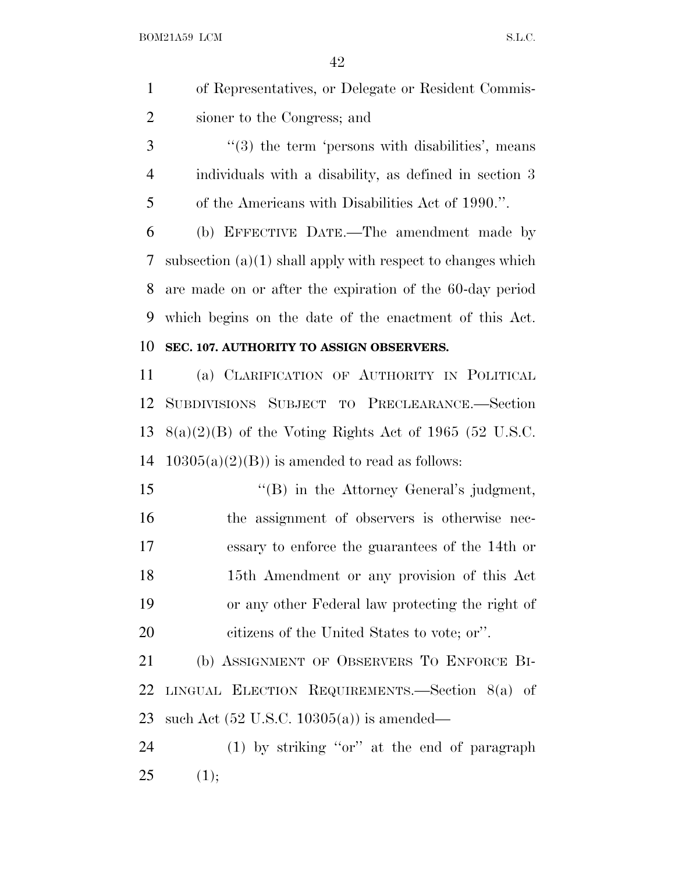- of Representatives, or Delegate or Resident Commis-sioner to the Congress; and
- 3 ''(3) the term 'persons with disabilities', means individuals with a disability, as defined in section 3 of the Americans with Disabilities Act of 1990.''.

 (b) EFFECTIVE DATE.—The amendment made by subsection (a)(1) shall apply with respect to changes which are made on or after the expiration of the 60-day period which begins on the date of the enactment of this Act. **SEC. 107. AUTHORITY TO ASSIGN OBSERVERS.**

### (a) CLARIFICATION OF AUTHORITY IN POLITICAL SUBDIVISIONS SUBJECT TO PRECLEARANCE.—Section 13  $8(a)(2)(B)$  of the Voting Rights Act of 1965 (52 U.S.C. 14  $10305(a)(2)(B)$  is amended to read as follows:

15 "(B) in the Attorney General's judgment, the assignment of observers is otherwise nec- essary to enforce the guarantees of the 14th or 15th Amendment or any provision of this Act or any other Federal law protecting the right of citizens of the United States to vote; or''.

 (b) ASSIGNMENT OF OBSERVERS T<sup>O</sup> ENFORCE BI- LINGUAL ELECTION REQUIREMENTS.—Section 8(a) of such Act (52 U.S.C. 10305(a)) is amended—

 (1) by striking ''or'' at the end of paragraph (1);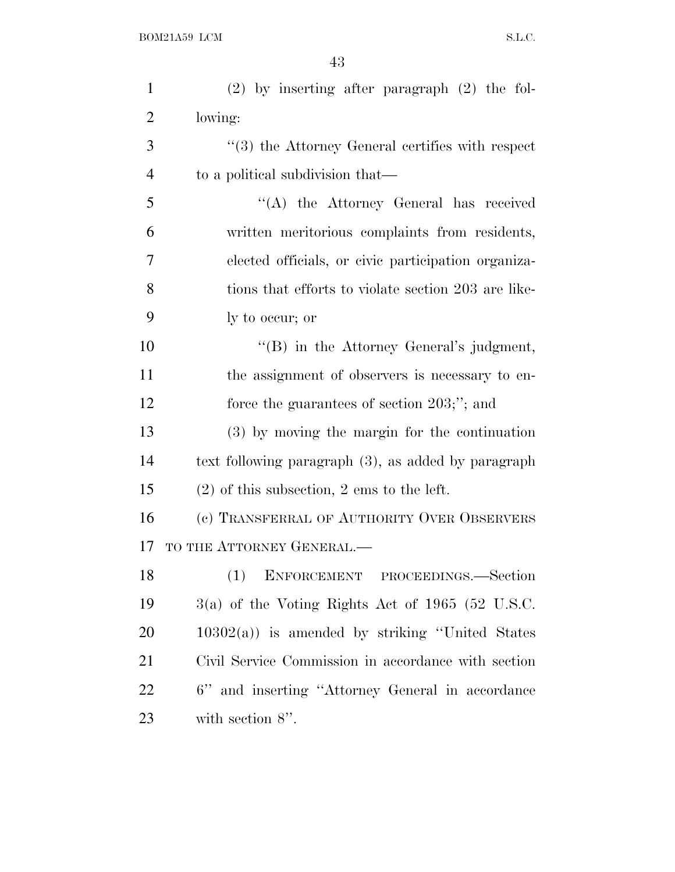| $\mathbf{1}$   | $(2)$ by inserting after paragraph $(2)$ the fol-       |
|----------------|---------------------------------------------------------|
| $\overline{2}$ | lowing:                                                 |
| 3              | $\cdot$ (3) the Attorney General certifies with respect |
| $\overline{4}$ | to a political subdivision that—                        |
| 5              | "(A) the Attorney General has received                  |
| 6              | written meritorious complaints from residents,          |
| 7              | elected officials, or civic participation organiza-     |
| 8              | tions that efforts to violate section 203 are like-     |
| 9              | ly to occur; or                                         |
| 10             | "(B) in the Attorney General's judgment,                |
| 11             | the assignment of observers is necessary to en-         |
| 12             | force the guarantees of section $203;$ "; and           |
| 13             | (3) by moving the margin for the continuation           |
| 14             | text following paragraph (3), as added by paragraph     |
| 15             | $(2)$ of this subsection, 2 ems to the left.            |
| 16             | (c) TRANSFERRAL OF AUTHORITY OVER OBSERVERS             |
| 17             | TO THE ATTORNEY GENERAL.-                               |
| 18             | ENFORCEMENT PROCEEDINGS.-Section                        |
| 19             | $3(a)$ of the Voting Rights Act of 1965 (52 U.S.C.      |
| <b>20</b>      | $10302(a)$ is amended by striking "United States"       |
| 21             | Civil Service Commission in accordance with section     |
| 22             | 6" and inserting "Attorney General in accordance        |
| 23             | with section $8$ ".                                     |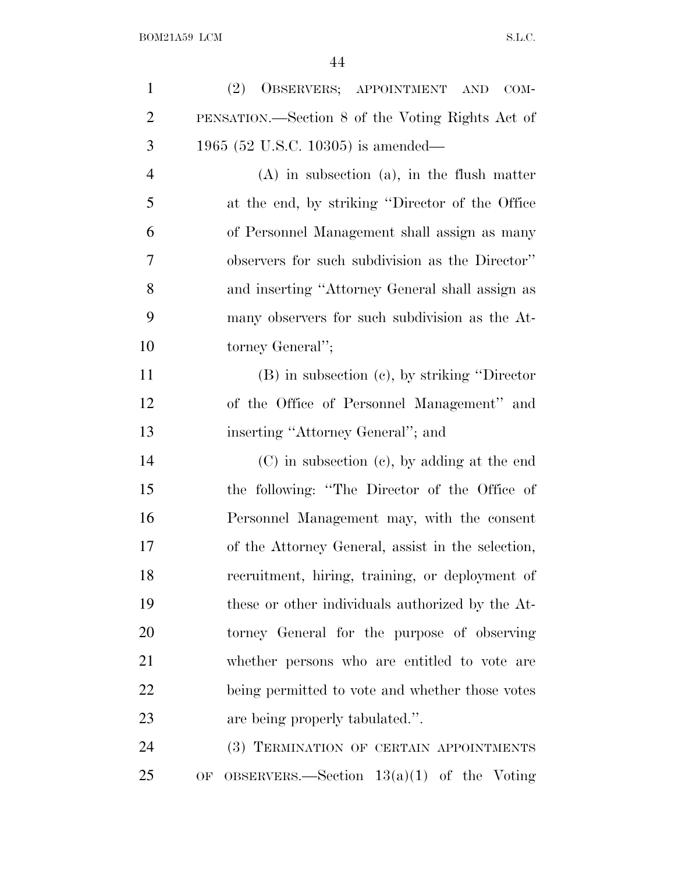| $\mathbf{1}$   | OBSERVERS; APPOINTMENT AND<br>(2)<br>$COM-$        |
|----------------|----------------------------------------------------|
| $\overline{2}$ | PENSATION.—Section 8 of the Voting Rights Act of   |
| 3              | 1965 (52 U.S.C. 10305) is amended—                 |
| $\overline{4}$ | $(A)$ in subsection $(a)$ , in the flush matter    |
| 5              | at the end, by striking "Director of the Office"   |
| 6              | of Personnel Management shall assign as many       |
| 7              | observers for such subdivision as the Director"    |
| 8              | and inserting "Attorney General shall assign as    |
| 9              | many observers for such subdivision as the At-     |
| 10             | torney General";                                   |
| 11             | $(B)$ in subsection $(e)$ , by striking "Director" |
| 12             | of the Office of Personnel Management" and         |
| 13             | inserting "Attorney General"; and                  |
| 14             | $(C)$ in subsection $(e)$ , by adding at the end   |
| 15             | the following: "The Director of the Office of      |
| 16             | Personnel Management may, with the consent         |
| 17             | of the Attorney General, assist in the selection,  |
| 18             | recruitment, hiring, training, or deployment of    |
| 19             | these or other individuals authorized by the At-   |
| 20             | torney General for the purpose of observing        |
| 21             | whether persons who are entitled to vote are       |
| 22             | being permitted to vote and whether those votes    |
| 23             | are being properly tabulated.".                    |
| 24             | (3) TERMINATION OF CERTAIN APPOINTMENTS            |
| 25             | OF OBSERVERS.—Section $13(a)(1)$ of the Voting     |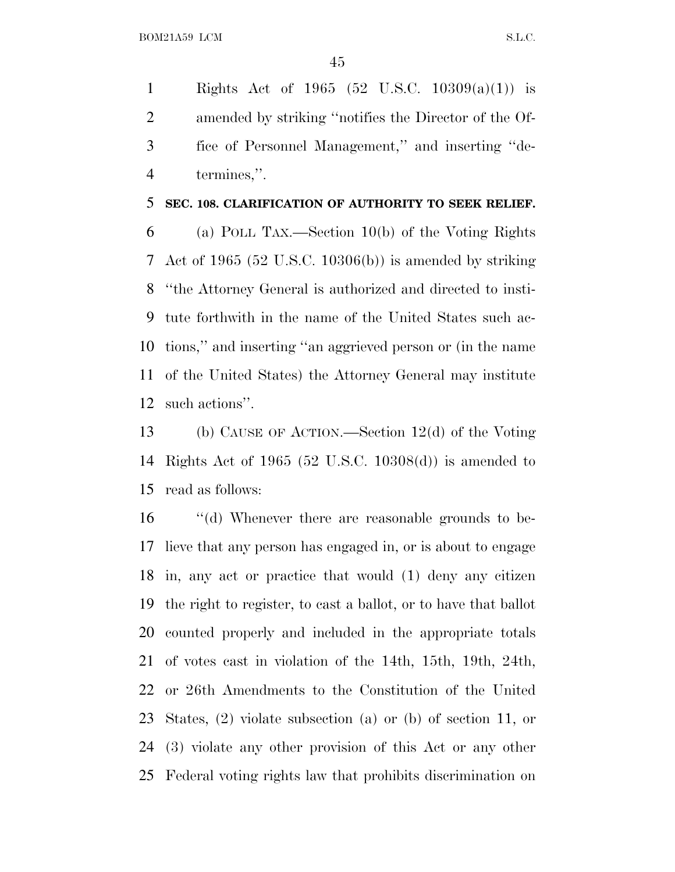Rights Act of 1965 (52 U.S.C. 10309(a)(1)) is amended by striking ''notifies the Director of the Of- fice of Personnel Management,'' and inserting ''de-termines,''.

#### **SEC. 108. CLARIFICATION OF AUTHORITY TO SEEK RELIEF.**

 (a) POLL TAX.—Section 10(b) of the Voting Rights Act of 1965 (52 U.S.C. 10306(b)) is amended by striking ''the Attorney General is authorized and directed to insti- tute forthwith in the name of the United States such ac- tions,'' and inserting ''an aggrieved person or (in the name of the United States) the Attorney General may institute such actions''.

 (b) CAUSE OF ACTION.—Section 12(d) of the Voting Rights Act of 1965 (52 U.S.C. 10308(d)) is amended to read as follows:

 ''(d) Whenever there are reasonable grounds to be- lieve that any person has engaged in, or is about to engage in, any act or practice that would (1) deny any citizen the right to register, to cast a ballot, or to have that ballot counted properly and included in the appropriate totals of votes cast in violation of the 14th, 15th, 19th, 24th, or 26th Amendments to the Constitution of the United States, (2) violate subsection (a) or (b) of section 11, or (3) violate any other provision of this Act or any other Federal voting rights law that prohibits discrimination on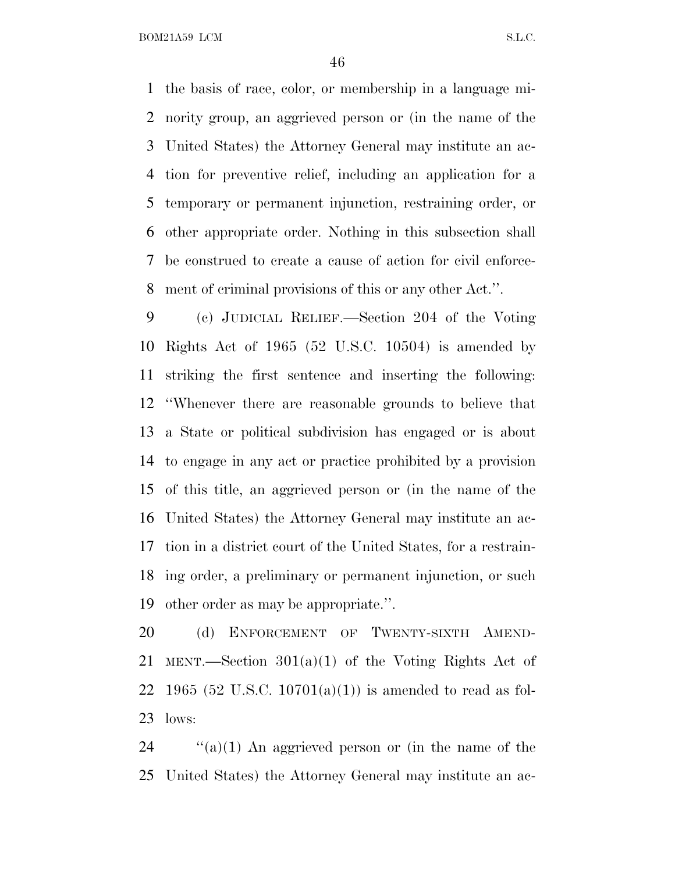the basis of race, color, or membership in a language mi- nority group, an aggrieved person or (in the name of the United States) the Attorney General may institute an ac- tion for preventive relief, including an application for a temporary or permanent injunction, restraining order, or other appropriate order. Nothing in this subsection shall be construed to create a cause of action for civil enforce-ment of criminal provisions of this or any other Act.''.

 (c) JUDICIAL RELIEF.—Section 204 of the Voting Rights Act of 1965 (52 U.S.C. 10504) is amended by striking the first sentence and inserting the following: ''Whenever there are reasonable grounds to believe that a State or political subdivision has engaged or is about to engage in any act or practice prohibited by a provision of this title, an aggrieved person or (in the name of the United States) the Attorney General may institute an ac- tion in a district court of the United States, for a restrain- ing order, a preliminary or permanent injunction, or such other order as may be appropriate.''.

 (d) ENFORCEMENT OF TWENTY-SIXTH AMEND- MENT.—Section 301(a)(1) of the Voting Rights Act of 22 1965 (52 U.S.C. 10701(a)(1)) is amended to read as fol-lows:

24  $\cdot$  (a)(1) An aggrieved person or (in the name of the United States) the Attorney General may institute an ac-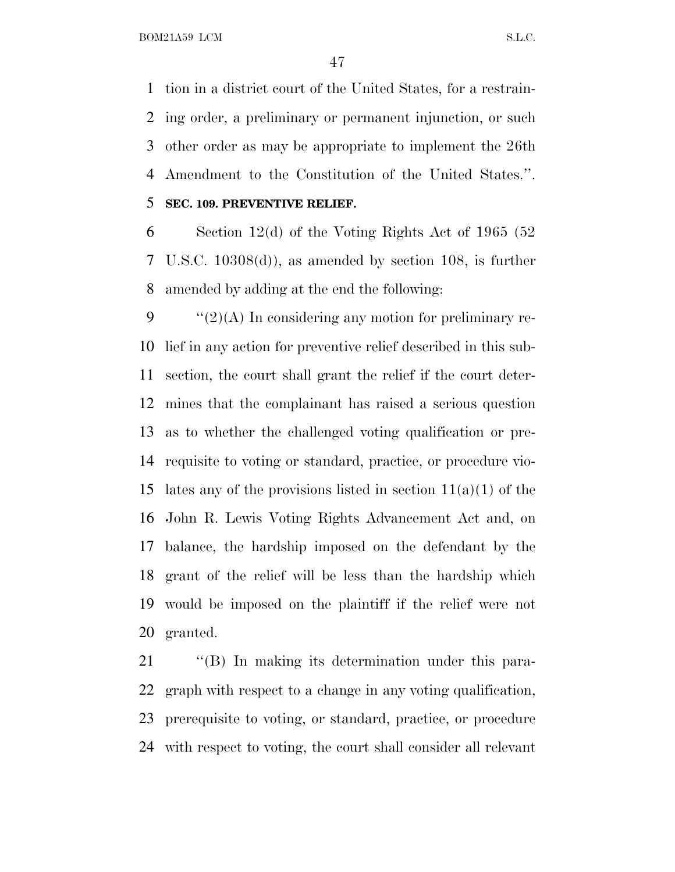tion in a district court of the United States, for a restrain- ing order, a preliminary or permanent injunction, or such other order as may be appropriate to implement the 26th Amendment to the Constitution of the United States.''. **SEC. 109. PREVENTIVE RELIEF.**

 Section 12(d) of the Voting Rights Act of 1965 (52 U.S.C. 10308(d)), as amended by section 108, is further amended by adding at the end the following:

 $\frac{1}{2}(2)$ (A) In considering any motion for preliminary re- lief in any action for preventive relief described in this sub- section, the court shall grant the relief if the court deter- mines that the complainant has raised a serious question as to whether the challenged voting qualification or pre- requisite to voting or standard, practice, or procedure vio-15 lates any of the provisions listed in section  $11(a)(1)$  of the John R. Lewis Voting Rights Advancement Act and, on balance, the hardship imposed on the defendant by the grant of the relief will be less than the hardship which would be imposed on the plaintiff if the relief were not granted.

21 "(B) In making its determination under this para- graph with respect to a change in any voting qualification, prerequisite to voting, or standard, practice, or procedure with respect to voting, the court shall consider all relevant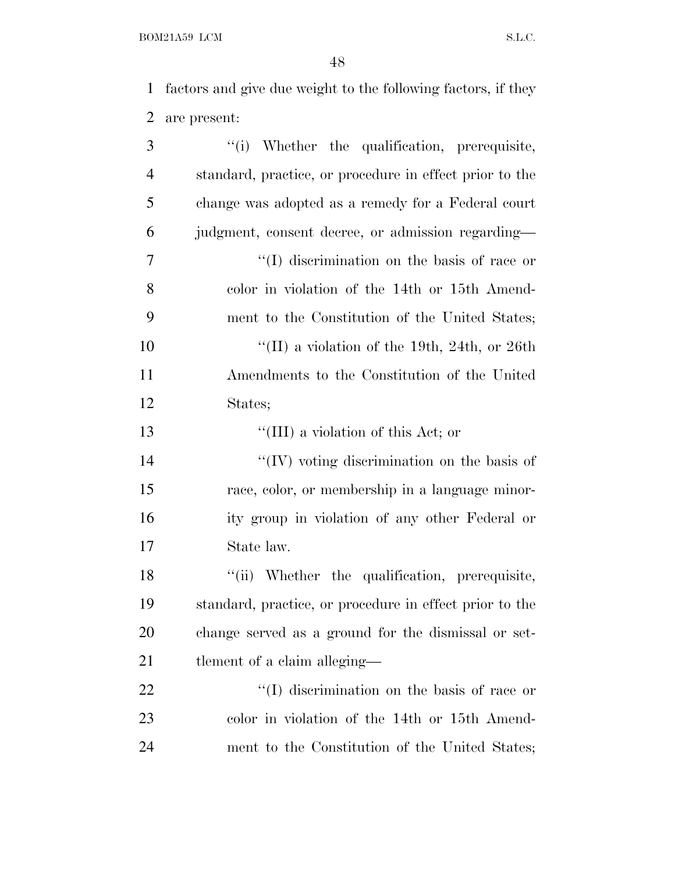factors and give due weight to the following factors, if they are present:

| 3              | "(i) Whether the qualification, prerequisite,           |
|----------------|---------------------------------------------------------|
| $\overline{4}$ | standard, practice, or procedure in effect prior to the |
| 5              | change was adopted as a remedy for a Federal court      |
| 6              | judgment, consent decree, or admission regarding—       |
| 7              | "(I) discrimination on the basis of race or             |
| 8              | color in violation of the 14th or 15th Amend-           |
| 9              | ment to the Constitution of the United States;          |
| 10             | "(II) a violation of the 19th, 24th, or 26th            |
| <sup>11</sup>  | Amendments to the Constitution of the United            |
| 12             | States;                                                 |
| 13             | "(III) a violation of this Act; or                      |
| 14             | $\lq\lq$ (IV) voting discrimination on the basis of     |
| 15             | race, color, or membership in a language minor-         |
| 16             | ity group in violation of any other Federal or          |
| 17             | State law.                                              |
| 18             | "(ii) Whether the qualification, prerequisite,          |
| 19             | standard, practice, or procedure in effect prior to the |
| 20             | change served as a ground for the dismissal or set-     |
| 21             | tlement of a claim alleging—                            |
| 22             | "(I) discrimination on the basis of race or             |
| 23             | color in violation of the 14th or 15th Amend-           |
| 24             | ment to the Constitution of the United States;          |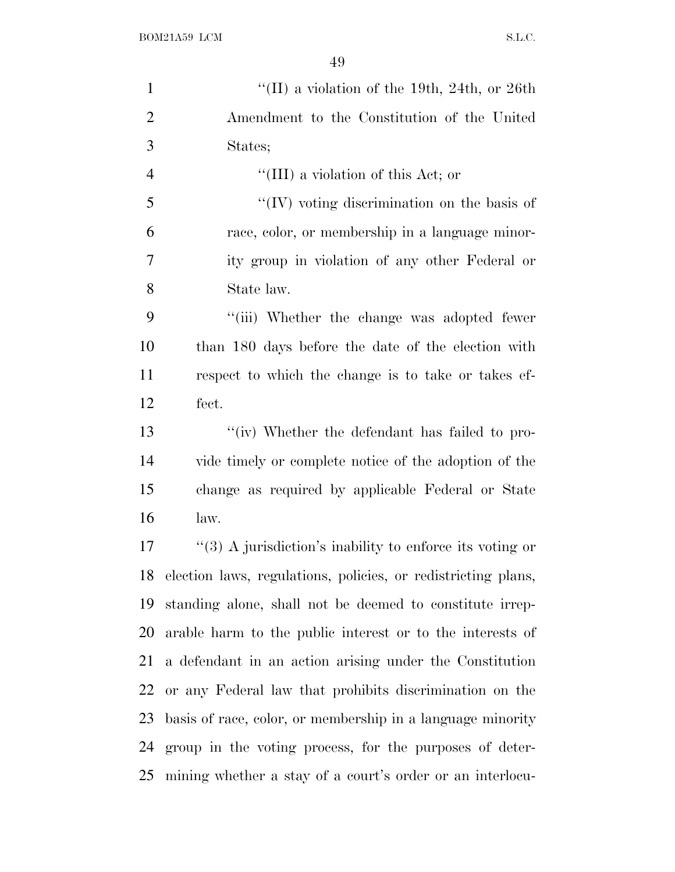| $\mathbf{1}$   | "(II) a violation of the 19th, 24th, or 26th                  |
|----------------|---------------------------------------------------------------|
| $\overline{2}$ | Amendment to the Constitution of the United                   |
| 3              | States;                                                       |
| $\overline{4}$ | "(III) a violation of this Act; or                            |
| 5              | "(IV) voting discrimination on the basis of                   |
| 6              | race, color, or membership in a language minor-               |
| 7              | ity group in violation of any other Federal or                |
| 8              | State law.                                                    |
| 9              | "(iii) Whether the change was adopted fewer                   |
| 10             | than 180 days before the date of the election with            |
| 11             | respect to which the change is to take or takes ef-           |
| 12             | fect.                                                         |
| 13             | "(iv) Whether the defendant has failed to pro-                |
| 14             | vide timely or complete notice of the adoption of the         |
| 15             | change as required by applicable Federal or State             |
| 16             | law.                                                          |
| 17             | "(3) A jurisdiction's inability to enforce its voting or      |
| 18             | election laws, regulations, policies, or redistricting plans, |
| 19             | standing alone, shall not be deemed to constitute irrep-      |
| 20             | arable harm to the public interest or to the interests of     |
| 21             | a defendant in an action arising under the Constitution       |
| 22             | or any Federal law that prohibits discrimination on the       |
| 23             | basis of race, color, or membership in a language minority    |
| 24             | group in the voting process, for the purposes of deter-       |
| 25             | mining whether a stay of a court's order or an interlocu-     |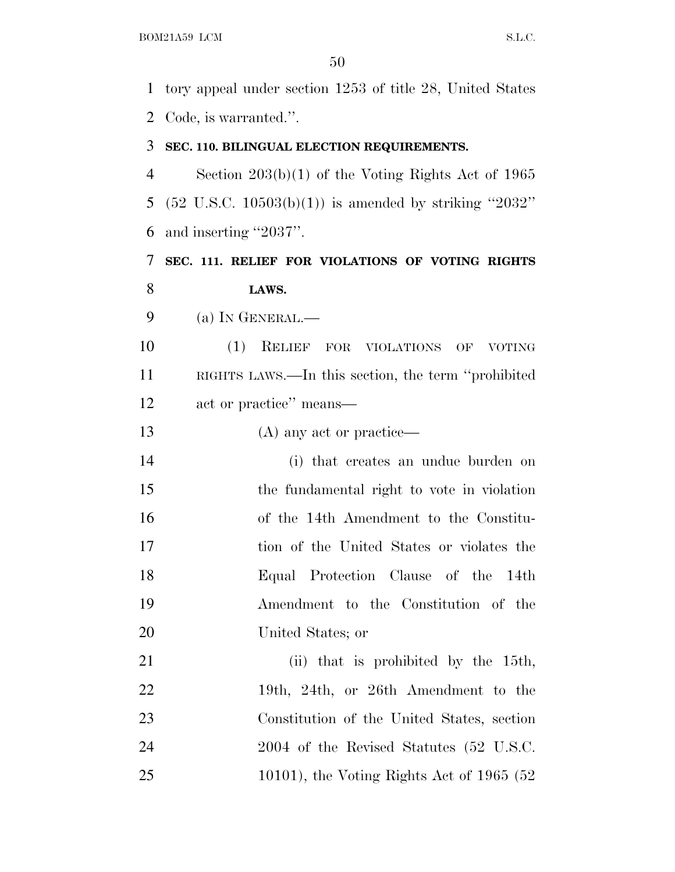tory appeal under section 1253 of title 28, United States Code, is warranted.''.

#### **SEC. 110. BILINGUAL ELECTION REQUIREMENTS.**

 Section 203(b)(1) of the Voting Rights Act of 1965 (52 U.S.C. 10503(b)(1)) is amended by striking ''2032'' and inserting ''2037''.

 **SEC. 111. RELIEF FOR VIOLATIONS OF VOTING RIGHTS LAWS.**

(a) I<sup>N</sup> GENERAL.—

 (1) RELIEF FOR VIOLATIONS OF VOTING RIGHTS LAWS.—In this section, the term ''prohibited act or practice'' means—

13 (A) any act or practice—

 (i) that creates an undue burden on the fundamental right to vote in violation of the 14th Amendment to the Constitu- tion of the United States or violates the Equal Protection Clause of the 14th Amendment to the Constitution of the United States; or

21 (ii) that is prohibited by the 15th, 22 19th, 24th, or 26th Amendment to the Constitution of the United States, section 24 2004 of the Revised Statutes (52 U.S.C. 10101), the Voting Rights Act of 1965 (52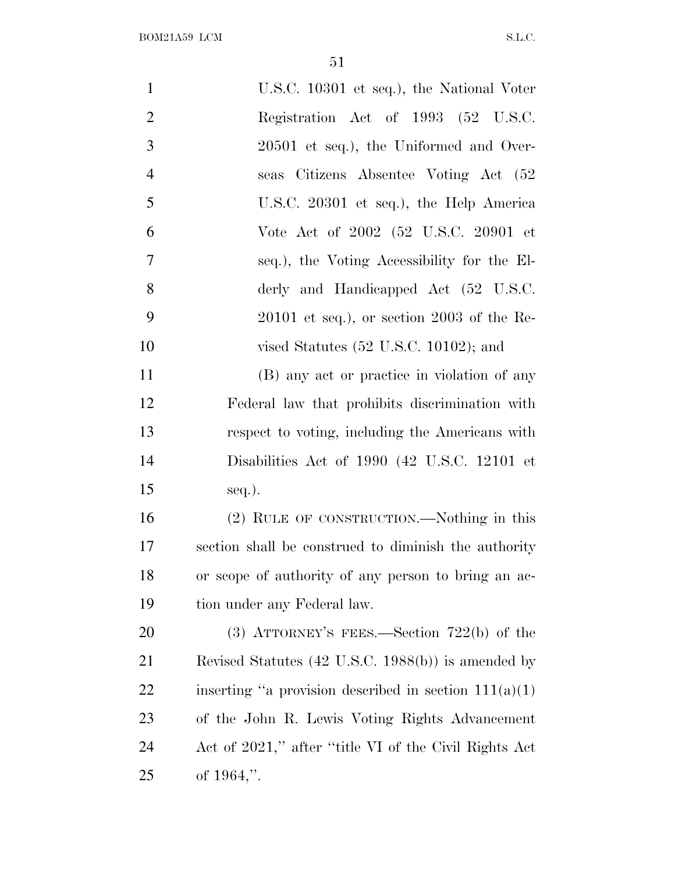| $\mathbf{1}$   | U.S.C. 10301 et seq.), the National Voter               |
|----------------|---------------------------------------------------------|
| $\overline{2}$ | Registration Act of 1993 (52 U.S.C.                     |
| 3              | 20501 et seq.), the Uniformed and Over-                 |
| $\overline{4}$ | seas Citizens Absentee Voting Act (52                   |
| 5              | U.S.C. 20301 et seq.), the Help America                 |
| 6              | Vote Act of 2002 (52 U.S.C. 20901 et                    |
| 7              | seq.), the Voting Accessibility for the El-             |
| 8              | derly and Handicapped Act (52 U.S.C.                    |
| 9              | $20101$ et seq.), or section $2003$ of the Re-          |
| 10             | vised Statutes $(52 \text{ U.S.C. } 10102)$ ; and       |
| 11             | (B) any act or practice in violation of any             |
| 12             | Federal law that prohibits discrimination with          |
| 13             | respect to voting, including the Americans with         |
| 14             | Disabilities Act of 1990 (42 U.S.C. 12101 et            |
| 15             | $seq.$ ).                                               |
| 16             | (2) RULE OF CONSTRUCTION.—Nothing in this               |
| 17             | section shall be construed to diminish the authority    |
| 18             | or scope of authority of any person to bring an ac-     |
| 19             | tion under any Federal law.                             |
| 20             | (3) ATTORNEY'S FEES.—Section $722(b)$ of the            |
| 21             | Revised Statutes (42 U.S.C. 1988(b)) is amended by      |
| 22             | inserting "a provision described in section $111(a)(1)$ |
| 23             | of the John R. Lewis Voting Rights Advancement          |
| 24             | Act of 2021," after "title VI of the Civil Rights Act   |
| 25             | of $1964$ ,".                                           |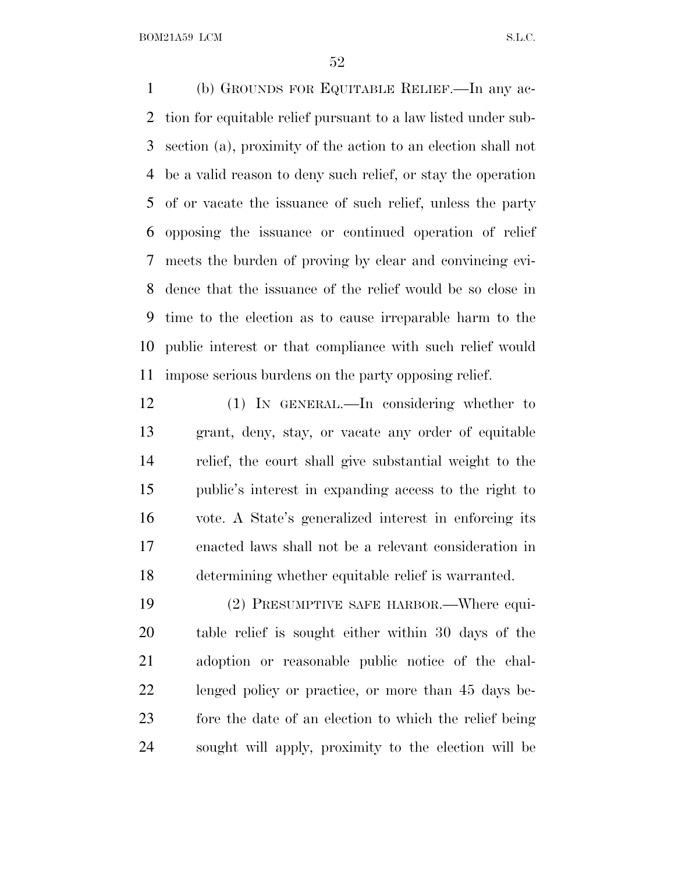(b) GROUNDS FOR EQUITABLE RELIEF.—In any ac- tion for equitable relief pursuant to a law listed under sub- section (a), proximity of the action to an election shall not be a valid reason to deny such relief, or stay the operation of or vacate the issuance of such relief, unless the party opposing the issuance or continued operation of relief meets the burden of proving by clear and convincing evi- dence that the issuance of the relief would be so close in time to the election as to cause irreparable harm to the public interest or that compliance with such relief would impose serious burdens on the party opposing relief.

 (1) IN GENERAL.—In considering whether to grant, deny, stay, or vacate any order of equitable relief, the court shall give substantial weight to the public's interest in expanding access to the right to vote. A State's generalized interest in enforcing its enacted laws shall not be a relevant consideration in determining whether equitable relief is warranted.

 (2) PRESUMPTIVE SAFE HARBOR.—Where equi- table relief is sought either within 30 days of the adoption or reasonable public notice of the chal- lenged policy or practice, or more than 45 days be- fore the date of an election to which the relief being sought will apply, proximity to the election will be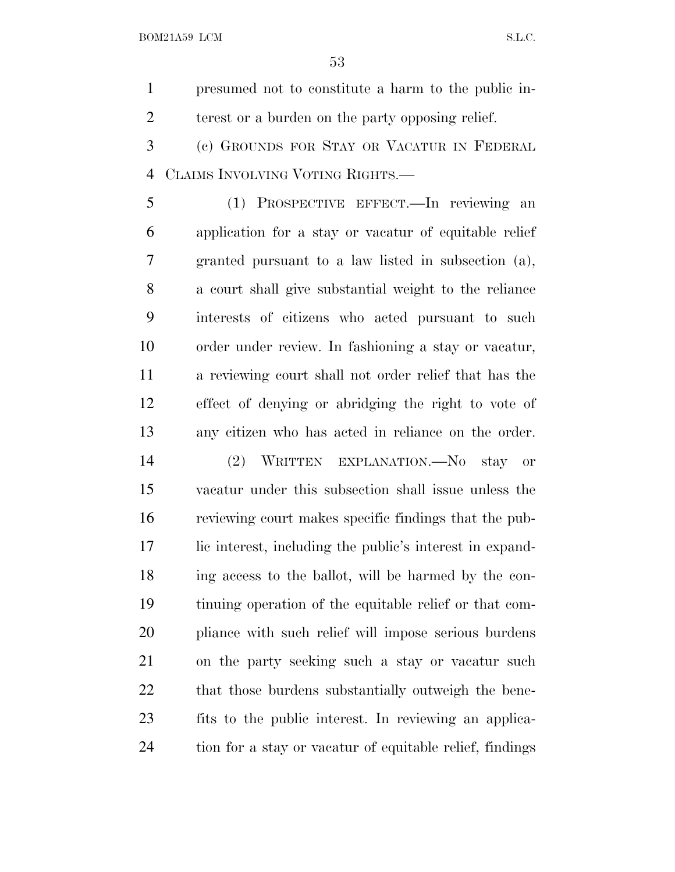presumed not to constitute a harm to the public in-terest or a burden on the party opposing relief.

 (c) GROUNDS FOR STAY OR VACATUR IN FEDERAL CLAIMS INVOLVING VOTING RIGHTS.—

 (1) PROSPECTIVE EFFECT.—In reviewing an application for a stay or vacatur of equitable relief granted pursuant to a law listed in subsection (a), a court shall give substantial weight to the reliance interests of citizens who acted pursuant to such order under review. In fashioning a stay or vacatur, a reviewing court shall not order relief that has the effect of denying or abridging the right to vote of any citizen who has acted in reliance on the order.

 (2) WRITTEN EXPLANATION.—No stay or vacatur under this subsection shall issue unless the reviewing court makes specific findings that the pub- lic interest, including the public's interest in expand- ing access to the ballot, will be harmed by the con- tinuing operation of the equitable relief or that com- pliance with such relief will impose serious burdens on the party seeking such a stay or vacatur such 22 that those burdens substantially outweigh the bene- fits to the public interest. In reviewing an applica-tion for a stay or vacatur of equitable relief, findings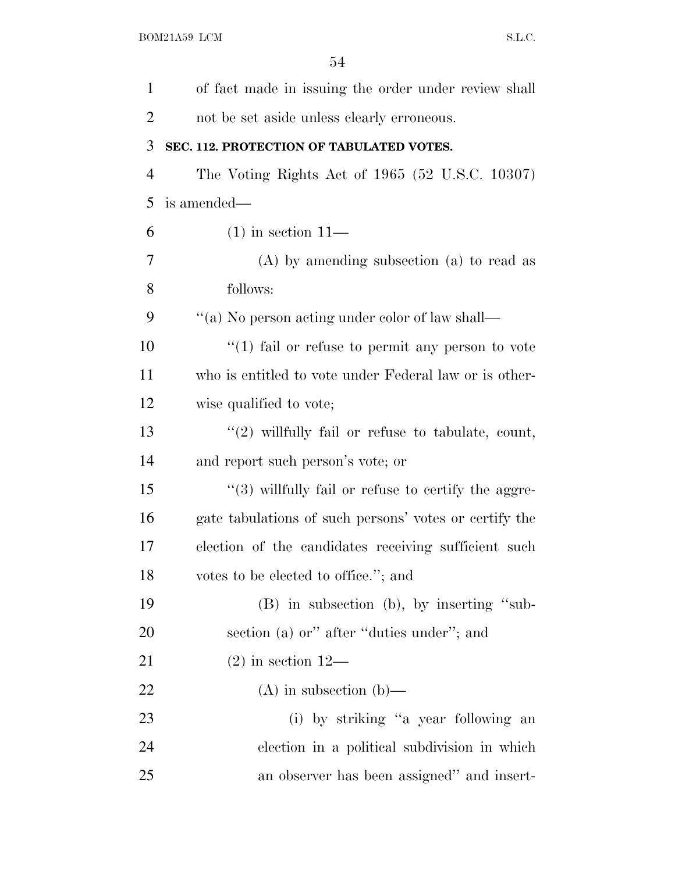| $\mathbf{1}$   | of fact made in issuing the order under review shall    |
|----------------|---------------------------------------------------------|
| $\overline{2}$ | not be set aside unless clearly erroneous.              |
| 3              | SEC. 112. PROTECTION OF TABULATED VOTES.                |
| $\overline{4}$ | The Voting Rights Act of 1965 (52 U.S.C. 10307)         |
| 5              | is amended—                                             |
| 6              | $(1)$ in section $11-$                                  |
| 7              | $(A)$ by amending subsection $(a)$ to read as           |
| 8              | follows:                                                |
| 9              | "(a) No person acting under color of law shall—         |
| 10             | $\lq(1)$ fail or refuse to permit any person to vote    |
| 11             | who is entitled to vote under Federal law or is other-  |
| 12             | wise qualified to vote;                                 |
| 13             | " $(2)$ willfully fail or refuse to tabulate, count,    |
| 14             | and report such person's vote; or                       |
| 15             | $\lq(3)$ willfully fail or refuse to certify the aggre- |
| 16             | gate tabulations of such persons' votes or certify the  |
| 17             | election of the candidates receiving sufficient such    |
| 18             | votes to be elected to office."; and                    |
| 19             | (B) in subsection (b), by inserting "sub-               |
| 20             | section (a) or" after "duties under"; and               |
| 21             | $(2)$ in section 12—                                    |
| 22             | $(A)$ in subsection $(b)$ —                             |
| 23             | (i) by striking "a year following an                    |
| 24             | election in a political subdivision in which            |
| 25             | an observer has been assigned" and insert-              |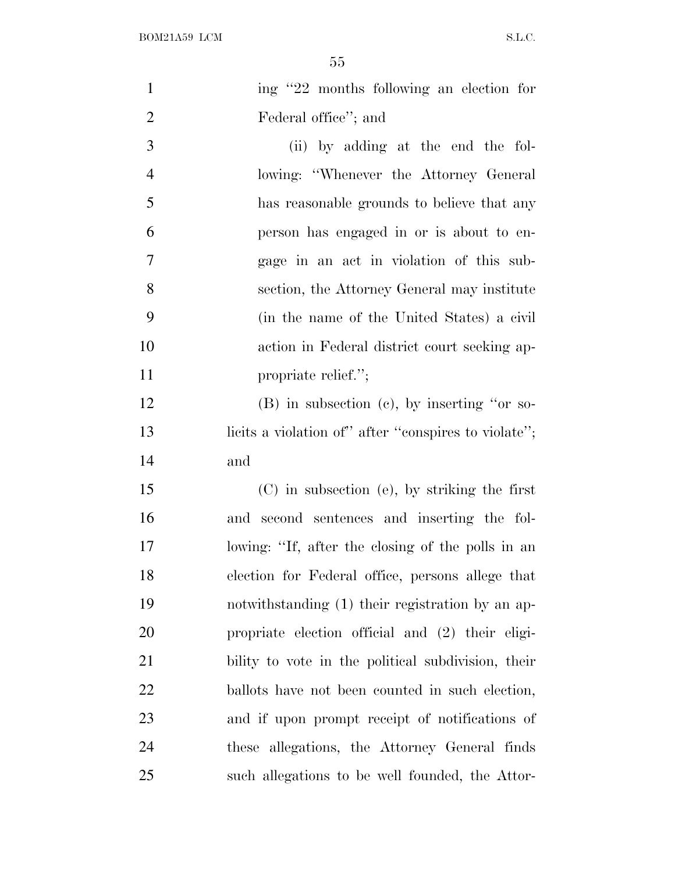| $\mathbf{1}$   | ing "22 months following an election for             |
|----------------|------------------------------------------------------|
| $\overline{2}$ | Federal office"; and                                 |
| 3              | (ii) by adding at the end the fol-                   |
| $\overline{4}$ | lowing: "Whenever the Attorney General"              |
| 5              | has reasonable grounds to believe that any           |
| 6              | person has engaged in or is about to en-             |
| $\tau$         | gage in an act in violation of this sub-             |
| 8              | section, the Attorney General may institute          |
| 9              | (in the name of the United States) a civil           |
| 10             | action in Federal district court seeking ap-         |
| 11             | propriate relief.";                                  |
| 12             | (B) in subsection (c), by inserting "or so-          |
| 13             | licits a violation of" after "conspires to violate"; |
| 14             | and                                                  |
| 15             | $(C)$ in subsection (e), by striking the first       |
| 16             | and second sentences and inserting the fol-          |
| 17             | lowing: "If, after the closing of the polls in an    |
| 18             | election for Federal office, persons allege that     |
| 19             | notwithstanding (1) their registration by an ap-     |
| <b>20</b>      | propriate election official and (2) their eligi-     |
| 21             | bility to vote in the political subdivision, their   |
| 22             | ballots have not been counted in such election,      |
| 23             | and if upon prompt receipt of notifications of       |
| 24             | these allegations, the Attorney General finds        |
| 25             | such allegations to be well founded, the Attor-      |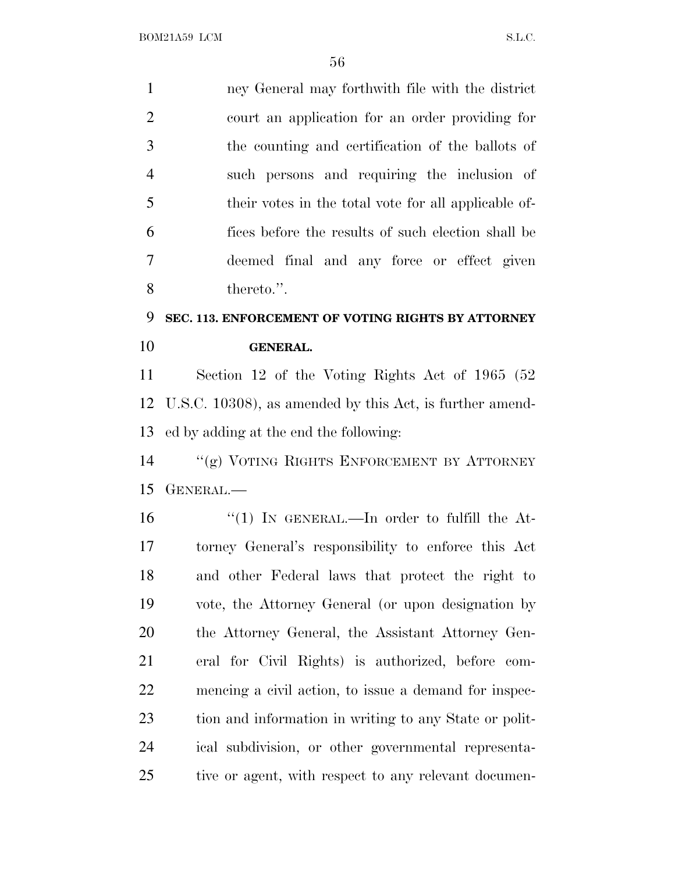ney General may forthwith file with the district court an application for an order providing for the counting and certification of the ballots of such persons and requiring the inclusion of their votes in the total vote for all applicable of- fices before the results of such election shall be deemed final and any force or effect given thereto.''. **SEC. 113. ENFORCEMENT OF VOTING RIGHTS BY ATTORNEY**

# **GENERAL.**

 Section 12 of the Voting Rights Act of 1965 (52 U.S.C. 10308), as amended by this Act, is further amend-ed by adding at the end the following:

 ''(g) VOTING RIGHTS ENFORCEMENT BY ATTORNEY GENERAL.—

 $\frac{1}{1}$  In GENERAL.—In order to fulfill the At- torney General's responsibility to enforce this Act and other Federal laws that protect the right to vote, the Attorney General (or upon designation by the Attorney General, the Assistant Attorney Gen- eral for Civil Rights) is authorized, before com- mencing a civil action, to issue a demand for inspec- tion and information in writing to any State or polit- ical subdivision, or other governmental representa-tive or agent, with respect to any relevant documen-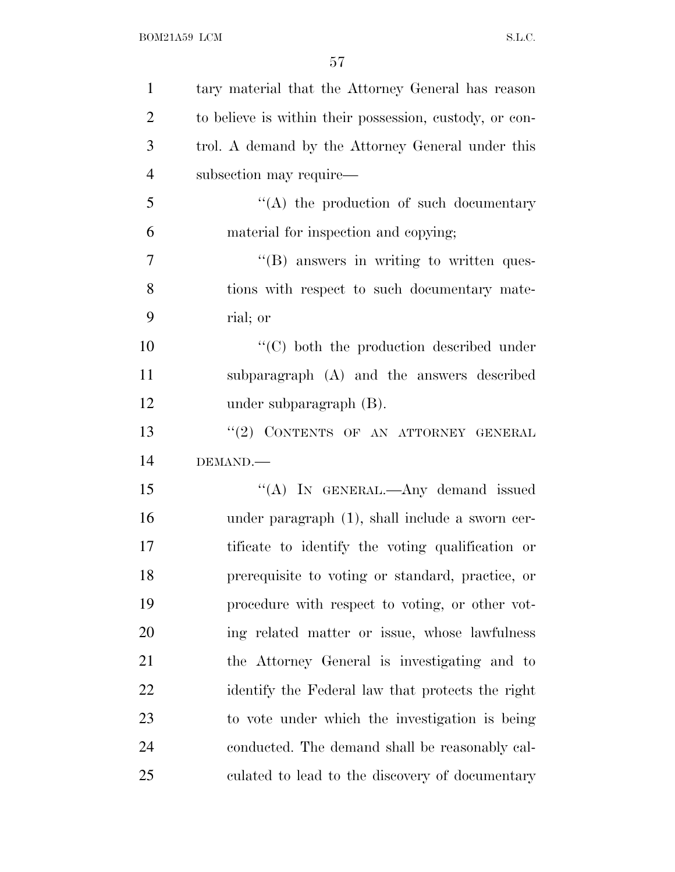| $\mathbf{1}$   | tary material that the Attorney General has reason      |
|----------------|---------------------------------------------------------|
| $\overline{2}$ | to believe is within their possession, custody, or con- |
| 3              | trol. A demand by the Attorney General under this       |
| $\overline{4}$ | subsection may require—                                 |
| 5              | $\lq\lq$ the production of such documentary             |
| 6              | material for inspection and copying;                    |
| $\tau$         | $\lq\lq$ (B) answers in writing to written ques-        |
| 8              | tions with respect to such documentary mate-            |
| 9              | rial; or                                                |
| 10             | "(C) both the production described under                |
| 11             | subparagraph (A) and the answers described              |
| 12             | under subparagraph $(B)$ .                              |
| 13             | "(2) CONTENTS OF AN ATTORNEY GENERAL                    |
| 14             | DEMAND.                                                 |
| 15             | "(A) IN GENERAL.—Any demand issued                      |
| 16             | under paragraph (1), shall include a sworn cer-         |
| 17             | tificate to identify the voting qualification or        |
| 18             | prerequisite to voting or standard, practice, or        |
| 19             | procedure with respect to voting, or other vot-         |
| 20             | ing related matter or issue, whose lawfulness           |
| 21             | the Attorney General is investigating and to            |
| 22             | identify the Federal law that protects the right        |
| 23             | to vote under which the investigation is being          |
| 24             | conducted. The demand shall be reasonably cal-          |
| 25             | culated to lead to the discovery of documentary         |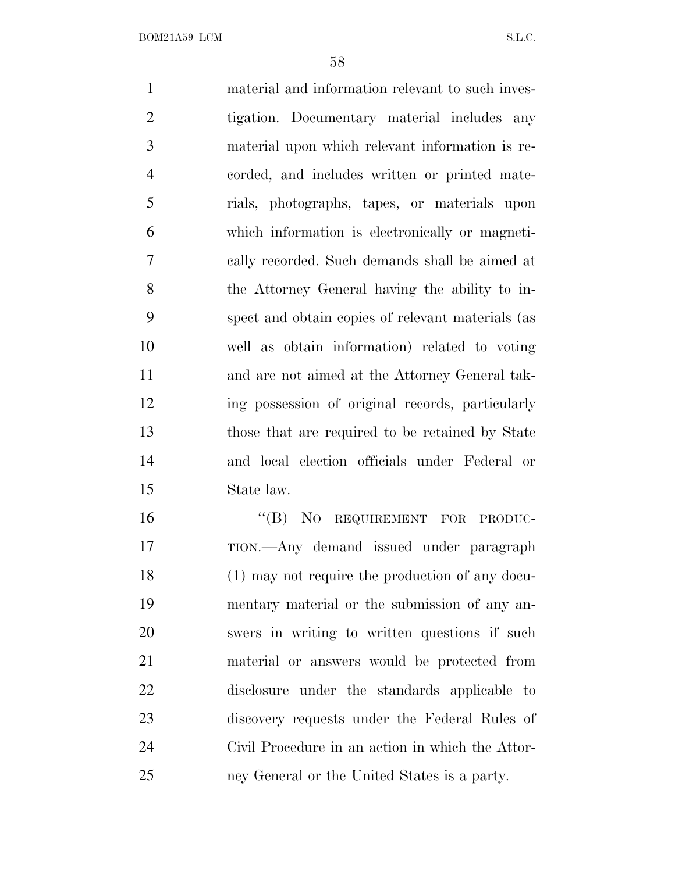material and information relevant to such inves- tigation. Documentary material includes any material upon which relevant information is re- corded, and includes written or printed mate- rials, photographs, tapes, or materials upon which information is electronically or magneti- cally recorded. Such demands shall be aimed at the Attorney General having the ability to in- spect and obtain copies of relevant materials (as well as obtain information) related to voting and are not aimed at the Attorney General tak- ing possession of original records, particularly those that are required to be retained by State and local election officials under Federal or State law. 16 "(B) NO REQUIREMENT FOR PRODUC- TION.—Any demand issued under paragraph (1) may not require the production of any docu- mentary material or the submission of any an- swers in writing to written questions if such material or answers would be protected from disclosure under the standards applicable to discovery requests under the Federal Rules of Civil Procedure in an action in which the Attor-

ney General or the United States is a party.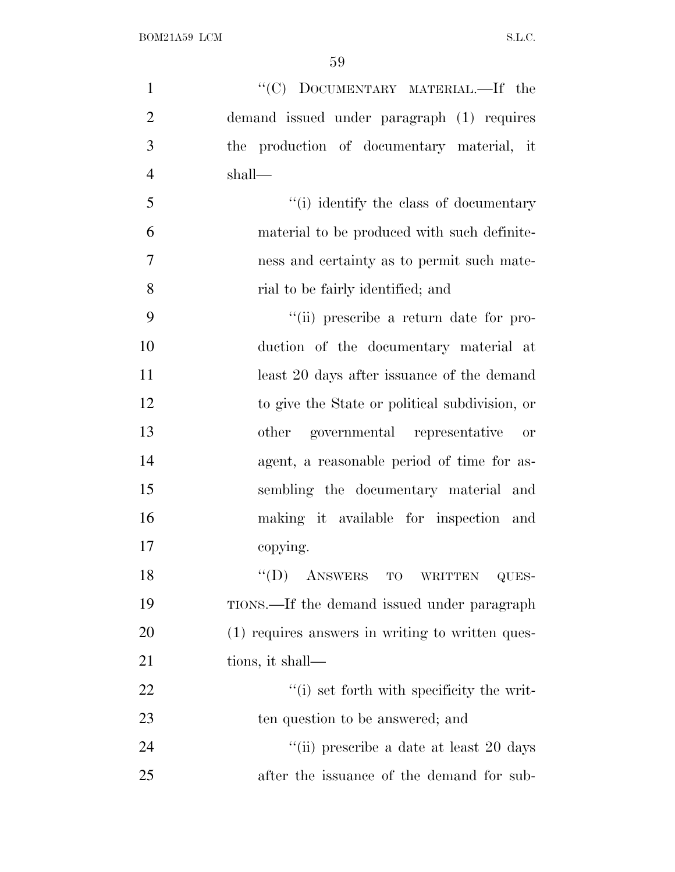| $\mathbf{1}$   | "(C) DOCUMENTARY MATERIAL.—If the                |
|----------------|--------------------------------------------------|
| $\overline{2}$ | demand issued under paragraph (1) requires       |
| 3              | the production of documentary material, it       |
| $\overline{4}$ | shall—                                           |
| 5              | "(i) identify the class of documentary           |
| 6              | material to be produced with such definite-      |
| $\tau$         | ness and certainty as to permit such mate-       |
| 8              | rial to be fairly identified; and                |
| 9              | "(ii) prescribe a return date for pro-           |
| 10             | duction of the documentary material at           |
| 11             | least 20 days after issuance of the demand       |
| 12             | to give the State or political subdivision, or   |
| 13             | other governmental representative<br>or          |
| 14             | agent, a reasonable period of time for as-       |
| 15             | sembling the documentary material and            |
| 16             | making it available for inspection and           |
| 17             | copying.                                         |
| 18             | ANSWERS TO WRITTEN<br>``(D)<br>QUES-             |
| 19             | TIONS.—If the demand issued under paragraph      |
| 20             | (1) requires answers in writing to written ques- |
| 21             | tions, it shall—                                 |
| 22             | "(i) set forth with specificity the writ-        |
| 23             | ten question to be answered; and                 |
| 24             | "(ii) prescribe a date at least 20 days          |
| 25             | after the issuance of the demand for sub-        |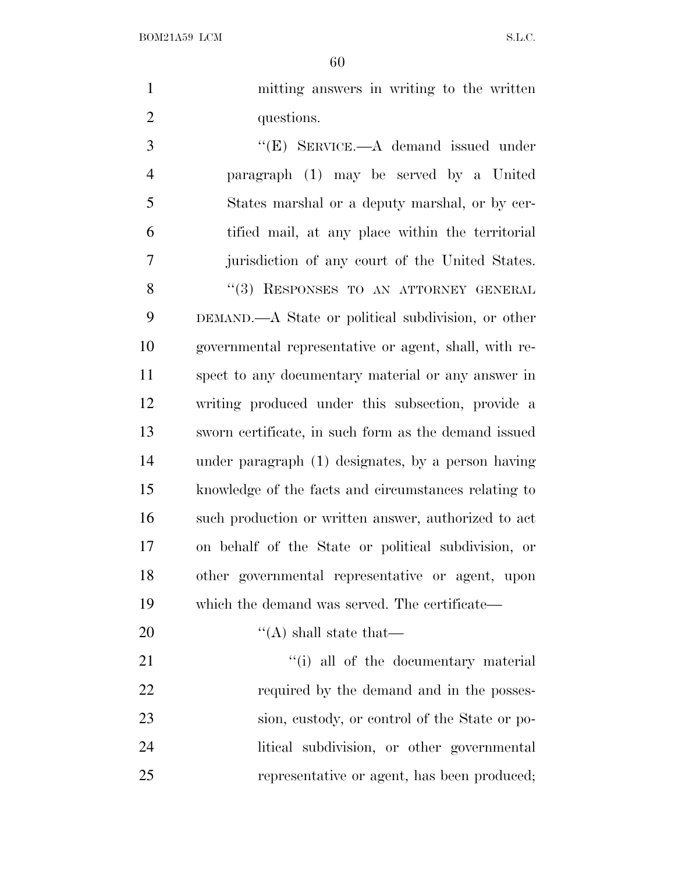mitting answers in writing to the written 2 questions.

3 "(E) SERVICE.—A demand issued under paragraph (1) may be served by a United States marshal or a deputy marshal, or by cer- tified mail, at any place within the territorial jurisdiction of any court of the United States. 8 "(3) RESPONSES TO AN ATTORNEY GENERAL DEMAND.—A State or political subdivision, or other governmental representative or agent, shall, with re- spect to any documentary material or any answer in writing produced under this subsection, provide a sworn certificate, in such form as the demand issued under paragraph (1) designates, by a person having knowledge of the facts and circumstances relating to such production or written answer, authorized to act on behalf of the State or political subdivision, or other governmental representative or agent, upon which the demand was served. The certificate—

20  $\text{``(A) shall state that}$ 

21 ''(i) all of the documentary material 22 required by the demand and in the posses- sion, custody, or control of the State or po- litical subdivision, or other governmental representative or agent, has been produced;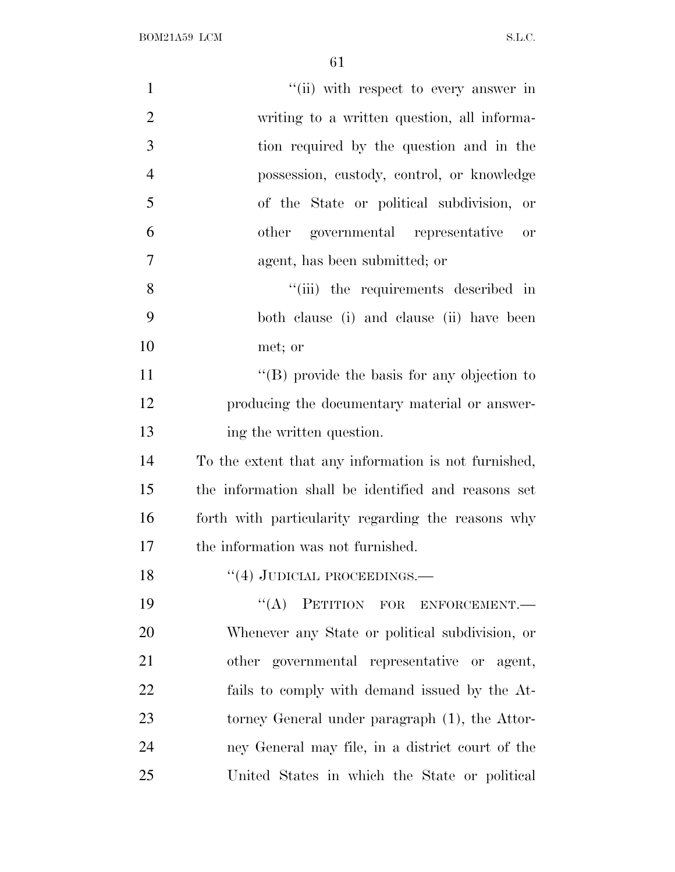| $\mathbf{1}$   | "(ii) with respect to every answer in                      |
|----------------|------------------------------------------------------------|
| $\overline{2}$ | writing to a written question, all informa-                |
| 3              | tion required by the question and in the                   |
| $\overline{4}$ | possession, custody, control, or knowledge                 |
| 5              | of the State or political subdivision, or                  |
| 6              | other governmental representative<br>$\hbox{or}\hskip 2mm$ |
| $\overline{7}$ | agent, has been submitted; or                              |
| 8              | "(iii) the requirements described in                       |
| 9              | both clause (i) and clause (ii) have been                  |
| 10             | met; or                                                    |
| 11             | $\lq\lq$ (B) provide the basis for any objection to        |
| 12             | producing the documentary material or answer-              |
| 13             | ing the written question.                                  |
| 14             | To the extent that any information is not furnished,       |
| 15             | the information shall be identified and reasons set        |
| 16             | forth with particularity regarding the reasons why         |
| 17             | the information was not furnished.                         |
| 18             | $``(4)$ JUDICIAL PROCEEDINGS.—                             |
| 19             | "(A) PETITION FOR ENFORCEMENT.-                            |
| 20             | Whenever any State or political subdivision, or            |
| 21             | other governmental representative or agent,                |
| 22             | fails to comply with demand issued by the At-              |
| 23             | torney General under paragraph (1), the Attor-             |
| 24             | ney General may file, in a district court of the           |
| 25             | United States in which the State or political              |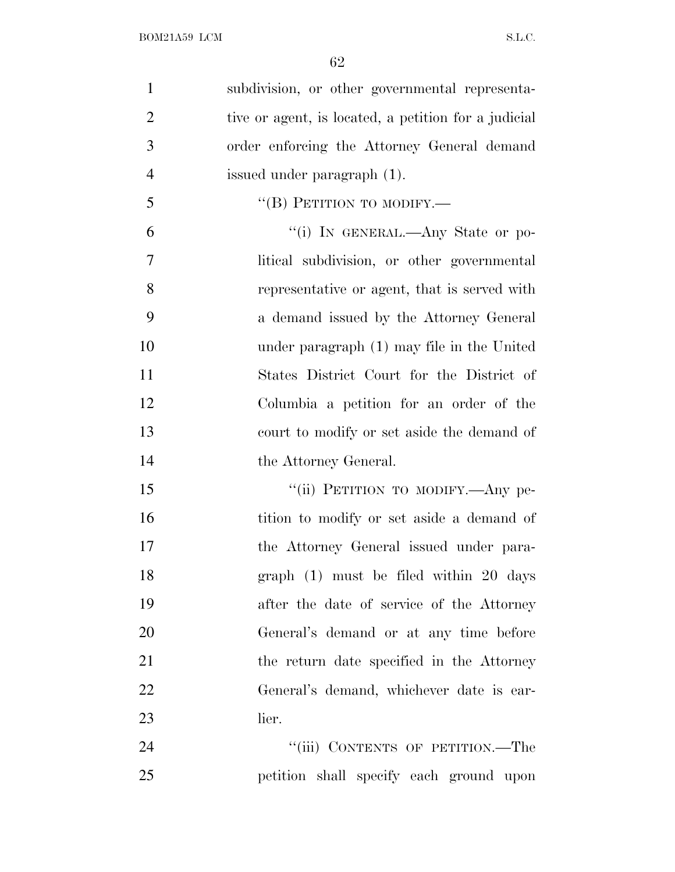| $\mathbf{1}$   | subdivision, or other governmental representa-       |
|----------------|------------------------------------------------------|
| $\overline{2}$ | tive or agent, is located, a petition for a judicial |
| 3              | order enforcing the Attorney General demand          |
| $\overline{4}$ | issued under paragraph (1).                          |
| 5              | "(B) PETITION TO MODIFY.—                            |
| 6              | "(i) IN GENERAL.—Any State or po-                    |
| $\overline{7}$ | litical subdivision, or other governmental           |
| 8              | representative or agent, that is served with         |
| 9              | a demand issued by the Attorney General              |
| 10             | under paragraph (1) may file in the United           |
| 11             | States District Court for the District of            |
| 12             | Columbia a petition for an order of the              |
| 13             | court to modify or set aside the demand of           |
| 14             | the Attorney General.                                |
| 15             | "(ii) PETITION TO MODIFY.—Any pe-                    |
| 16             | tition to modify or set aside a demand of            |
| 17             | the Attorney General issued under para-              |
| 18             | graph $(1)$ must be filed within 20 days             |
| 19             | after the date of service of the Attorney            |
| 20             | General's demand or at any time before               |
| 21             | the return date specified in the Attorney            |
| 22             | General's demand, whichever date is ear-             |
| 23             | lier.                                                |
| 24             | "(iii) CONTENTS OF PETITION.—The                     |
| 25             | petition shall specify each ground upon              |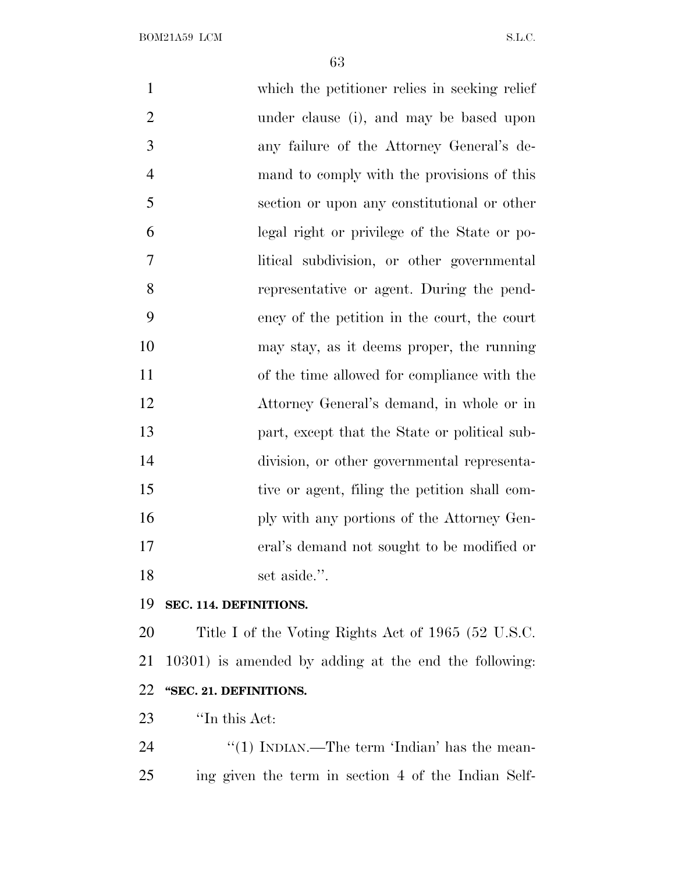which the petitioner relies in seeking relief under clause (i), and may be based upon any failure of the Attorney General's de- mand to comply with the provisions of this section or upon any constitutional or other legal right or privilege of the State or po- litical subdivision, or other governmental representative or agent. During the pend- ency of the petition in the court, the court may stay, as it deems proper, the running of the time allowed for compliance with the Attorney General's demand, in whole or in part, except that the State or political sub- division, or other governmental representa- tive or agent, filing the petition shall com-16 ply with any portions of the Attorney Gen- eral's demand not sought to be modified or 18 set aside.".

#### **SEC. 114. DEFINITIONS.**

 Title I of the Voting Rights Act of 1965 (52 U.S.C. 10301) is amended by adding at the end the following: **''SEC. 21. DEFINITIONS.**

*''*In this Act:

24 ''(1) INDIAN.—The term 'Indian' has the mean-ing given the term in section 4 of the Indian Self-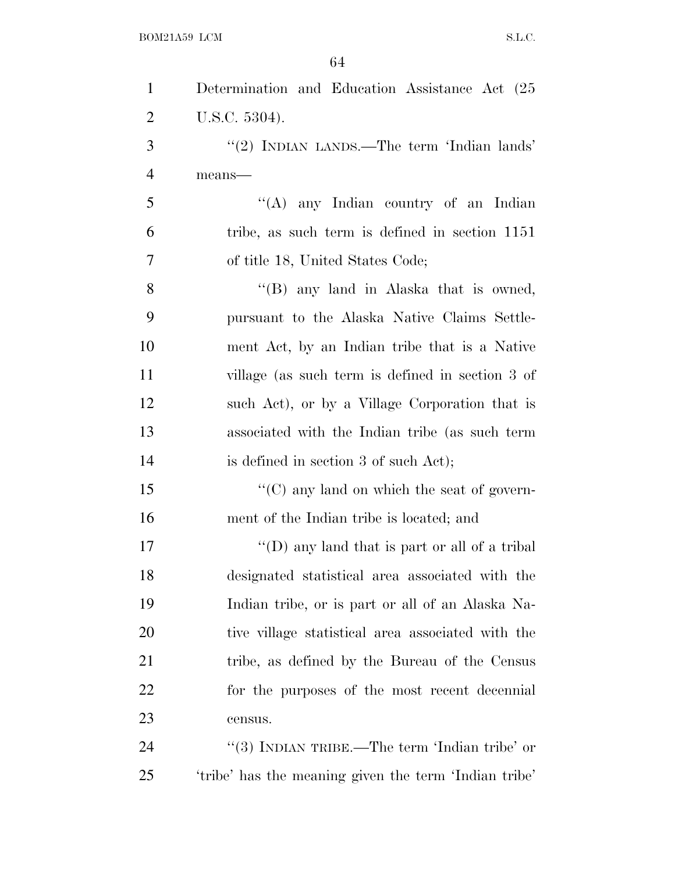| $\mathbf{1}$   | Determination and Education Assistance Act (25)       |
|----------------|-------------------------------------------------------|
| 2              | U.S.C. 5304).                                         |
| 3              | "(2) INDIAN LANDS.—The term 'Indian lands'            |
| $\overline{4}$ | means-                                                |
| 5              | "(A) any Indian country of an Indian                  |
| 6              | tribe, as such term is defined in section 1151        |
| 7              | of title 18, United States Code;                      |
| 8              | " $(B)$ any land in Alaska that is owned,             |
| 9              | pursuant to the Alaska Native Claims Settle-          |
| 10             | ment Act, by an Indian tribe that is a Native         |
| 11             | village (as such term is defined in section 3 of      |
| 12             | such Act), or by a Village Corporation that is        |
| 13             | associated with the Indian tribe (as such term        |
| 14             | is defined in section 3 of such Act);                 |
| 15             | $\lq\lq$ (C) any land on which the seat of govern-    |
| 16             | ment of the Indian tribe is located; and              |
| 17             | "(D) any land that is part or all of a tribal         |
| 18             | designated statistical area associated with the       |
| 19             | Indian tribe, or is part or all of an Alaska Na-      |
| 20             | tive village statistical area associated with the     |
| 21             | tribe, as defined by the Bureau of the Census         |
| <u>22</u>      | for the purposes of the most recent decennial         |
| 23             | census.                                               |
| 24             | "(3) INDIAN TRIBE.—The term 'Indian tribe' or         |
| 25             | 'tribe' has the meaning given the term 'Indian tribe' |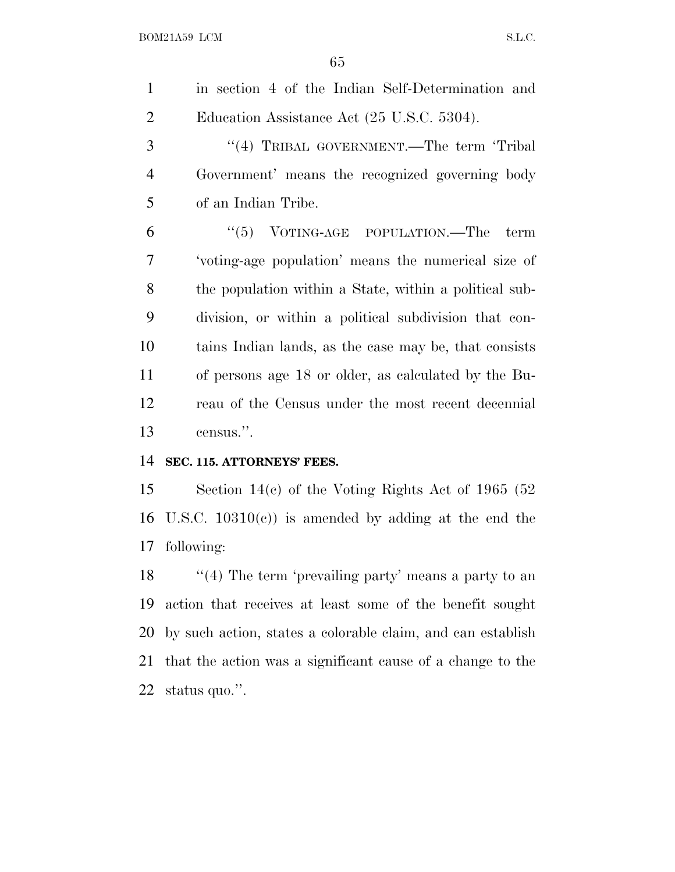in section 4 of the Indian Self-Determination and 2 Education Assistance Act (25 U.S.C. 5304).

3 "(4) TRIBAL GOVERNMENT.—The term 'Tribal Government' means the recognized governing body of an Indian Tribe.

 ''(5) VOTING-AGE POPULATION.—The term 'voting-age population' means the numerical size of the population within a State, within a political sub- division, or within a political subdivision that con- tains Indian lands, as the case may be, that consists of persons age 18 or older, as calculated by the Bu- reau of the Census under the most recent decennial census.''.

#### **SEC. 115. ATTORNEYS' FEES.**

 Section 14(c) of the Voting Rights Act of 1965 (52 16 U.S.C.  $10310(c)$  is amended by adding at the end the following:

18 ''(4) The term 'prevailing party' means a party to an action that receives at least some of the benefit sought by such action, states a colorable claim, and can establish that the action was a significant cause of a change to the status quo.''.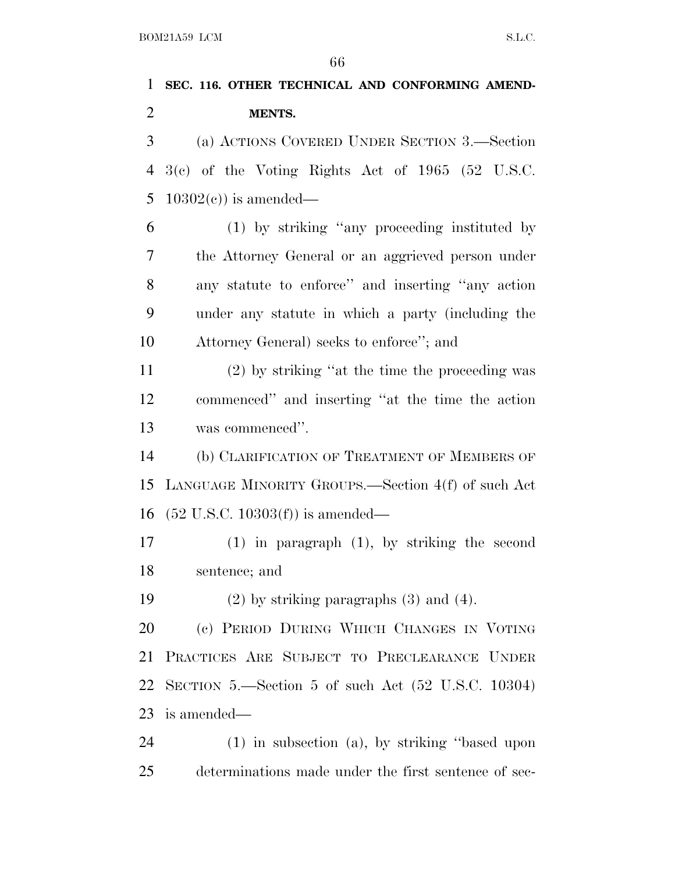## **SEC. 116. OTHER TECHNICAL AND CONFORMING AMEND-MENTS.**

 (a) ACTIONS COVERED UNDER SECTION 3.—Section 3(c) of the Voting Rights Act of 1965 (52 U.S.C. 5 10302(c)) is amended—

 (1) by striking ''any proceeding instituted by the Attorney General or an aggrieved person under any statute to enforce'' and inserting ''any action under any statute in which a party (including the Attorney General) seeks to enforce''; and

 (2) by striking ''at the time the proceeding was commenced'' and inserting ''at the time the action was commenced''.

 (b) CLARIFICATION OF TREATMENT OF MEMBERS OF LANGUAGE MINORITY GROUPS.—Section 4(f) of such Act (52 U.S.C. 10303(f)) is amended—

 (1) in paragraph (1), by striking the second sentence; and

(2) by striking paragraphs (3) and (4).

 (c) PERIOD DURING WHICH CHANGES IN VOTING PRACTICES ARE SUBJECT TO PRECLEARANCE UNDER SECTION 5.—Section 5 of such Act (52 U.S.C. 10304) is amended—

 (1) in subsection (a), by striking ''based upon determinations made under the first sentence of sec-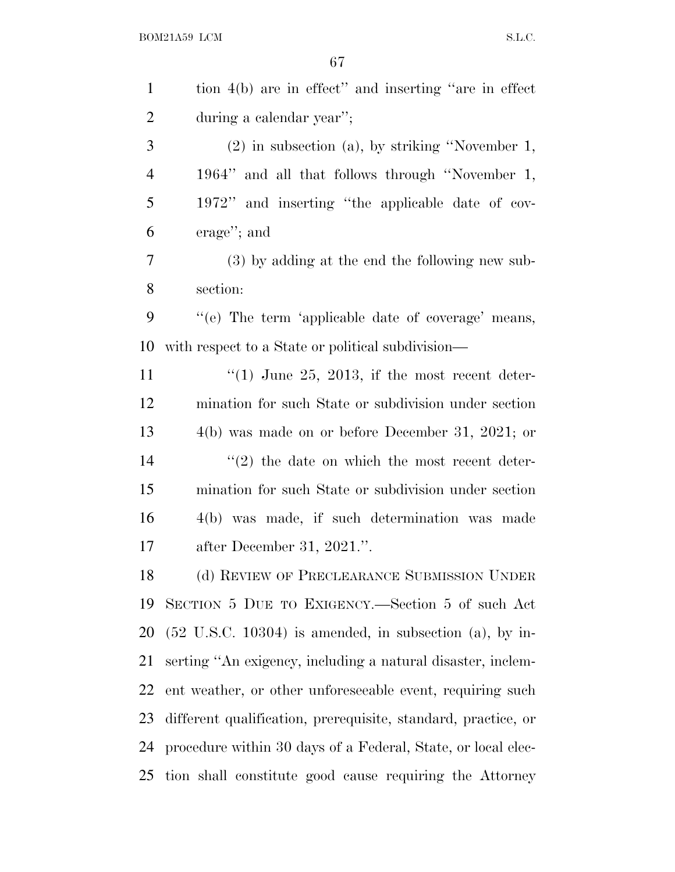| $\mathbf{1}$   | tion 4(b) are in effect" and inserting "are in effect                 |
|----------------|-----------------------------------------------------------------------|
| $\overline{2}$ | during a calendar year";                                              |
| 3              | $(2)$ in subsection $(a)$ , by striking "November 1,                  |
| $\overline{4}$ | 1964" and all that follows through "November 1,                       |
| 5              | 1972" and inserting "the applicable date of cov-                      |
| 6              | $\alpha$ erage''; and                                                 |
| 7              | (3) by adding at the end the following new sub-                       |
| 8              | section:                                                              |
| 9              | "(e) The term 'applicable date of coverage' means,                    |
| 10             | with respect to a State or political subdivision—                     |
| 11             | $(1)$ June 25, 2013, if the most recent deter-                        |
| 12             | mination for such State or subdivision under section                  |
| 13             | $4(b)$ was made on or before December 31, 2021; or                    |
| 14             | $\lq(2)$ the date on which the most recent deter-                     |
| 15             | mination for such State or subdivision under section                  |
| 16             | 4(b) was made, if such determination was made                         |
| 17             | after December 31, $2021$ .".                                         |
| 18             | (d) REVIEW OF PRECLEARANCE SUBMISSION UNDER                           |
| 19             | SECTION 5 DUE TO EXIGENCY.—Section 5 of such Act                      |
| 20             | $(52 \text{ U.S.C. } 10304)$ is amended, in subsection $(a)$ , by in- |
| 21             | serting "An exigency, including a natural disaster, inclem-           |
| 22             | ent weather, or other unforeseeable event, requiring such             |
| 23             | different qualification, prerequisite, standard, practice, or         |
| 24             | procedure within 30 days of a Federal, State, or local elec-          |
| 25             | tion shall constitute good cause requiring the Attorney               |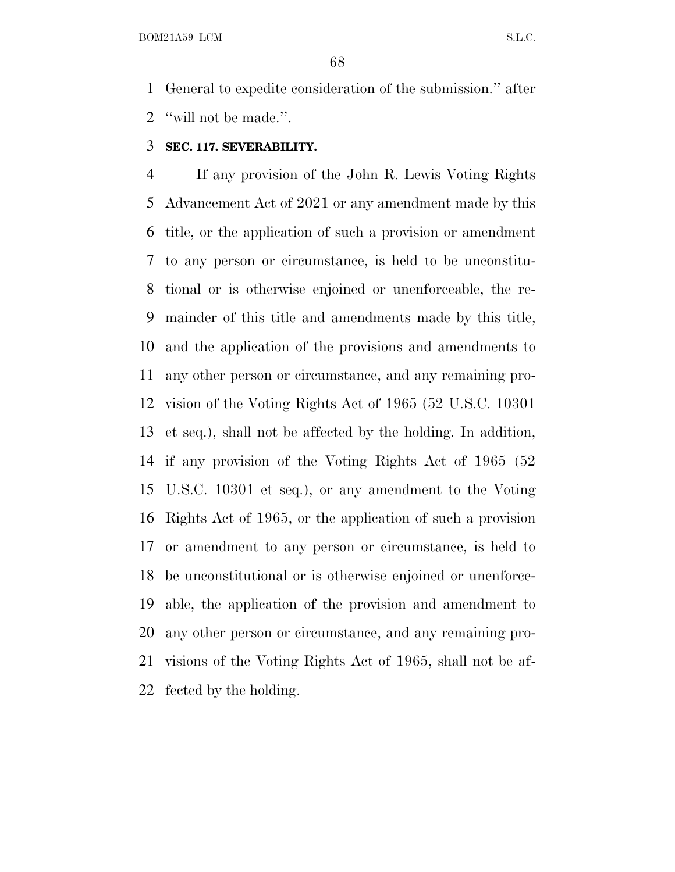General to expedite consideration of the submission.'' after ''will not be made.''.

#### **SEC. 117. SEVERABILITY.**

 If any provision of the John R. Lewis Voting Rights Advancement Act of 2021 or any amendment made by this title, or the application of such a provision or amendment to any person or circumstance, is held to be unconstitu- tional or is otherwise enjoined or unenforceable, the re- mainder of this title and amendments made by this title, and the application of the provisions and amendments to any other person or circumstance, and any remaining pro- vision of the Voting Rights Act of 1965 (52 U.S.C. 10301 et seq.), shall not be affected by the holding. In addition, if any provision of the Voting Rights Act of 1965 (52 U.S.C. 10301 et seq.), or any amendment to the Voting Rights Act of 1965, or the application of such a provision or amendment to any person or circumstance, is held to be unconstitutional or is otherwise enjoined or unenforce- able, the application of the provision and amendment to any other person or circumstance, and any remaining pro- visions of the Voting Rights Act of 1965, shall not be af-fected by the holding.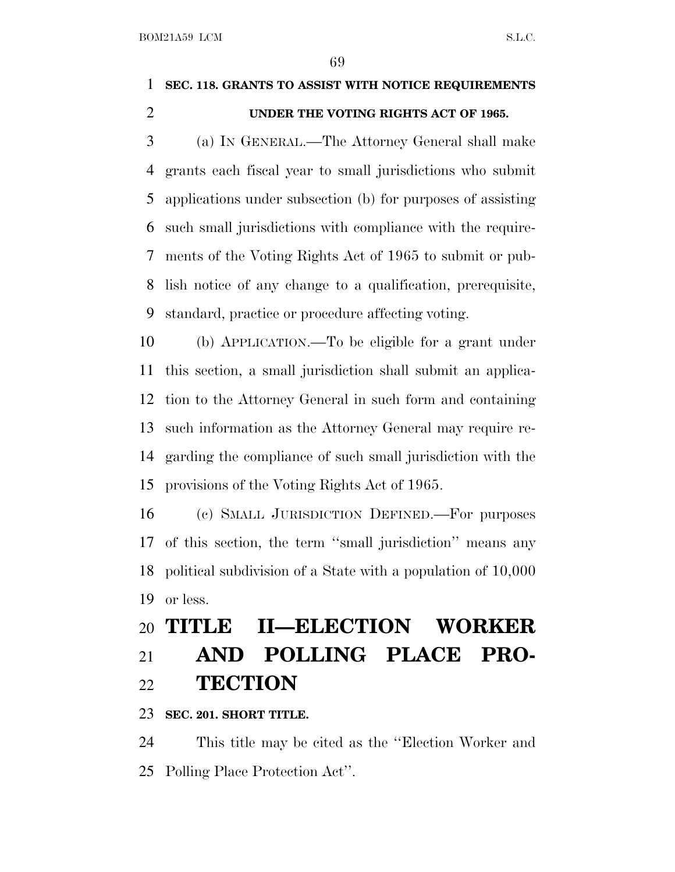### **SEC. 118. GRANTS TO ASSIST WITH NOTICE REQUIREMENTS UNDER THE VOTING RIGHTS ACT OF 1965.**

 (a) I<sup>N</sup> GENERAL.—The Attorney General shall make grants each fiscal year to small jurisdictions who submit applications under subsection (b) for purposes of assisting such small jurisdictions with compliance with the require- ments of the Voting Rights Act of 1965 to submit or pub- lish notice of any change to a qualification, prerequisite, standard, practice or procedure affecting voting.

 (b) APPLICATION.—To be eligible for a grant under this section, a small jurisdiction shall submit an applica- tion to the Attorney General in such form and containing such information as the Attorney General may require re- garding the compliance of such small jurisdiction with the provisions of the Voting Rights Act of 1965.

 (c) SMALL JURISDICTION DEFINED.—For purposes of this section, the term ''small jurisdiction'' means any political subdivision of a State with a population of 10,000 or less.

### **TITLE II—ELECTION WORKER AND POLLING PLACE PRO-TECTION**

#### **SEC. 201. SHORT TITLE.**

 This title may be cited as the ''Election Worker and Polling Place Protection Act''.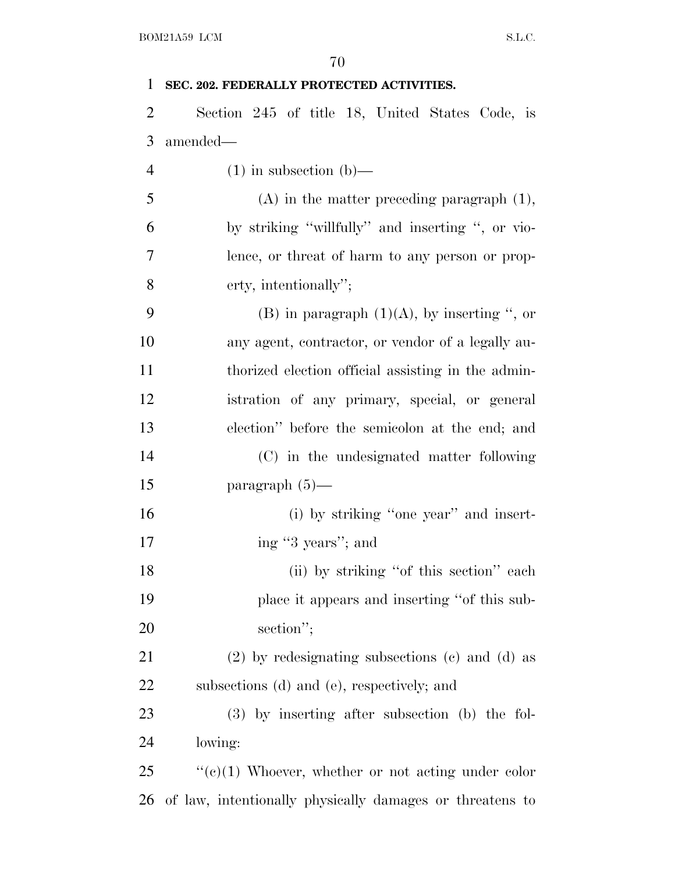| BOM21A59 LCM<br>S.L.C. |                                                          |  |
|------------------------|----------------------------------------------------------|--|
| 70                     |                                                          |  |
| 1                      | SEC. 202. FEDERALLY PROTECTED ACTIVITIES.                |  |
| 2                      | Section 245 of title 18, United States Code, is          |  |
| 3                      | amended-                                                 |  |
| $\overline{4}$         | $(1)$ in subsection $(b)$ —                              |  |
| 5                      | $(A)$ in the matter preceding paragraph $(1)$ ,          |  |
| 6                      | by striking "willfully" and inserting ", or vio-         |  |
| 7                      | lence, or threat of harm to any person or prop-          |  |
| 8                      | erty, intentionally";                                    |  |
| 9                      | (B) in paragraph $(1)(A)$ , by inserting ", or           |  |
| 10                     | any agent, contractor, or vendor of a legally au-        |  |
| 11                     | thorized election official assisting in the admin-       |  |
| 12                     | istration of any primary, special, or general            |  |
| 13                     | election" before the semicolon at the end; and           |  |
| 14                     | (C) in the undesignated matter following                 |  |
| 15                     | paragraph $(5)$ —                                        |  |
| 16                     | (i) by striking "one year" and insert-                   |  |
| 17                     | ing "3 years"; and                                       |  |
| 18                     | (ii) by striking "of this section" each                  |  |
| 19                     | place it appears and inserting "of this sub-             |  |
| 20                     | section";                                                |  |
| 21                     | $(2)$ by redesignating subsections $(e)$ and $(d)$ as    |  |
| 22                     | subsections (d) and (e), respectively; and               |  |
| 23                     | $(3)$ by inserting after subsection (b) the fol-         |  |
| 24                     | lowing:                                                  |  |
| 25                     | " $(e)(1)$ Whoever, whether or not acting under color    |  |
| 26                     | of law, intentionally physically damages or threatens to |  |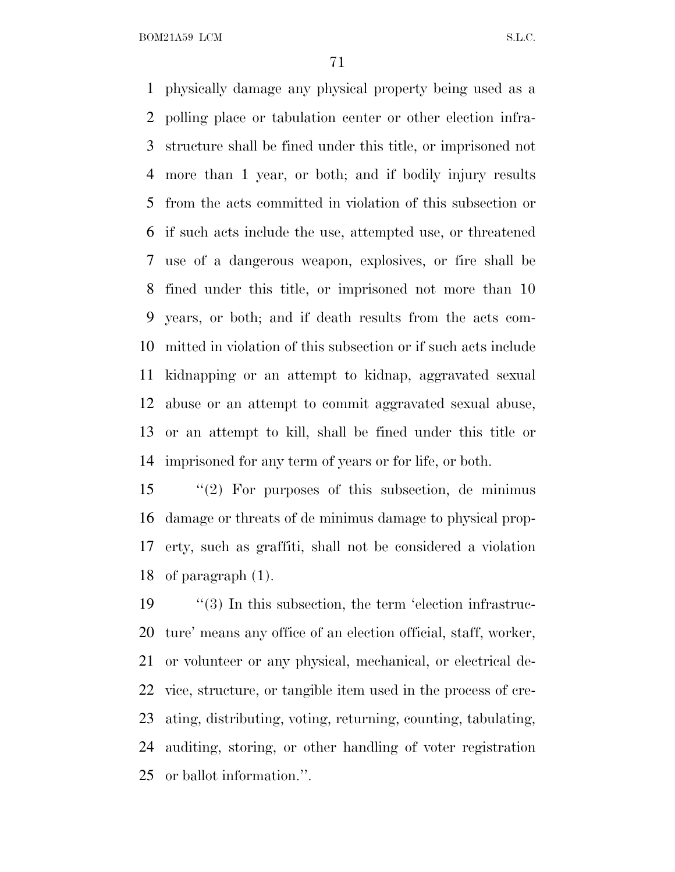physically damage any physical property being used as a polling place or tabulation center or other election infra- structure shall be fined under this title, or imprisoned not more than 1 year, or both; and if bodily injury results from the acts committed in violation of this subsection or if such acts include the use, attempted use, or threatened use of a dangerous weapon, explosives, or fire shall be fined under this title, or imprisoned not more than 10 years, or both; and if death results from the acts com- mitted in violation of this subsection or if such acts include kidnapping or an attempt to kidnap, aggravated sexual abuse or an attempt to commit aggravated sexual abuse, or an attempt to kill, shall be fined under this title or imprisoned for any term of years or for life, or both.

 ''(2) For purposes of this subsection, de minimus damage or threats of de minimus damage to physical prop- erty, such as graffiti, shall not be considered a violation of paragraph (1).

19 (3) In this subsection, the term 'election infrastruc- ture' means any office of an election official, staff, worker, or volunteer or any physical, mechanical, or electrical de- vice, structure, or tangible item used in the process of cre- ating, distributing, voting, returning, counting, tabulating, auditing, storing, or other handling of voter registration or ballot information.''.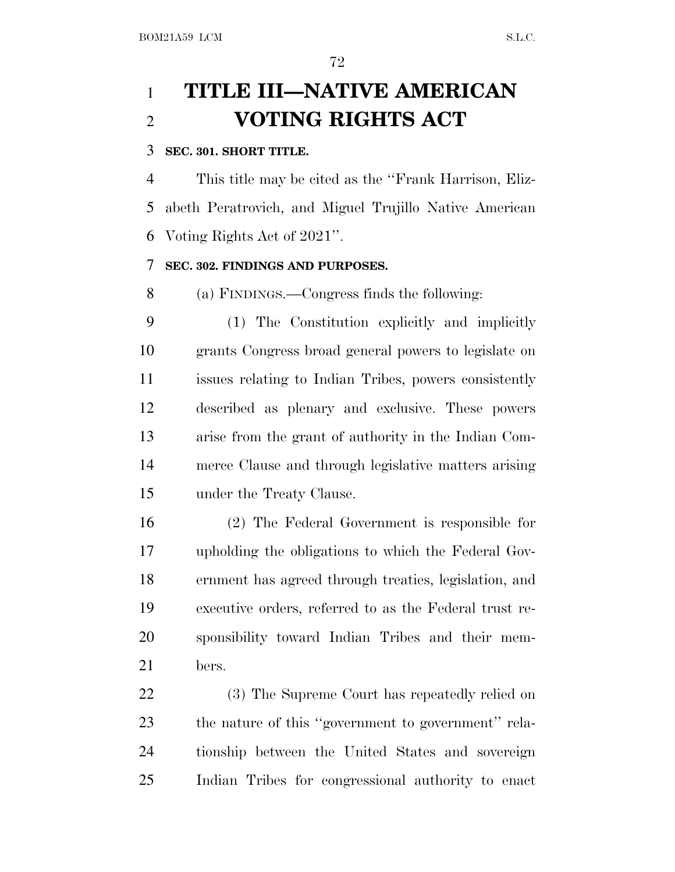### **TITLE III—NATIVE AMERICAN VOTING RIGHTS ACT**

#### **SEC. 301. SHORT TITLE.**

 This title may be cited as the ''Frank Harrison, Eliz- abeth Peratrovich, and Miguel Trujillo Native American Voting Rights Act of 2021''.

#### **SEC. 302. FINDINGS AND PURPOSES.**

(a) FINDINGS.—Congress finds the following:

 (1) The Constitution explicitly and implicitly grants Congress broad general powers to legislate on issues relating to Indian Tribes, powers consistently described as plenary and exclusive. These powers arise from the grant of authority in the Indian Com- merce Clause and through legislative matters arising under the Treaty Clause.

 (2) The Federal Government is responsible for upholding the obligations to which the Federal Gov- ernment has agreed through treaties, legislation, and executive orders, referred to as the Federal trust re- sponsibility toward Indian Tribes and their mem-bers.

 (3) The Supreme Court has repeatedly relied on the nature of this ''government to government'' rela- tionship between the United States and sovereign Indian Tribes for congressional authority to enact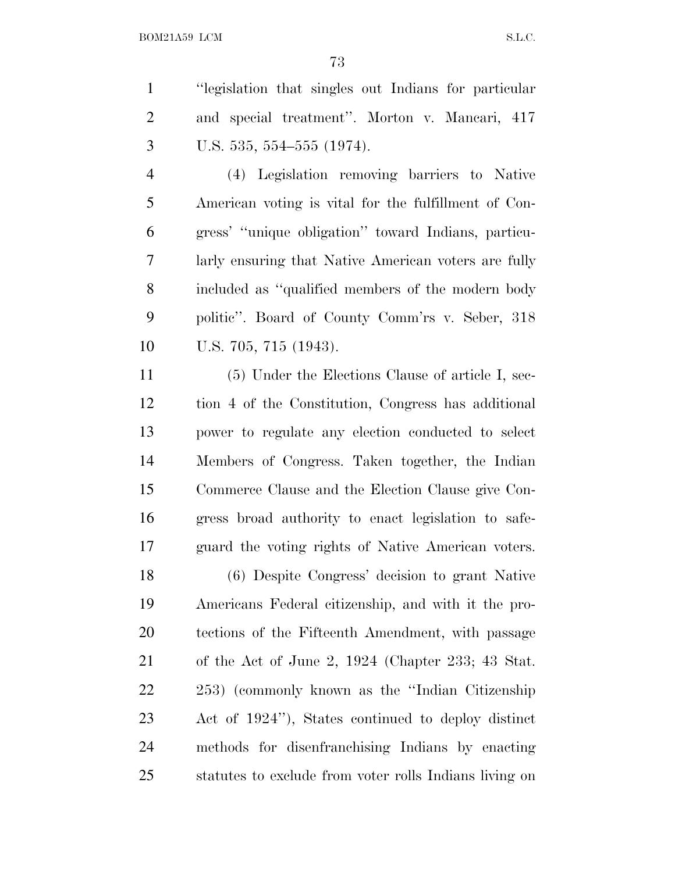''legislation that singles out Indians for particular and special treatment''. Morton v. Mancari, 417 U.S. 535, 554–555 (1974).

 (4) Legislation removing barriers to Native American voting is vital for the fulfillment of Con- gress' ''unique obligation'' toward Indians, particu- larly ensuring that Native American voters are fully included as ''qualified members of the modern body politic''. Board of County Comm'rs v. Seber, 318 U.S. 705, 715 (1943).

 (5) Under the Elections Clause of article I, sec- tion 4 of the Constitution, Congress has additional power to regulate any election conducted to select Members of Congress. Taken together, the Indian Commerce Clause and the Election Clause give Con- gress broad authority to enact legislation to safe-guard the voting rights of Native American voters.

 (6) Despite Congress' decision to grant Native Americans Federal citizenship, and with it the pro- tections of the Fifteenth Amendment, with passage of the Act of June 2, 1924 (Chapter 233; 43 Stat. 253) (commonly known as the ''Indian Citizenship Act of 1924''), States continued to deploy distinct methods for disenfranchising Indians by enacting statutes to exclude from voter rolls Indians living on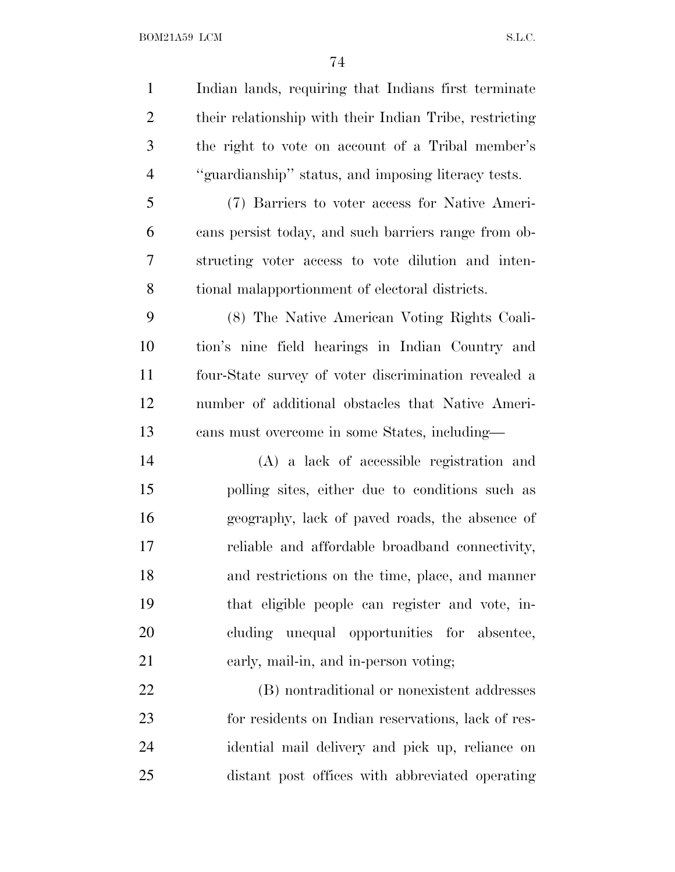Indian lands, requiring that Indians first terminate their relationship with their Indian Tribe, restricting the right to vote on account of a Tribal member's ''guardianship'' status, and imposing literacy tests. (7) Barriers to voter access for Native Ameri- cans persist today, and such barriers range from ob- structing voter access to vote dilution and inten- tional malapportionment of electoral districts. (8) The Native American Voting Rights Coali- tion's nine field hearings in Indian Country and four-State survey of voter discrimination revealed a number of additional obstacles that Native Ameri- cans must overcome in some States, including— (A) a lack of accessible registration and polling sites, either due to conditions such as geography, lack of paved roads, the absence of reliable and affordable broadband connectivity, and restrictions on the time, place, and manner that eligible people can register and vote, in- cluding unequal opportunities for absentee, early, mail-in, and in-person voting; (B) nontraditional or nonexistent addresses for residents on Indian reservations, lack of res-idential mail delivery and pick up, reliance on

distant post offices with abbreviated operating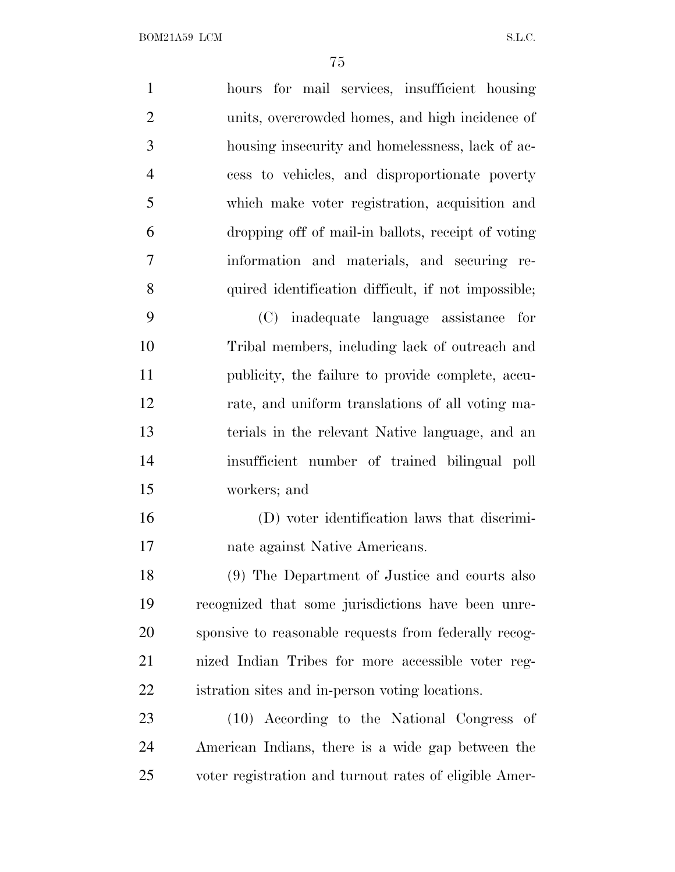hours for mail services, insufficient housing units, overcrowded homes, and high incidence of housing insecurity and homelessness, lack of ac- cess to vehicles, and disproportionate poverty which make voter registration, acquisition and dropping off of mail-in ballots, receipt of voting information and materials, and securing re- quired identification difficult, if not impossible; (C) inadequate language assistance for Tribal members, including lack of outreach and publicity, the failure to provide complete, accu- rate, and uniform translations of all voting ma- terials in the relevant Native language, and an insufficient number of trained bilingual poll workers; and (D) voter identification laws that discrimi- nate against Native Americans. (9) The Department of Justice and courts also recognized that some jurisdictions have been unre- sponsive to reasonable requests from federally recog- nized Indian Tribes for more accessible voter reg- istration sites and in-person voting locations. (10) According to the National Congress of American Indians, there is a wide gap between the

voter registration and turnout rates of eligible Amer-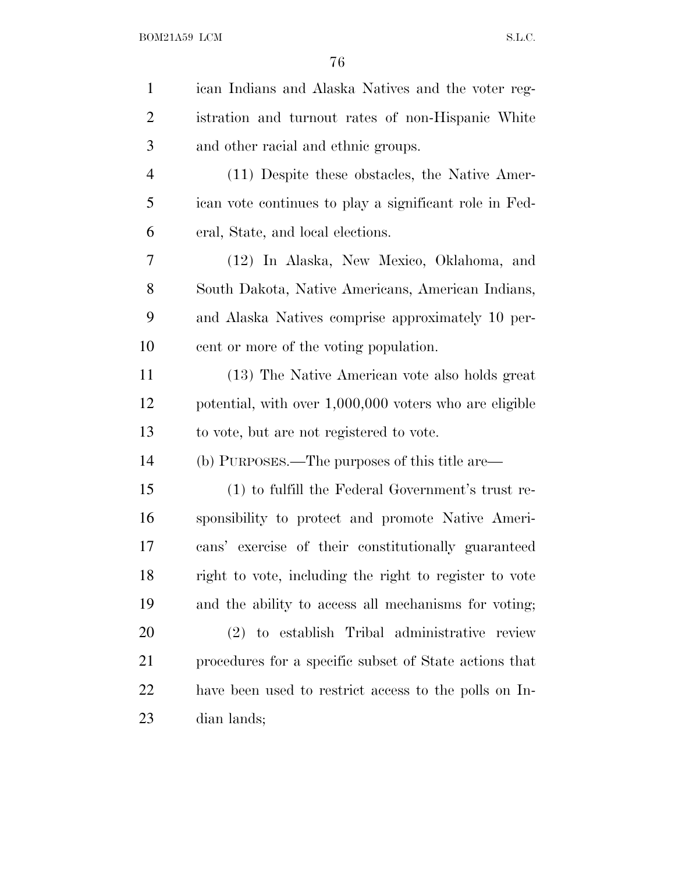| $\mathbf{1}$   | ican Indians and Alaska Natives and the voter reg-     |
|----------------|--------------------------------------------------------|
| $\overline{2}$ | istration and turnout rates of non-Hispanic White      |
| 3              | and other racial and ethnic groups.                    |
| $\overline{4}$ | (11) Despite these obstacles, the Native Amer-         |
| 5              | ican vote continues to play a significant role in Fed- |
| 6              | eral, State, and local elections.                      |
| 7              | (12) In Alaska, New Mexico, Oklahoma, and              |
| 8              | South Dakota, Native Americans, American Indians,      |
| 9              | and Alaska Natives comprise approximately 10 per-      |
| 10             | cent or more of the voting population.                 |
| 11             | (13) The Native American vote also holds great         |
| 12             | potential, with over 1,000,000 voters who are eligible |
| 13             | to vote, but are not registered to vote.               |
| 14             | (b) PURPOSES.—The purposes of this title are—          |
| 15             | (1) to fulfill the Federal Government's trust re-      |
| 16             | sponsibility to protect and promote Native Ameri-      |
| 17             | cans' exercise of their constitutionally guaranteed    |
| 18             | right to vote, including the right to register to vote |
| 19             | and the ability to access all mechanisms for voting;   |
| 20             | (2) to establish Tribal administrative review          |
| 21             | procedures for a specific subset of State actions that |
| 22             | have been used to restrict access to the polls on In-  |
| 23             | dian lands;                                            |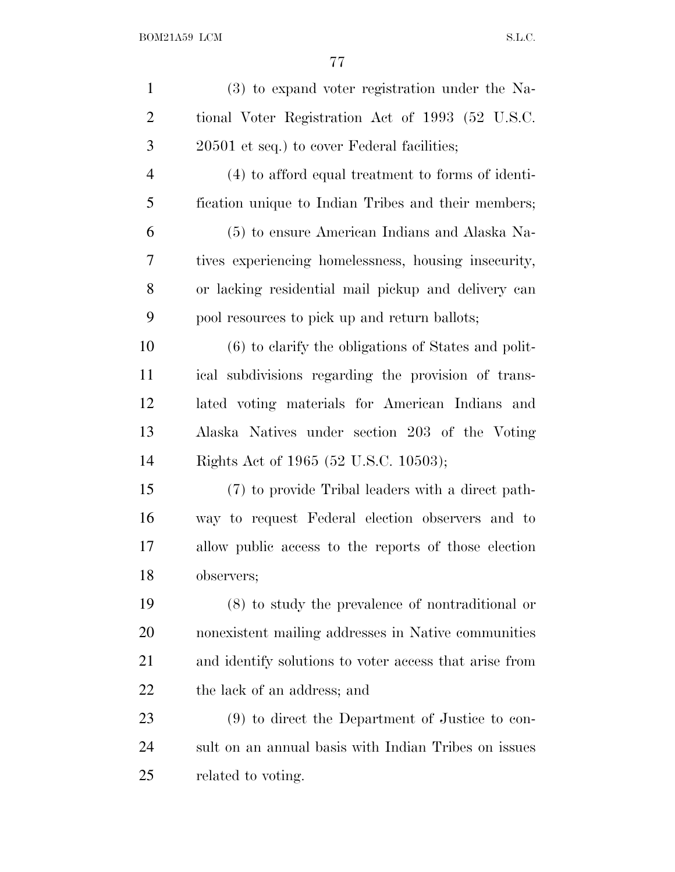| $\mathbf{1}$   | $(3)$ to expand voter registration under the Na-       |
|----------------|--------------------------------------------------------|
| $\overline{2}$ | tional Voter Registration Act of 1993 (52 U.S.C.       |
| 3              | 20501 et seq.) to cover Federal facilities;            |
| 4              | (4) to afford equal treatment to forms of identi-      |
| 5              | fication unique to Indian Tribes and their members;    |
| 6              | (5) to ensure American Indians and Alaska Na-          |
| 7              | tives experiencing homelessness, housing insecurity,   |
| 8              | or lacking residential mail pickup and delivery can    |
| 9              | pool resources to pick up and return ballots;          |
| 10             | $(6)$ to clarify the obligations of States and polit-  |
| 11             | ical subdivisions regarding the provision of trans-    |
| 12             | lated voting materials for American Indians and        |
| 13             | Alaska Natives under section 203 of the Voting         |
| 14             | Rights Act of 1965 (52 U.S.C. 10503);                  |
| 15             | (7) to provide Tribal leaders with a direct path-      |
| 16             | way to request Federal election observers and to       |
| 17             | allow public access to the reports of those election   |
| 18             | observers;                                             |
| 19             | $(8)$ to study the prevalence of nontraditional or     |
| 20             | nonexistent mailing addresses in Native communities    |
| 21             | and identify solutions to voter access that arise from |
| 22             | the lack of an address; and                            |
| 23             | (9) to direct the Department of Justice to con-        |
| 24             | sult on an annual basis with Indian Tribes on issues   |
| 25             | related to voting.                                     |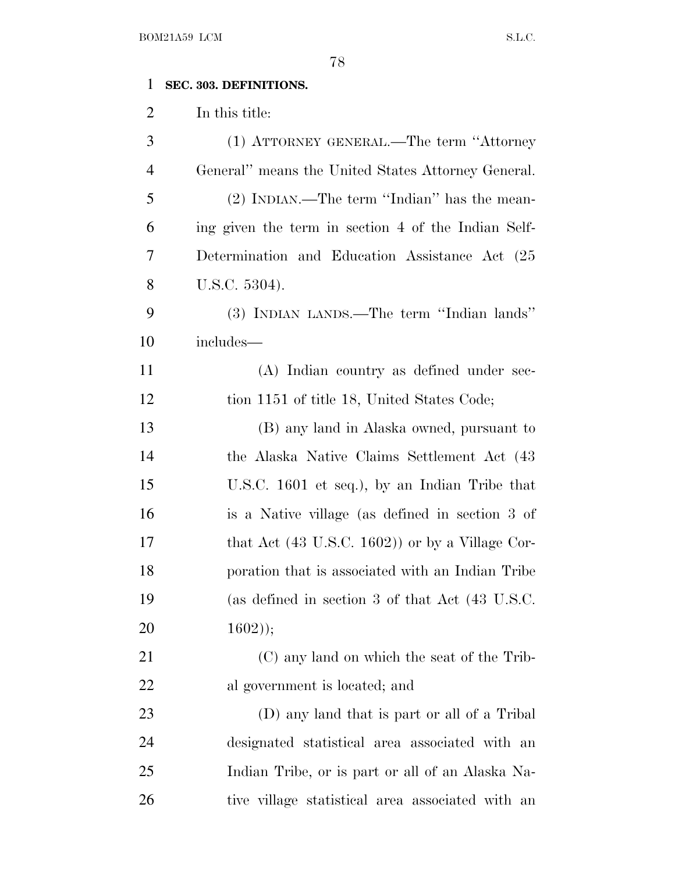## **SEC. 303. DEFINITIONS.**

In this title:

| 3              | (1) ATTORNEY GENERAL.—The term "Attorney"                  |
|----------------|------------------------------------------------------------|
| $\overline{4}$ | General" means the United States Attorney General.         |
| 5              | (2) INDIAN.—The term "Indian" has the mean-                |
| 6              | ing given the term in section 4 of the Indian Self-        |
| 7              | Determination and Education Assistance Act (25)            |
| 8              | U.S.C. 5304).                                              |
| 9              | (3) INDIAN LANDS.—The term "Indian lands"                  |
| 10             | $\operatorname{includes}$ —                                |
| 11             | (A) Indian country as defined under sec-                   |
| 12             | tion 1151 of title 18, United States Code;                 |
| 13             | (B) any land in Alaska owned, pursuant to                  |
| 14             | the Alaska Native Claims Settlement Act (43)               |
| 15             | U.S.C. 1601 et seq.), by an Indian Tribe that              |
| 16             | is a Native village (as defined in section 3 of            |
| 17             | that Act $(43 \text{ U.S.C. } 1602)$ or by a Village Cor-  |
| 18             | poration that is associated with an Indian Tribe           |
| 19             | (as defined in section 3 of that Act $(43 \text{ U.S.C.})$ |
| 20             | $1602$ );                                                  |
| 21             | (C) any land on which the seat of the Trib-                |
| 22             | al government is located; and                              |
| 23             | (D) any land that is part or all of a Tribal               |
| 24             | designated statistical area associated with an             |
| 25             | Indian Tribe, or is part or all of an Alaska Na-           |
| 26             | tive village statistical area associated with an           |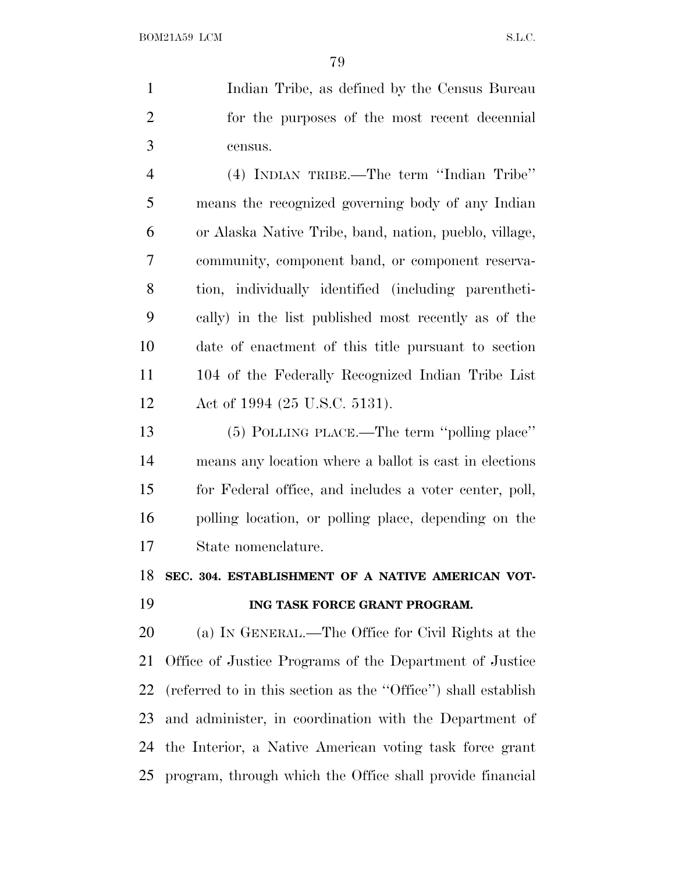Indian Tribe, as defined by the Census Bureau for the purposes of the most recent decennial census.

 (4) INDIAN TRIBE.—The term ''Indian Tribe'' means the recognized governing body of any Indian or Alaska Native Tribe, band, nation, pueblo, village, community, component band, or component reserva- tion, individually identified (including parentheti- cally) in the list published most recently as of the date of enactment of this title pursuant to section 104 of the Federally Recognized Indian Tribe List Act of 1994 (25 U.S.C. 5131).

 (5) POLLING PLACE.—The term ''polling place'' means any location where a ballot is cast in elections for Federal office, and includes a voter center, poll, polling location, or polling place, depending on the State nomenclature.

## **SEC. 304. ESTABLISHMENT OF A NATIVE AMERICAN VOT-**

## **ING TASK FORCE GRANT PROGRAM.**

 (a) I<sup>N</sup> GENERAL.—The Office for Civil Rights at the Office of Justice Programs of the Department of Justice (referred to in this section as the ''Office'') shall establish and administer, in coordination with the Department of the Interior, a Native American voting task force grant program, through which the Office shall provide financial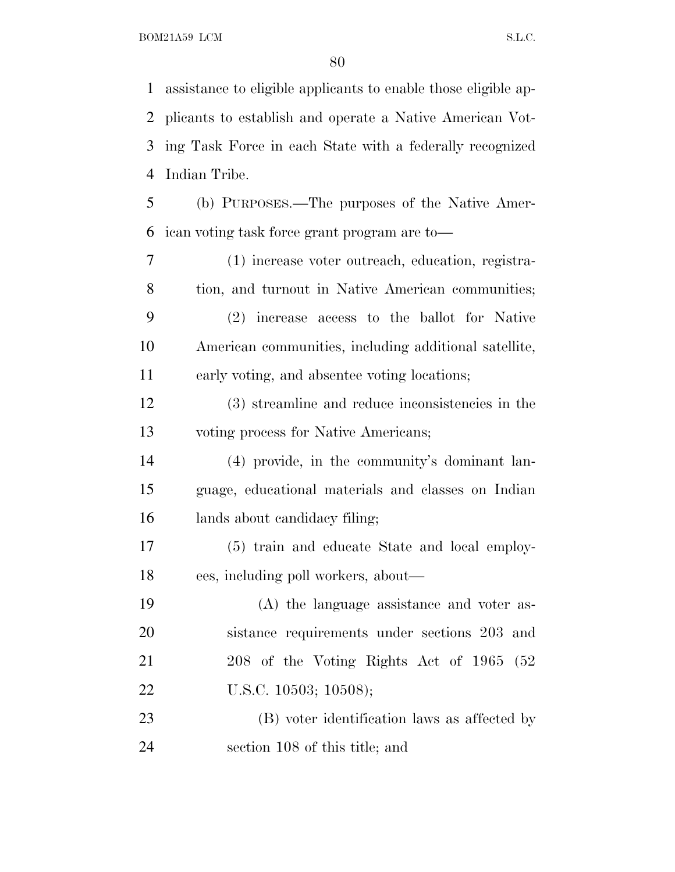assistance to eligible applicants to enable those eligible ap- plicants to establish and operate a Native American Vot- ing Task Force in each State with a federally recognized Indian Tribe. (b) PURPOSES.—The purposes of the Native Amer- ican voting task force grant program are to— (1) increase voter outreach, education, registra- tion, and turnout in Native American communities; (2) increase access to the ballot for Native American communities, including additional satellite, early voting, and absentee voting locations; (3) streamline and reduce inconsistencies in the voting process for Native Americans; (4) provide, in the community's dominant lan- guage, educational materials and classes on Indian lands about candidacy filing; (5) train and educate State and local employ-ees, including poll workers, about—

 (A) the language assistance and voter as- sistance requirements under sections 203 and 208 of the Voting Rights Act of 1965 (52 22 U.S.C. 10503; 10508);

 (B) voter identification laws as affected by section 108 of this title; and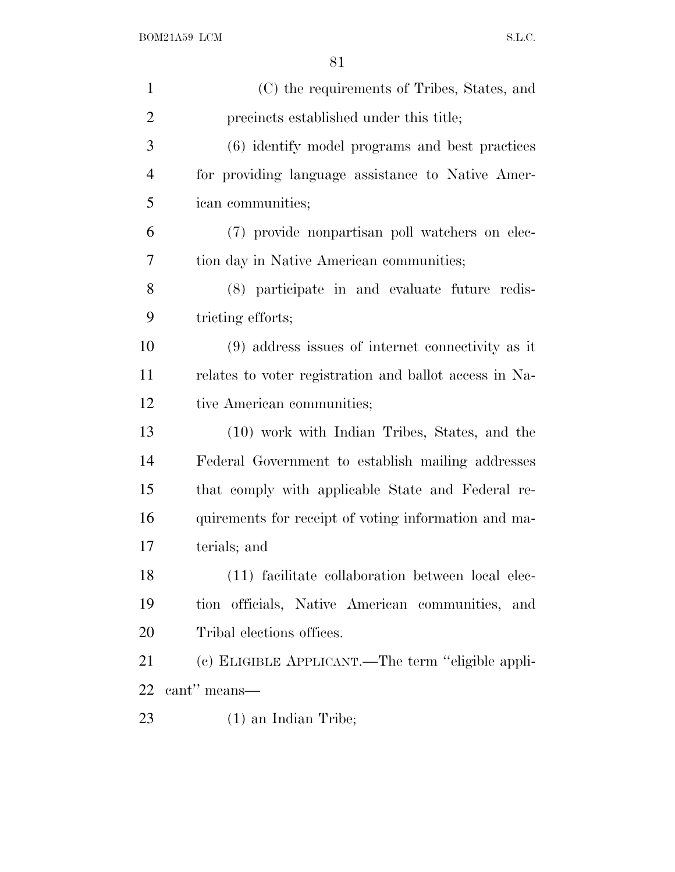| $\mathbf{1}$   | (C) the requirements of Tribes, States, and            |
|----------------|--------------------------------------------------------|
| $\overline{2}$ | precincts established under this title;                |
| 3              | (6) identify model programs and best practices         |
| $\overline{4}$ | for providing language assistance to Native Amer-      |
| 5              | ican communities;                                      |
| 6              | (7) provide nonpartisan poll watchers on elec-         |
| 7              | tion day in Native American communities;               |
| 8              | (8) participate in and evaluate future redis-          |
| 9              | tricting efforts;                                      |
| 10             | $(9)$ address issues of internet connectivity as it    |
| 11             | relates to voter registration and ballot access in Na- |
| 12             | tive American communities;                             |
| 13             | (10) work with Indian Tribes, States, and the          |
| 14             | Federal Government to establish mailing addresses      |
| 15             | that comply with applicable State and Federal re-      |
| 16             | quirements for receipt of voting information and ma-   |
| 17             | terials; and                                           |
| 18             | (11) facilitate collaboration between local elec-      |
| 19             | tion officials, Native American communities, and       |
| 20             | Tribal elections offices.                              |
| 21             | (c) ELIGIBLE APPLICANT.—The term "eligible appli-      |
| 22             | cant" means—                                           |
| 23             | $(1)$ an Indian Tribe;                                 |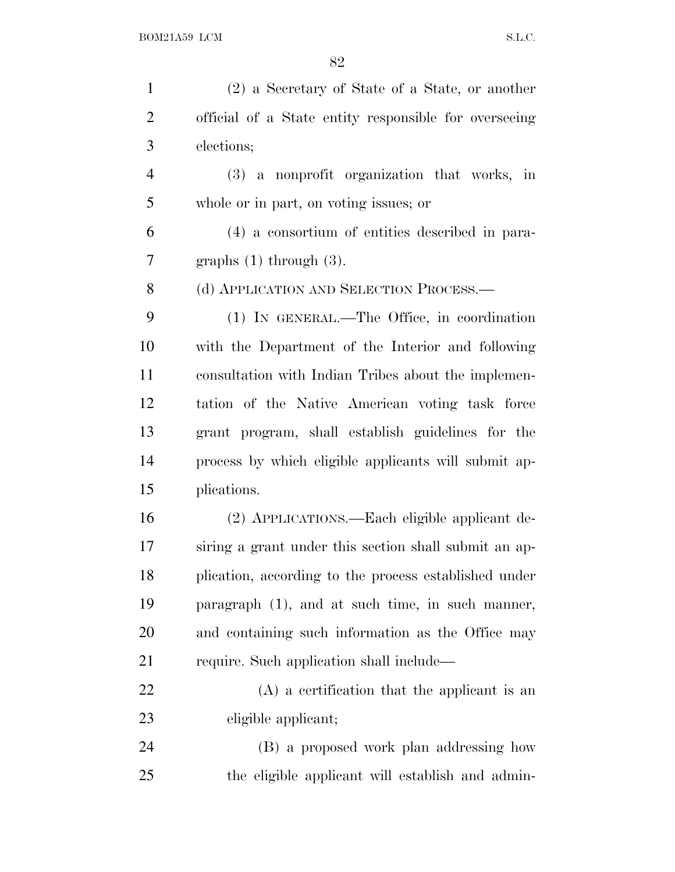| $\mathbf{1}$   | (2) a Secretary of State of a State, or another       |
|----------------|-------------------------------------------------------|
| $\overline{2}$ | official of a State entity responsible for overseeing |
| 3              | elections;                                            |
| $\overline{4}$ | (3) a nonprofit organization that works, in           |
| 5              | whole or in part, on voting issues; or                |
| 6              | (4) a consortium of entities described in para-       |
| 7              | graphs $(1)$ through $(3)$ .                          |
| 8              | (d) APPLICATION AND SELECTION PROCESS.                |
| 9              | (1) IN GENERAL.—The Office, in coordination           |
| 10             | with the Department of the Interior and following     |
| 11             | consultation with Indian Tribes about the implemen-   |
| 12             | tation of the Native American voting task force       |
| 13             | grant program, shall establish guidelines for the     |
| 14             | process by which eligible applicants will submit ap-  |
| 15             | plications.                                           |
| 16             | (2) APPLICATIONS.—Each eligible applicant de-         |
| 17             | siring a grant under this section shall submit an ap- |
| 18             | plication, according to the process established under |
| 19             | paragraph $(1)$ , and at such time, in such manner,   |
| 20             | and containing such information as the Office may     |
| 21             | require. Such application shall include—              |
| 22             | $(A)$ a certification that the applicant is an        |
| 23             | eligible applicant;                                   |
| 24             | (B) a proposed work plan addressing how               |
| 25             | the eligible applicant will establish and admin-      |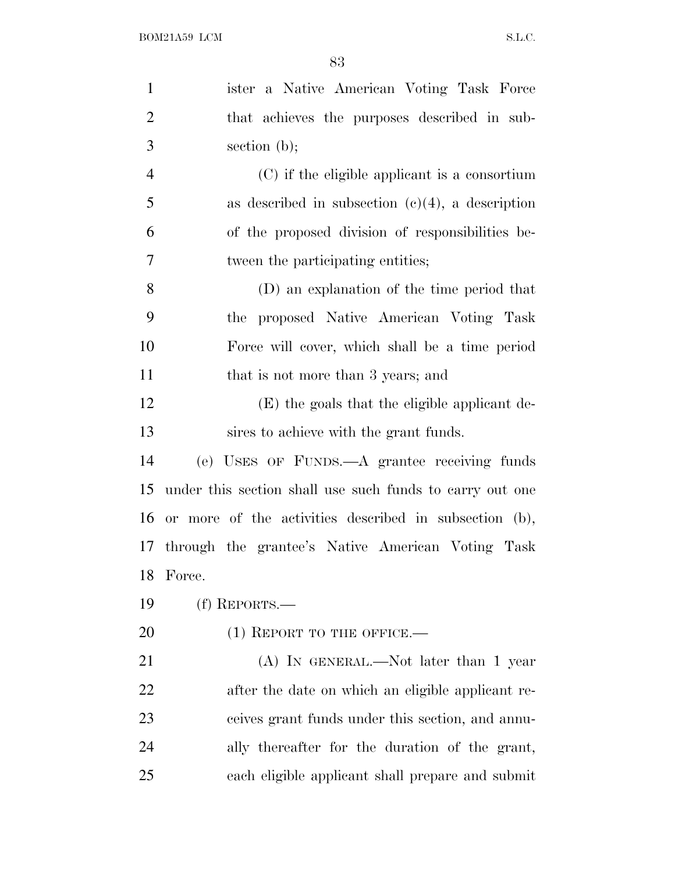| $\mathbf{1}$   | ister a Native American Voting Task Force                |
|----------------|----------------------------------------------------------|
| $\overline{2}$ | that achieves the purposes described in sub-             |
| 3              | section $(b)$ ;                                          |
| $\overline{4}$ | (C) if the eligible applicant is a consortium            |
| 5              | as described in subsection $(c)(4)$ , a description      |
| 6              | of the proposed division of responsibilities be-         |
| 7              | tween the participating entities;                        |
| 8              | (D) an explanation of the time period that               |
| 9              | the proposed Native American Voting Task                 |
| 10             | Force will cover, which shall be a time period           |
| 11             | that is not more than 3 years; and                       |
| 12             | (E) the goals that the eligible applicant de-            |
| 13             | sires to achieve with the grant funds.                   |
| 14             | (e) USES OF FUNDS.—A grantee receiving funds             |
| 15             | under this section shall use such funds to carry out one |
| 16             | or more of the activities described in subsection (b),   |
|                | 17 through the grantee's Native American Voting Task     |
| 18             | Force.                                                   |
| 19             | $(f)$ REPORTS.—                                          |
| 20             | $(1)$ REPORT TO THE OFFICE.—                             |
| 21             | $(A)$ In GENERAL.—Not later than 1 year                  |
| 22             | after the date on which an eligible applicant re-        |
| 23             | ceives grant funds under this section, and annu-         |
| 24             | ally thereafter for the duration of the grant,           |
| 25             | each eligible applicant shall prepare and submit         |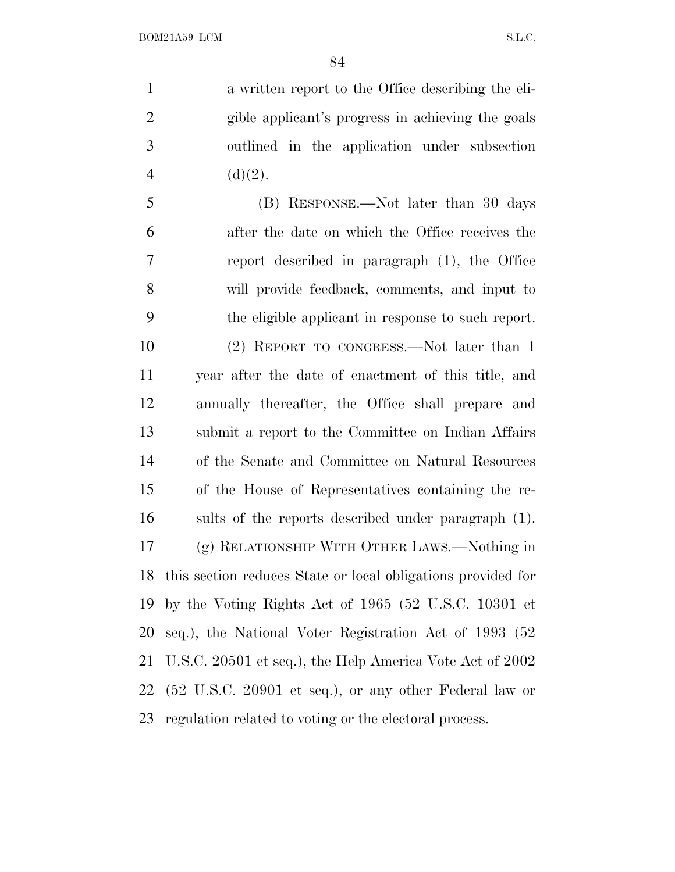a written report to the Office describing the eli- gible applicant's progress in achieving the goals outlined in the application under subsection 4 (d)(2).

 (B) RESPONSE.—Not later than 30 days after the date on which the Office receives the report described in paragraph (1), the Office will provide feedback, comments, and input to the eligible applicant in response to such report. (2) REPORT TO CONGRESS.—Not later than 1 year after the date of enactment of this title, and annually thereafter, the Office shall prepare and submit a report to the Committee on Indian Affairs of the Senate and Committee on Natural Resources of the House of Representatives containing the re- sults of the reports described under paragraph (1). (g) RELATIONSHIP WITH OTHER LAWS.—Nothing in this section reduces State or local obligations provided for by the Voting Rights Act of 1965 (52 U.S.C. 10301 et seq.), the National Voter Registration Act of 1993 (52 U.S.C. 20501 et seq.), the Help America Vote Act of 2002 (52 U.S.C. 20901 et seq.), or any other Federal law or regulation related to voting or the electoral process.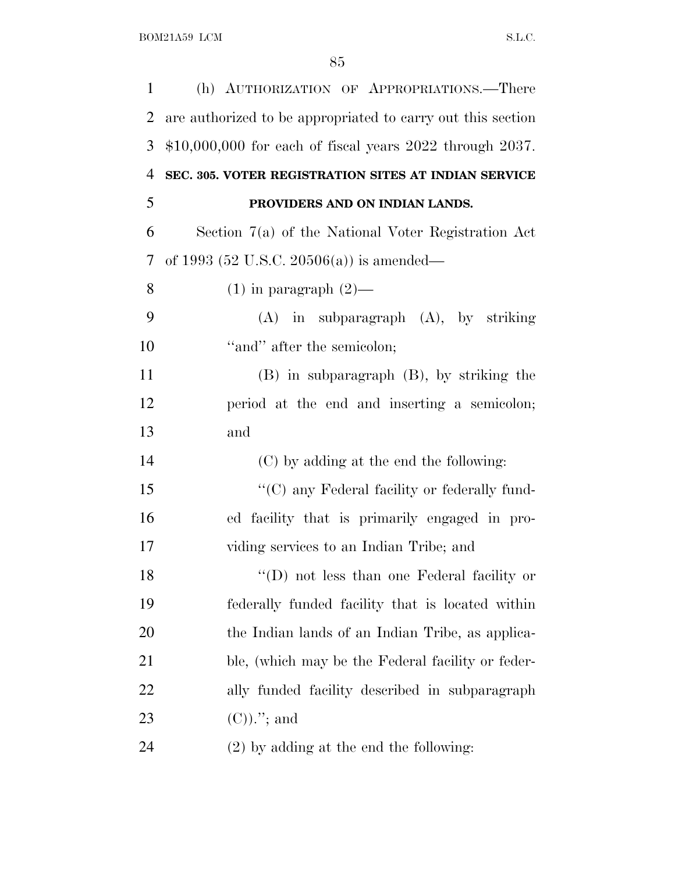| $\mathbf{1}$   | (h) AUTHORIZATION OF APPROPRIATIONS.-There                     |
|----------------|----------------------------------------------------------------|
| $\overline{2}$ | are authorized to be appropriated to carry out this section    |
| 3              | $$10,000,000$ for each of fiscal years $2022$ through $2037$ . |
| $\overline{4}$ | SEC. 305. VOTER REGISTRATION SITES AT INDIAN SERVICE           |
| 5              | PROVIDERS AND ON INDIAN LANDS.                                 |
| 6              | Section 7(a) of the National Voter Registration Act            |
| 7              | of 1993 (52 U.S.C. 20506(a)) is amended—                       |
| 8              | $(1)$ in paragraph $(2)$ —                                     |
| 9              | $(A)$ in subparagraph $(A)$ , by striking                      |
| 10             | "and" after the semicolon;                                     |
| 11             | $(B)$ in subparagraph $(B)$ , by striking the                  |
| 12             | period at the end and inserting a semicolon;                   |
| 13             | and                                                            |
| 14             | (C) by adding at the end the following:                        |
| 15             | "(C) any Federal facility or federally fund-                   |
| 16             | ed facility that is primarily engaged in pro-                  |
| 17             | viding services to an Indian Tribe; and                        |
| 18             | "(D) not less than one Federal facility or                     |
| 19             | federally funded facility that is located within               |
| 20             | the Indian lands of an Indian Tribe, as applica-               |
| 21             | ble, (which may be the Federal facility or feder-              |
| <u>22</u>      | ally funded facility described in subparagraph                 |
| 23             | $(C)$ .''; and                                                 |
| 24             | $(2)$ by adding at the end the following:                      |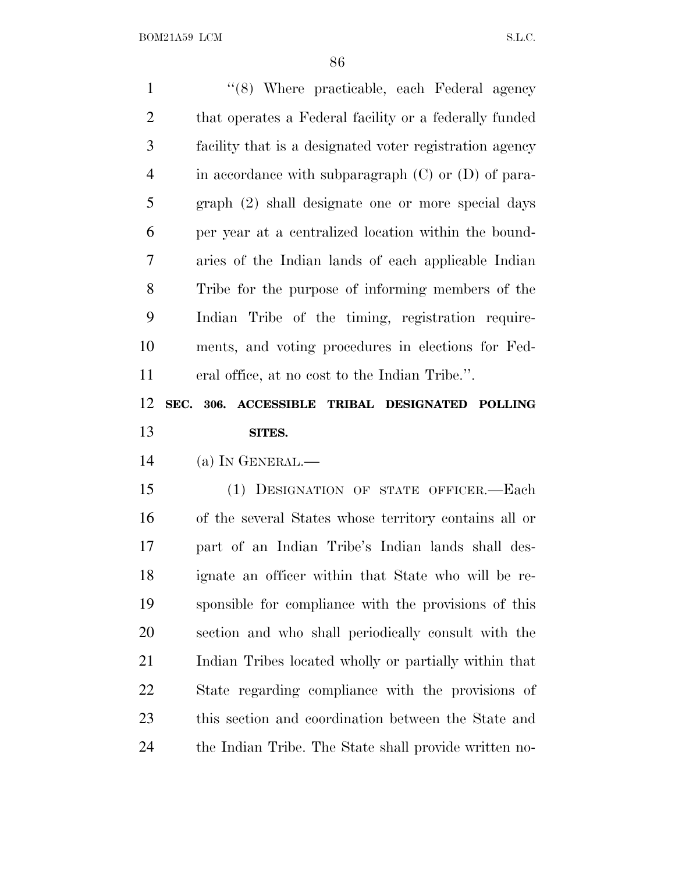1 ''(8) Where practicable, each Federal agency 2 that operates a Federal facility or a federally funded facility that is a designated voter registration agency in accordance with subparagraph (C) or (D) of para- graph (2) shall designate one or more special days per year at a centralized location within the bound- aries of the Indian lands of each applicable Indian Tribe for the purpose of informing members of the Indian Tribe of the timing, registration require- ments, and voting procedures in elections for Fed- eral office, at no cost to the Indian Tribe.''. **SEC. 306. ACCESSIBLE TRIBAL DESIGNATED POLLING SITES.** (a) I<sup>N</sup> GENERAL.— (1) DESIGNATION OF STATE OFFICER.—Each of the several States whose territory contains all or part of an Indian Tribe's Indian lands shall des- ignate an officer within that State who will be re-sponsible for compliance with the provisions of this

 section and who shall periodically consult with the Indian Tribes located wholly or partially within that State regarding compliance with the provisions of this section and coordination between the State and the Indian Tribe. The State shall provide written no-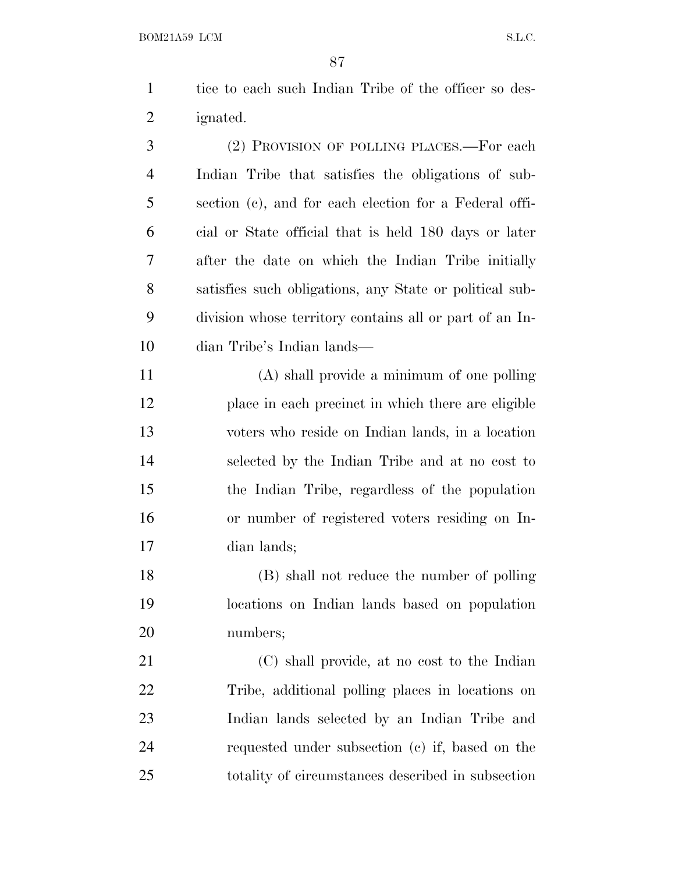1 tice to each such Indian Tribe of the officer so des-ignated.

 (2) PROVISION OF POLLING PLACES.—For each Indian Tribe that satisfies the obligations of sub- section (c), and for each election for a Federal offi- cial or State official that is held 180 days or later after the date on which the Indian Tribe initially satisfies such obligations, any State or political sub- division whose territory contains all or part of an In-dian Tribe's Indian lands—

 (A) shall provide a minimum of one polling place in each precinct in which there are eligible voters who reside on Indian lands, in a location selected by the Indian Tribe and at no cost to the Indian Tribe, regardless of the population or number of registered voters residing on In-dian lands;

 (B) shall not reduce the number of polling locations on Indian lands based on population numbers;

 (C) shall provide, at no cost to the Indian Tribe, additional polling places in locations on Indian lands selected by an Indian Tribe and requested under subsection (c) if, based on the totality of circumstances described in subsection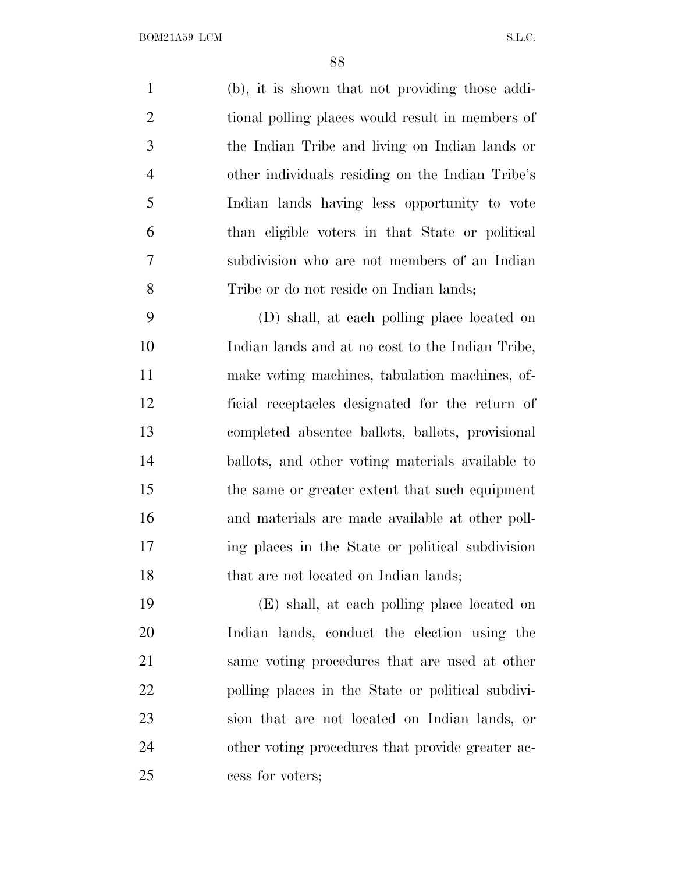(b), it is shown that not providing those addi- tional polling places would result in members of the Indian Tribe and living on Indian lands or other individuals residing on the Indian Tribe's Indian lands having less opportunity to vote than eligible voters in that State or political subdivision who are not members of an Indian Tribe or do not reside on Indian lands;

 (D) shall, at each polling place located on Indian lands and at no cost to the Indian Tribe, make voting machines, tabulation machines, of- ficial receptacles designated for the return of completed absentee ballots, ballots, provisional ballots, and other voting materials available to the same or greater extent that such equipment and materials are made available at other poll- ing places in the State or political subdivision 18 that are not located on Indian lands;

 (E) shall, at each polling place located on Indian lands, conduct the election using the same voting procedures that are used at other polling places in the State or political subdivi- sion that are not located on Indian lands, or other voting procedures that provide greater ac-cess for voters;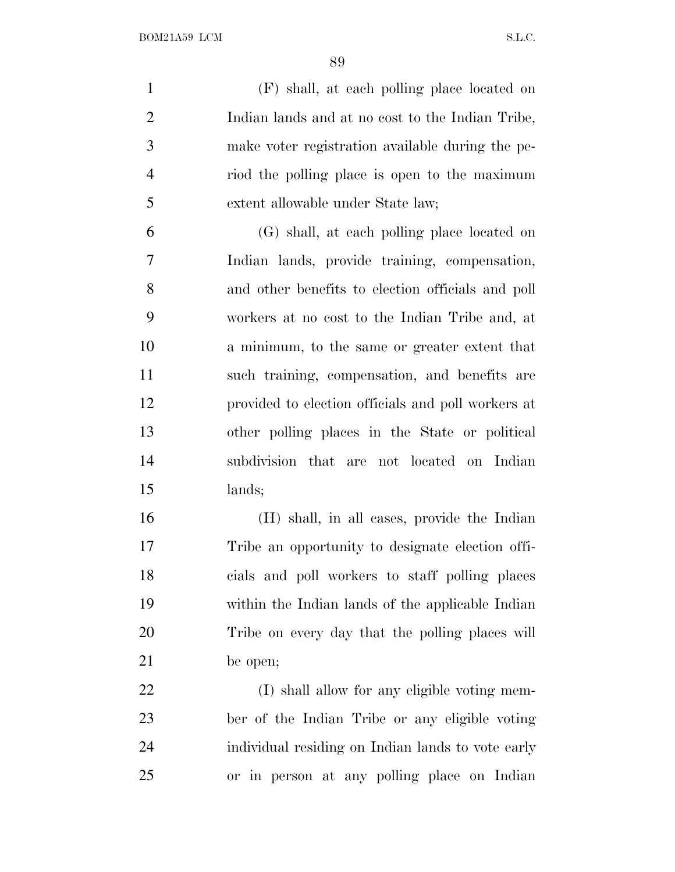(F) shall, at each polling place located on Indian lands and at no cost to the Indian Tribe, make voter registration available during the pe- riod the polling place is open to the maximum extent allowable under State law;

 (G) shall, at each polling place located on Indian lands, provide training, compensation, and other benefits to election officials and poll workers at no cost to the Indian Tribe and, at a minimum, to the same or greater extent that such training, compensation, and benefits are provided to election officials and poll workers at other polling places in the State or political subdivision that are not located on Indian lands;

 (H) shall, in all cases, provide the Indian Tribe an opportunity to designate election offi- cials and poll workers to staff polling places within the Indian lands of the applicable Indian Tribe on every day that the polling places will be open;

22 (I) shall allow for any eligible voting mem- ber of the Indian Tribe or any eligible voting individual residing on Indian lands to vote early or in person at any polling place on Indian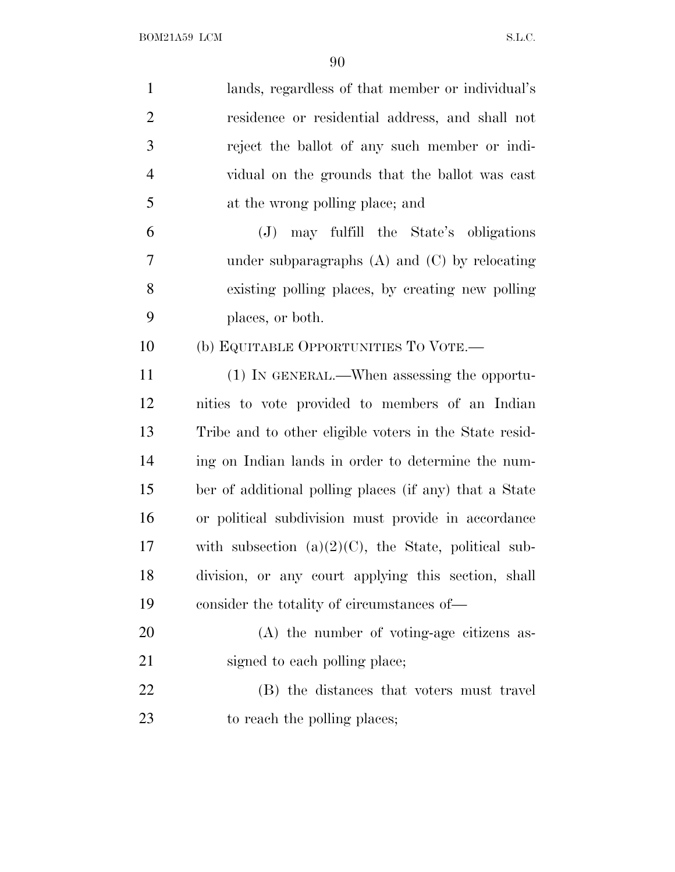| $\mathbf{1}$   | lands, regardless of that member or individual's        |
|----------------|---------------------------------------------------------|
| $\overline{2}$ | residence or residential address, and shall not         |
| 3              | reject the ballot of any such member or indi-           |
| $\overline{4}$ | vidual on the grounds that the ballot was cast          |
| 5              | at the wrong polling place; and                         |
| 6              | (J) may fulfill the State's obligations                 |
| 7              | under subparagraphs $(A)$ and $(C)$ by relocating       |
| 8              | existing polling places, by creating new polling        |
| 9              | places, or both.                                        |
| 10             | (b) EQUITABLE OPPORTUNITIES TO VOTE.-                   |
| 11             | (1) IN GENERAL.—When assessing the opportu-             |
| 12             | nities to vote provided to members of an Indian         |
| 13             | Tribe and to other eligible voters in the State resid-  |
| 14             | ing on Indian lands in order to determine the num-      |
| 15             | ber of additional polling places (if any) that a State  |
| 16             | or political subdivision must provide in accordance     |
| 17             | with subsection $(a)(2)(C)$ , the State, political sub- |
| 18             | division, or any court applying this section, shall     |
| 19             | consider the totality of circumstances of-              |
| 20             | $(A)$ the number of voting-age citizens as-             |
| 21             | signed to each polling place;                           |
| 22             | (B) the distances that voters must travel               |
| 23             | to reach the polling places;                            |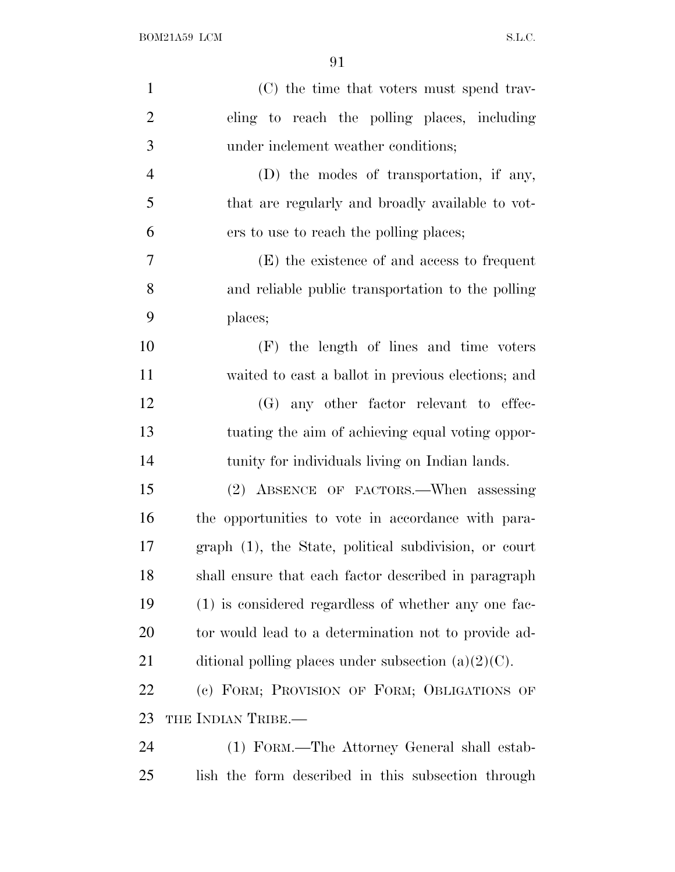| $\mathbf{1}$   | (C) the time that voters must spend trav-              |
|----------------|--------------------------------------------------------|
| $\overline{2}$ | eling to reach the polling places, including           |
| 3              | under inclement weather conditions;                    |
| $\overline{4}$ | (D) the modes of transportation, if any,               |
| 5              | that are regularly and broadly available to vot-       |
| 6              | ers to use to reach the polling places;                |
| 7              | (E) the existence of and access to frequent            |
| 8              | and reliable public transportation to the polling      |
| 9              | places;                                                |
| 10             | (F) the length of lines and time voters                |
| 11             | waited to cast a ballot in previous elections; and     |
| 12             | (G) any other factor relevant to effec-                |
| 13             | tuating the aim of achieving equal voting oppor-       |
| 14             | tunity for individuals living on Indian lands.         |
| 15             | (2) ABSENCE OF FACTORS.—When assessing                 |
| 16             | the opportunities to vote in accordance with para-     |
| 17             | graph (1), the State, political subdivision, or court  |
| 18             | shall ensure that each factor described in paragraph   |
| 19             | (1) is considered regardless of whether any one fac-   |
| 20             | tor would lead to a determination not to provide ad-   |
| 21             | ditional polling places under subsection $(a)(2)(C)$ . |
| 22             | (c) FORM; PROVISION OF FORM; OBLIGATIONS OF            |
| 23             | THE INDIAN TRIBE.—                                     |
| 24             | (1) FORM.—The Attorney General shall estab-            |
| 25             | lish the form described in this subsection through     |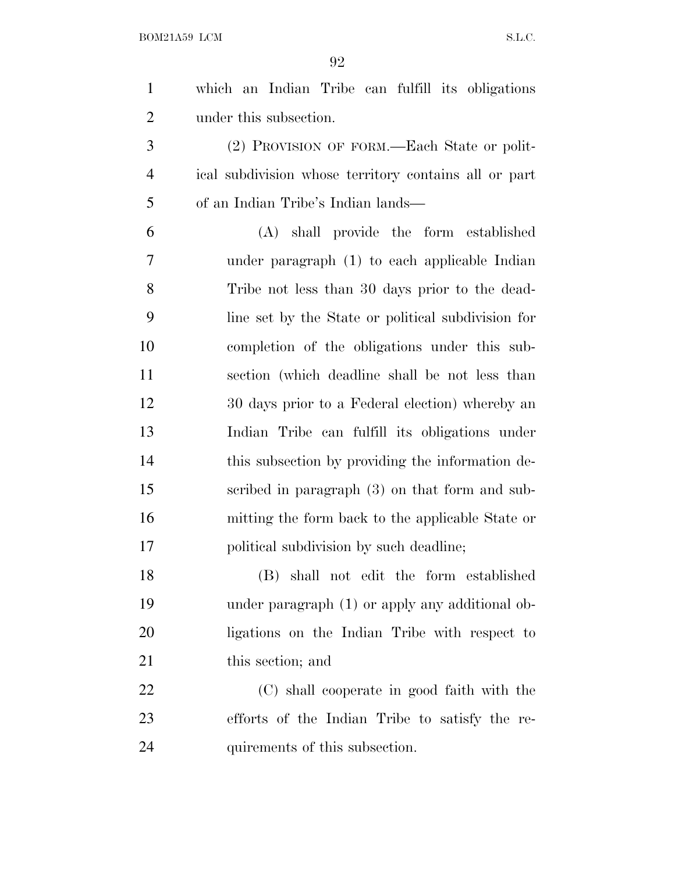which an Indian Tribe can fulfill its obligations under this subsection.

 (2) PROVISION OF FORM.—Each State or polit- ical subdivision whose territory contains all or part of an Indian Tribe's Indian lands—

 (A) shall provide the form established under paragraph (1) to each applicable Indian Tribe not less than 30 days prior to the dead- line set by the State or political subdivision for completion of the obligations under this sub- section (which deadline shall be not less than 30 days prior to a Federal election) whereby an Indian Tribe can fulfill its obligations under this subsection by providing the information de- scribed in paragraph (3) on that form and sub- mitting the form back to the applicable State or political subdivision by such deadline;

 (B) shall not edit the form established under paragraph (1) or apply any additional ob- ligations on the Indian Tribe with respect to 21 this section; and

 (C) shall cooperate in good faith with the efforts of the Indian Tribe to satisfy the re-quirements of this subsection.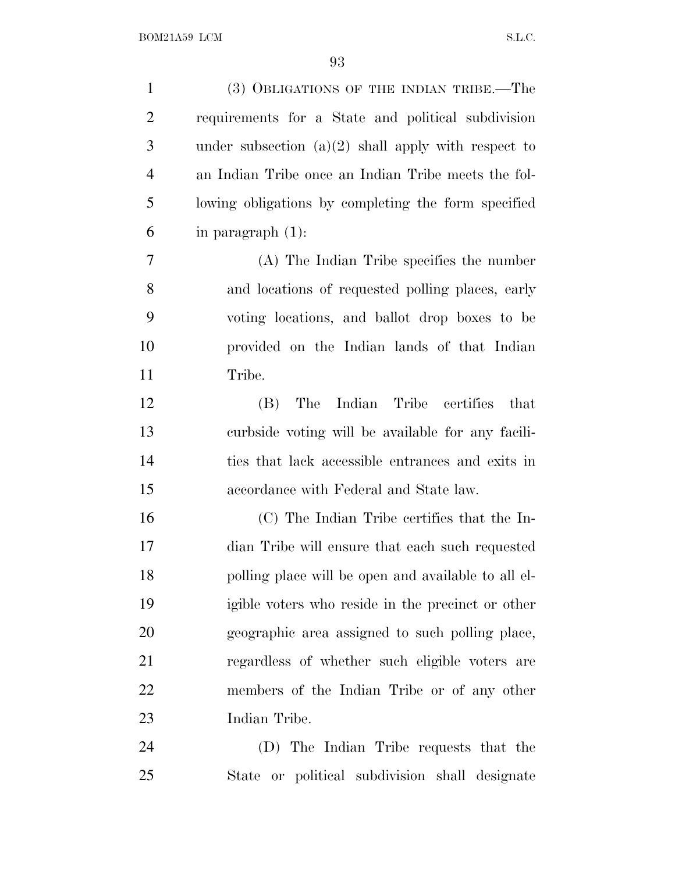| $\mathbf{1}$   | (3) OBLIGATIONS OF THE INDIAN TRIBE.—The              |
|----------------|-------------------------------------------------------|
| $\overline{2}$ | requirements for a State and political subdivision    |
| 3              | under subsection $(a)(2)$ shall apply with respect to |
| $\overline{4}$ | an Indian Tribe once an Indian Tribe meets the fol-   |
| 5              | lowing obligations by completing the form specified   |
| 6              | in paragraph $(1)$ :                                  |
| 7              | (A) The Indian Tribe specifies the number             |
| 8              | and locations of requested polling places, early      |
| 9              | voting locations, and ballot drop boxes to be         |
| 10             | provided on the Indian lands of that Indian           |
| 11             | Tribe.                                                |
| 12             | The<br>Indian Tribe<br>certifies<br>that<br>(B)       |
| 13             | curbside voting will be available for any facili-     |
| 14             | ties that lack accessible entrances and exits in      |
| 15             | accordance with Federal and State law.                |
| 16             | (C) The Indian Tribe certifies that the In-           |
| 17             | dian Tribe will ensure that each such requested       |
| 18             | polling place will be open and available to all el-   |
| 19             | igible voters who reside in the precinct or other     |
| 20             | geographic area assigned to such polling place,       |
| 21             | regardless of whether such eligible voters are        |
| 22             | members of the Indian Tribe or of any other           |
| 23             | Indian Tribe.                                         |
| 24             | (D) The Indian Tribe requests that the                |
| 25             | State or political subdivision shall designate        |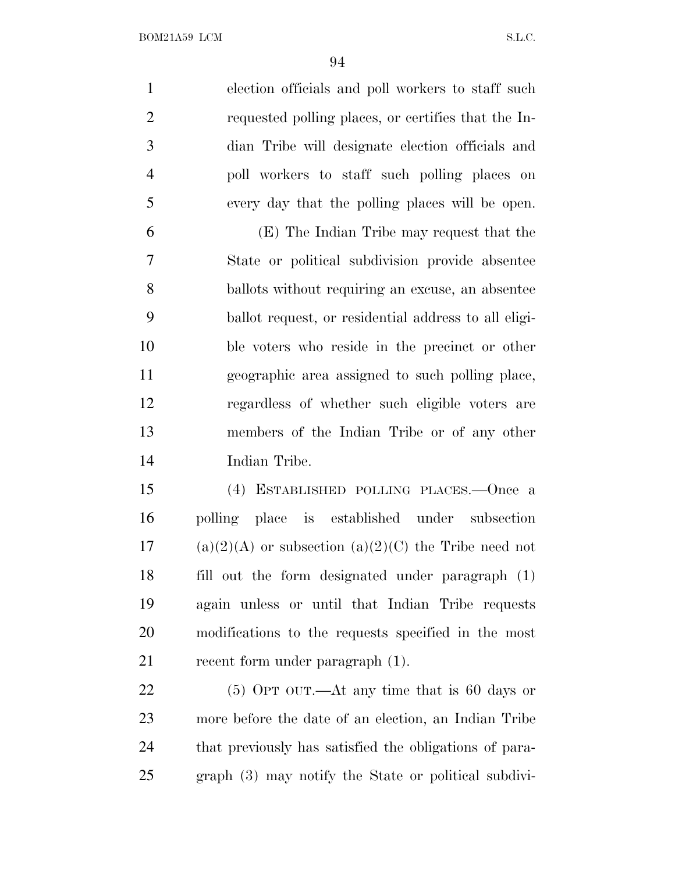election officials and poll workers to staff such requested polling places, or certifies that the In- dian Tribe will designate election officials and poll workers to staff such polling places on every day that the polling places will be open. (E) The Indian Tribe may request that the

 State or political subdivision provide absentee ballots without requiring an excuse, an absentee ballot request, or residential address to all eligi- ble voters who reside in the precinct or other geographic area assigned to such polling place, regardless of whether such eligible voters are members of the Indian Tribe or of any other Indian Tribe.

 (4) ESTABLISHED POLLING PLACES.—Once a polling place is established under subsection 17 (a)(2)(A) or subsection (a)(2)(C) the Tribe need not fill out the form designated under paragraph (1) again unless or until that Indian Tribe requests modifications to the requests specified in the most 21 recent form under paragraph  $(1)$ .

 (5) OPT OUT.—At any time that is 60 days or more before the date of an election, an Indian Tribe that previously has satisfied the obligations of para-graph (3) may notify the State or political subdivi-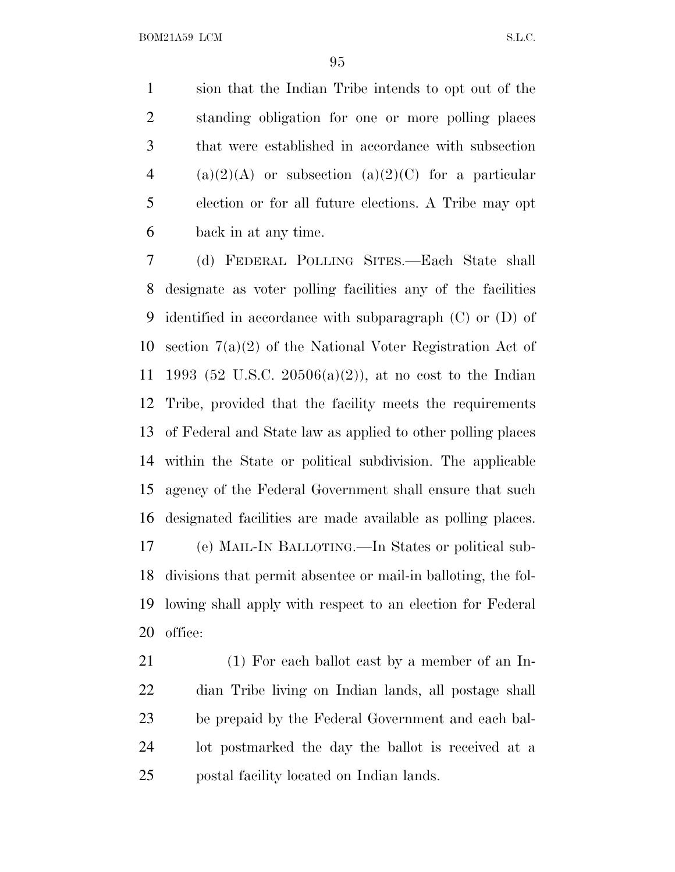sion that the Indian Tribe intends to opt out of the standing obligation for one or more polling places that were established in accordance with subsection 4 (a)(2)(A) or subsection (a)(2)(C) for a particular election or for all future elections. A Tribe may opt back in at any time.

 (d) FEDERAL POLLING SITES.—Each State shall designate as voter polling facilities any of the facilities identified in accordance with subparagraph (C) or (D) of section 7(a)(2) of the National Voter Registration Act of 1993 (52 U.S.C. 20506(a)(2)), at no cost to the Indian Tribe, provided that the facility meets the requirements of Federal and State law as applied to other polling places within the State or political subdivision. The applicable agency of the Federal Government shall ensure that such designated facilities are made available as polling places. (e) MAIL-I<sup>N</sup> BALLOTING.—In States or political sub- divisions that permit absentee or mail-in balloting, the fol- lowing shall apply with respect to an election for Federal office:

21 (1) For each ballot cast by a member of an In- dian Tribe living on Indian lands, all postage shall be prepaid by the Federal Government and each bal- lot postmarked the day the ballot is received at a postal facility located on Indian lands.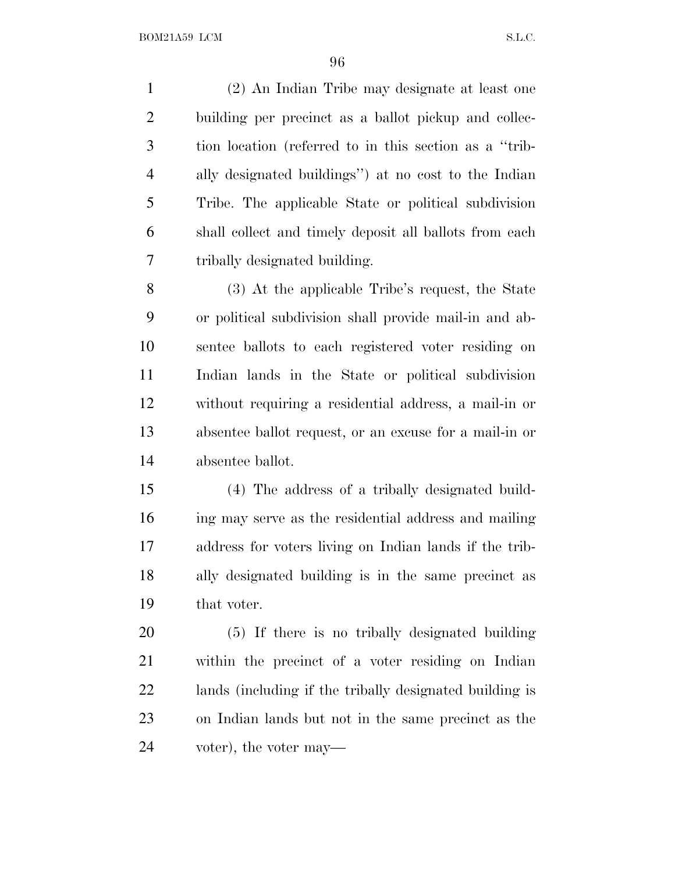(2) An Indian Tribe may designate at least one building per precinct as a ballot pickup and collec- tion location (referred to in this section as a ''trib- ally designated buildings'') at no cost to the Indian Tribe. The applicable State or political subdivision shall collect and timely deposit all ballots from each tribally designated building.

 (3) At the applicable Tribe's request, the State or political subdivision shall provide mail-in and ab- sentee ballots to each registered voter residing on Indian lands in the State or political subdivision without requiring a residential address, a mail-in or absentee ballot request, or an excuse for a mail-in or absentee ballot.

 (4) The address of a tribally designated build- ing may serve as the residential address and mailing address for voters living on Indian lands if the trib- ally designated building is in the same precinct as that voter.

 (5) If there is no tribally designated building within the precinct of a voter residing on Indian lands (including if the tribally designated building is on Indian lands but not in the same precinct as the voter), the voter may—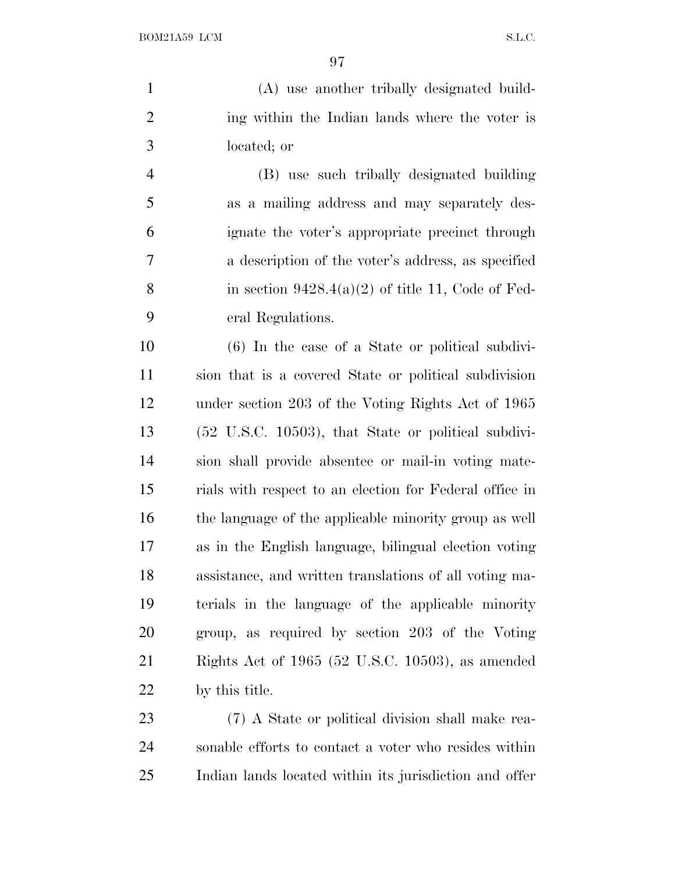(A) use another tribally designated build- ing within the Indian lands where the voter is located; or

 (B) use such tribally designated building as a mailing address and may separately des- ignate the voter's appropriate precinct through a description of the voter's address, as specified 8 in section  $9428.4(a)(2)$  of title 11, Code of Fed-eral Regulations.

 (6) In the case of a State or political subdivi- sion that is a covered State or political subdivision under section 203 of the Voting Rights Act of 1965 (52 U.S.C. 10503), that State or political subdivi- sion shall provide absentee or mail-in voting mate- rials with respect to an election for Federal office in the language of the applicable minority group as well as in the English language, bilingual election voting assistance, and written translations of all voting ma- terials in the language of the applicable minority group, as required by section 203 of the Voting Rights Act of 1965 (52 U.S.C. 10503), as amended by this title.

 (7) A State or political division shall make rea- sonable efforts to contact a voter who resides within Indian lands located within its jurisdiction and offer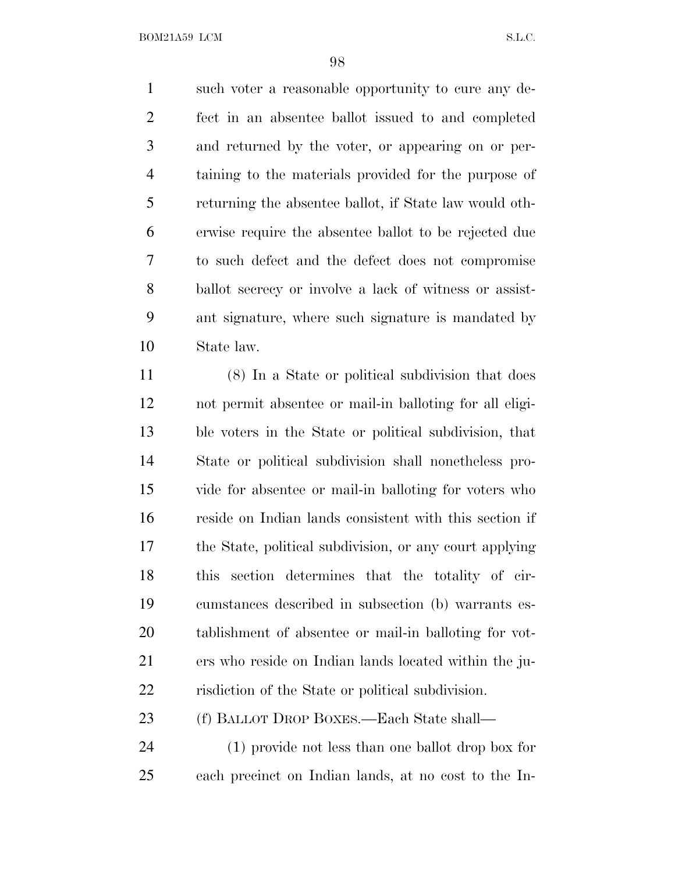BOM21A59 LCM S.L.C.

 such voter a reasonable opportunity to cure any de- fect in an absentee ballot issued to and completed and returned by the voter, or appearing on or per- taining to the materials provided for the purpose of returning the absentee ballot, if State law would oth- erwise require the absentee ballot to be rejected due to such defect and the defect does not compromise ballot secrecy or involve a lack of witness or assist- ant signature, where such signature is mandated by State law.

 (8) In a State or political subdivision that does not permit absentee or mail-in balloting for all eligi- ble voters in the State or political subdivision, that State or political subdivision shall nonetheless pro- vide for absentee or mail-in balloting for voters who reside on Indian lands consistent with this section if the State, political subdivision, or any court applying this section determines that the totality of cir- cumstances described in subsection (b) warrants es- tablishment of absentee or mail-in balloting for vot- ers who reside on Indian lands located within the ju-risdiction of the State or political subdivision.

(f) BALLOT DROP BOXES.—Each State shall—

 (1) provide not less than one ballot drop box for each precinct on Indian lands, at no cost to the In-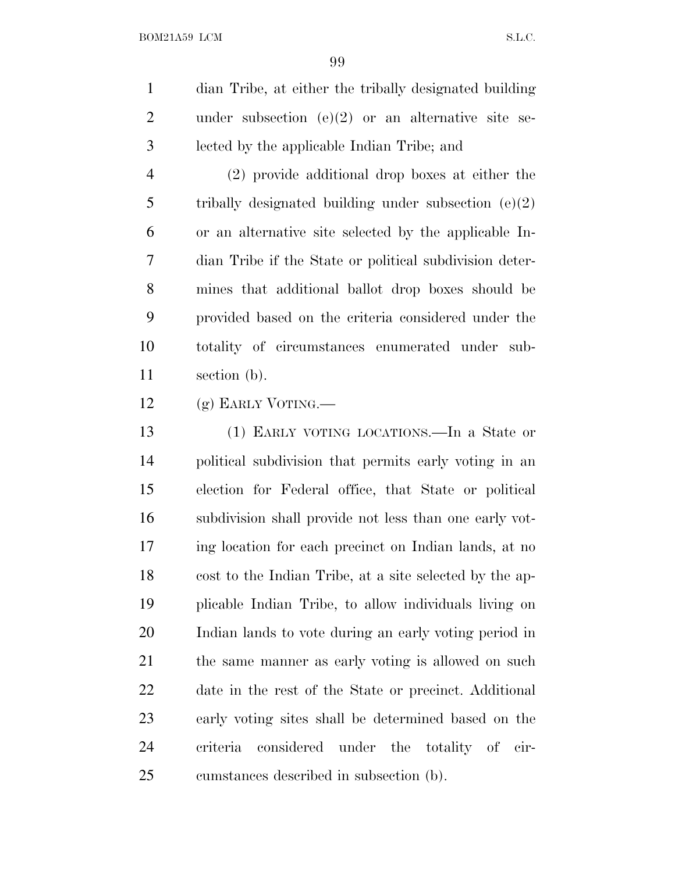dian Tribe, at either the tribally designated building under subsection (e)(2) or an alternative site se-lected by the applicable Indian Tribe; and

 (2) provide additional drop boxes at either the tribally designated building under subsection (e)(2) or an alternative site selected by the applicable In- dian Tribe if the State or political subdivision deter- mines that additional ballot drop boxes should be provided based on the criteria considered under the totality of circumstances enumerated under sub-section (b).

(g) EARLY VOTING.—

 (1) EARLY VOTING LOCATIONS.—In a State or political subdivision that permits early voting in an election for Federal office, that State or political subdivision shall provide not less than one early vot- ing location for each precinct on Indian lands, at no cost to the Indian Tribe, at a site selected by the ap- plicable Indian Tribe, to allow individuals living on Indian lands to vote during an early voting period in the same manner as early voting is allowed on such date in the rest of the State or precinct. Additional early voting sites shall be determined based on the criteria considered under the totality of cir-cumstances described in subsection (b).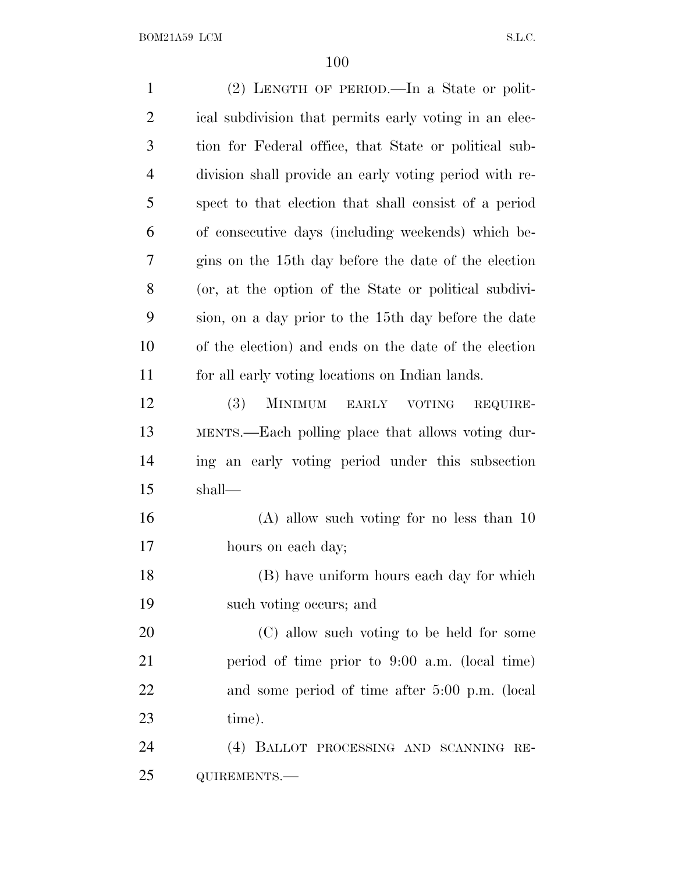(2) LENGTH OF PERIOD.—In a State or polit- ical subdivision that permits early voting in an elec- tion for Federal office, that State or political sub- division shall provide an early voting period with re- spect to that election that shall consist of a period of consecutive days (including weekends) which be- gins on the 15th day before the date of the election (or, at the option of the State or political subdivi- sion, on a day prior to the 15th day before the date of the election) and ends on the date of the election for all early voting locations on Indian lands. (3) MINIMUM EARLY VOTING REQUIRE- MENTS.—Each polling place that allows voting dur- ing an early voting period under this subsection shall— (A) allow such voting for no less than 10 hours on each day; (B) have uniform hours each day for which such voting occurs; and (C) allow such voting to be held for some period of time prior to 9:00 a.m. (local time) and some period of time after 5:00 p.m. (local time). (4) BALLOT PROCESSING AND SCANNING RE-QUIREMENTS.—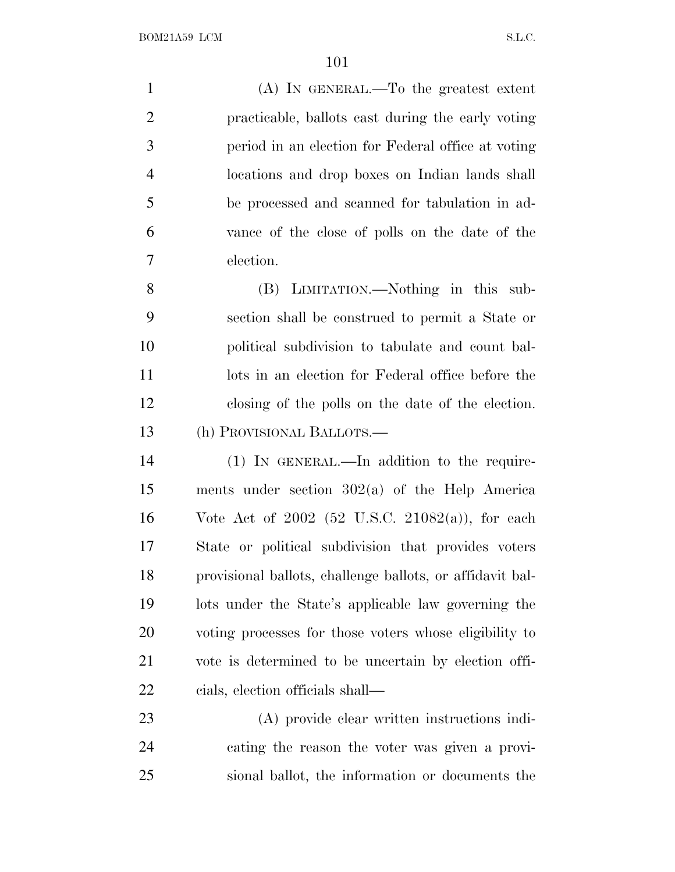| $\mathbf{1}$   | (A) IN GENERAL.—To the greatest extent              |
|----------------|-----------------------------------------------------|
| $\overline{2}$ | practicable, ballots cast during the early voting   |
| 3              | period in an election for Federal office at voting  |
| $\overline{4}$ | locations and drop boxes on Indian lands shall      |
| 5              | be processed and scanned for tabulation in ad-      |
| 6              | vance of the close of polls on the date of the      |
| $\tau$         | election.                                           |
| 8              | (B) LIMITATION.—Nothing in this sub-                |
| 9              | section shall be construed to permit a State or     |
| 10             | political subdivision to tabulate and count bal-    |
| 11             | lots in an election for Federal office before the   |
| 12             | closing of the polls on the date of the election.   |
| 13             | (h) PROVISIONAL BALLOTS.—                           |
| 14             | $(1)$ IN GENERAL.—In addition to the require-       |
| 15             | ments under section $302(a)$ of the Help America    |
| 16             | Vote Act of $2002$ (52 U.S.C. 21082(a)), for each   |
| 17             | State or political subdivision that provides voters |
|                |                                                     |

 provisional ballots, challenge ballots, or affidavit bal- lots under the State's applicable law governing the voting processes for those voters whose eligibility to vote is determined to be uncertain by election offi-cials, election officials shall—

 (A) provide clear written instructions indi- cating the reason the voter was given a provi-sional ballot, the information or documents the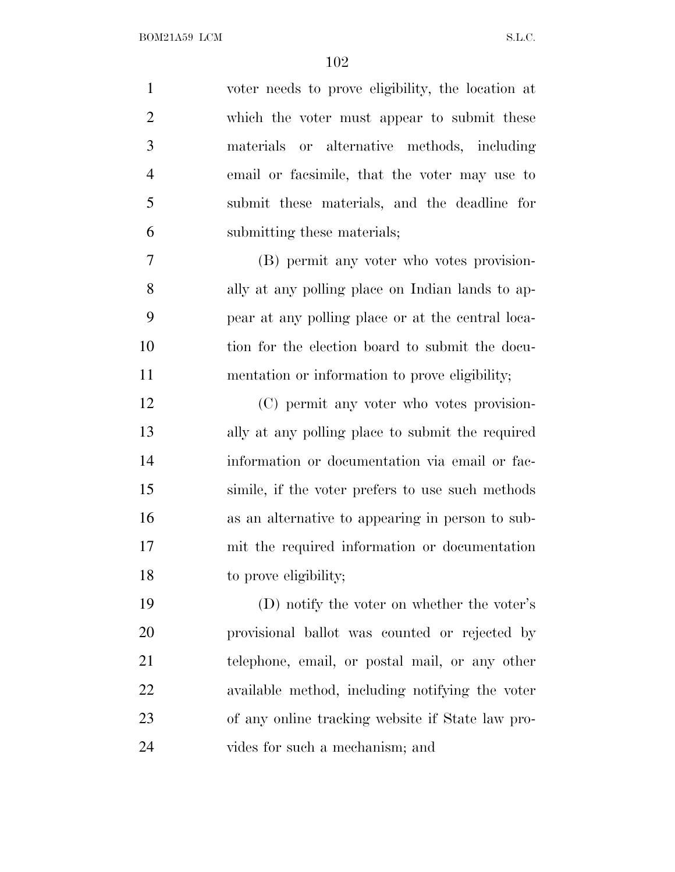| $\mathbf{1}$   | voter needs to prove eligibility, the location at |
|----------------|---------------------------------------------------|
| $\overline{2}$ | which the voter must appear to submit these       |
| 3              | materials or alternative methods, including       |
| $\overline{4}$ | email or facsimile, that the voter may use to     |
| 5              | submit these materials, and the deadline for      |
| 6              | submitting these materials;                       |
| 7              | (B) permit any voter who votes provision-         |
| 8              | ally at any polling place on Indian lands to ap-  |
| 9              | pear at any polling place or at the central loca- |
| 10             | tion for the election board to submit the docu-   |
| 11             | mentation or information to prove eligibility;    |
| 12             | (C) permit any voter who votes provision-         |
| 13             | ally at any polling place to submit the required  |
| 14             | information or documentation via email or fac-    |
| 15             | simile, if the voter prefers to use such methods  |
| 16             | as an alternative to appearing in person to sub-  |
| 17             | mit the required information or documentation     |
| 18             | to prove eligibility;                             |
| 19             | (D) notify the voter on whether the voter's       |
| 20             | provisional ballot was counted or rejected by     |
| 21             | telephone, email, or postal mail, or any other    |
| 22             | available method, including notifying the voter   |
| 23             | of any online tracking website if State law pro-  |
| 24             | vides for such a mechanism; and                   |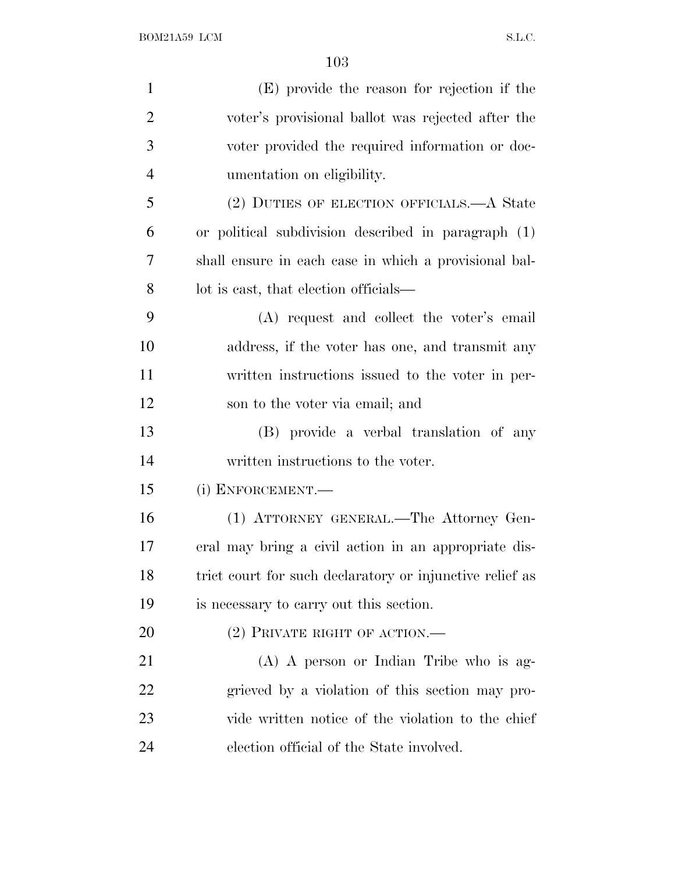| $\mathbf{1}$   | (E) provide the reason for rejection if the              |
|----------------|----------------------------------------------------------|
| $\overline{2}$ | voter's provisional ballot was rejected after the        |
| 3              | voter provided the required information or doc-          |
| $\overline{4}$ | umentation on eligibility.                               |
| 5              | (2) DUTIES OF ELECTION OFFICIALS.—A State                |
| 6              | or political subdivision described in paragraph (1)      |
| 7              | shall ensure in each case in which a provisional bal-    |
| 8              | lot is east, that election officials—                    |
| 9              | (A) request and collect the voter's email                |
| 10             | address, if the voter has one, and transmit any          |
| 11             | written instructions issued to the voter in per-         |
| 12             | son to the voter via email; and                          |
| 13             | (B) provide a verbal translation of any                  |
| 14             | written instructions to the voter.                       |
| 15             | (i) ENFORCEMENT.—                                        |
| 16             | (1) ATTORNEY GENERAL.—The Attorney Gen-                  |
| 17             | eral may bring a civil action in an appropriate dis-     |
| 18             | trict court for such declaratory or injunctive relief as |
| 19             | is necessary to carry out this section.                  |
| 20             | $(2)$ PRIVATE RIGHT OF ACTION.—                          |
| 21             | (A) A person or Indian Tribe who is ag-                  |
| 22             | grieved by a violation of this section may pro-          |
| 23             | vide written notice of the violation to the chief        |
| 24             | election official of the State involved.                 |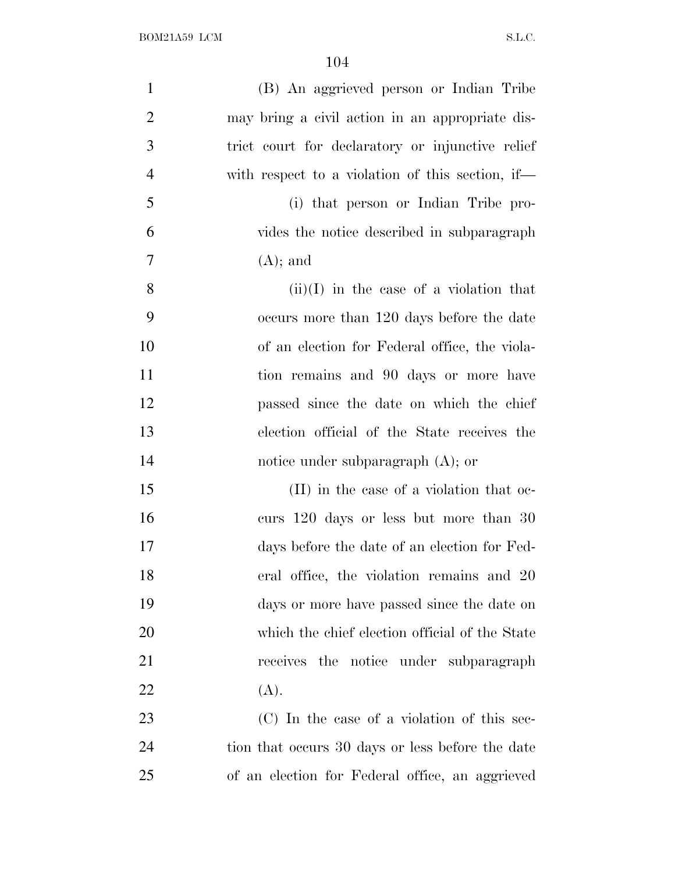| $\mathbf{1}$   | (B) An aggrieved person or Indian Tribe          |
|----------------|--------------------------------------------------|
| $\overline{2}$ | may bring a civil action in an appropriate dis-  |
| 3              | trict court for declaratory or injunctive relief |
| $\overline{4}$ | with respect to a violation of this section, if— |
| 5              | (i) that person or Indian Tribe pro-             |
| 6              | vides the notice described in subparagraph       |
| $\overline{7}$ | $(A)$ ; and                                      |
| 8              | $(ii)(I)$ in the case of a violation that        |
| 9              | occurs more than 120 days before the date        |
| 10             | of an election for Federal office, the viola-    |
| 11             | tion remains and 90 days or more have            |
| 12             | passed since the date on which the chief         |
| 13             | election official of the State receives the      |
| 14             | notice under subparagraph $(A)$ ; or             |
| 15             | (II) in the case of a violation that oc-         |
| 16             | curs 120 days or less but more than 30           |
| 17             | days before the date of an election for Fed-     |
| 18             | eral office, the violation remains and 20        |
| 19             | days or more have passed since the date on       |
| 20             | which the chief election official of the State   |
| 21             | receives the notice under subparagraph           |
| 22             | (A).                                             |
| 23             | (C) In the case of a violation of this sec-      |
| 24             | tion that occurs 30 days or less before the date |
| 25             | of an election for Federal office, an aggrieved  |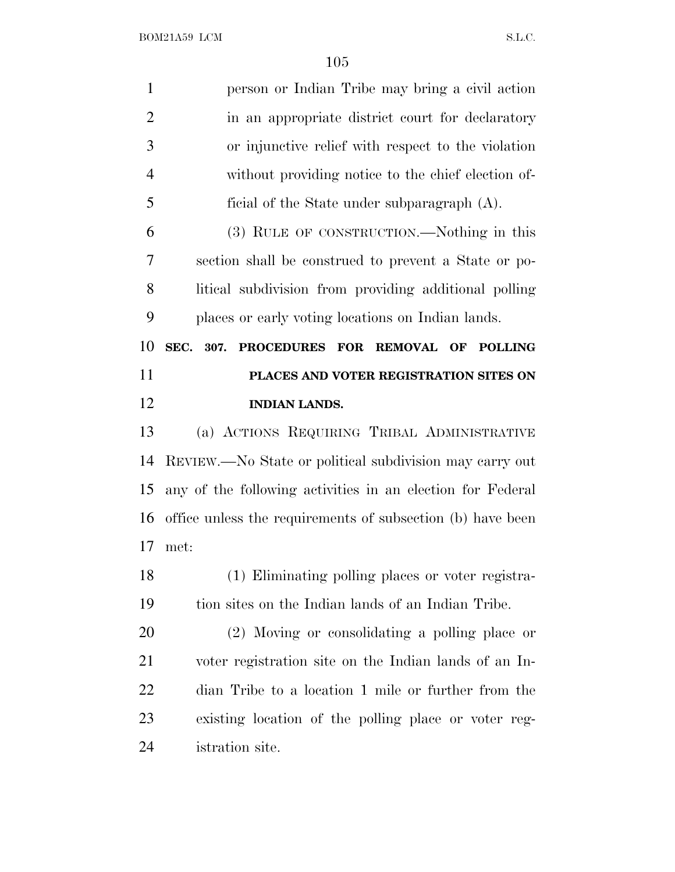| $\mathbf{1}$   | person or Indian Tribe may bring a civil action            |
|----------------|------------------------------------------------------------|
| $\overline{2}$ | in an appropriate district court for declaratory           |
| 3              | or injunctive relief with respect to the violation         |
| $\overline{4}$ | without providing notice to the chief election of-         |
| 5              | ficial of the State under subparagraph $(A)$ .             |
| 6              | (3) RULE OF CONSTRUCTION.—Nothing in this                  |
| 7              | section shall be construed to prevent a State or po-       |
| 8              | litical subdivision from providing additional polling      |
| 9              | places or early voting locations on Indian lands.          |
| 10             | PROCEDURES FOR REMOVAL OF POLLING<br>SEC. 307.             |
| 11             | PLACES AND VOTER REGISTRATION SITES ON                     |
| 12             | <b>INDIAN LANDS.</b>                                       |
| 13             | (a) ACTIONS REQUIRING TRIBAL ADMINISTRATIVE                |
| 14             | REVIEW.—No State or political subdivision may carry out    |
| 15             | any of the following activities in an election for Federal |
| 16             | office unless the requirements of subsection (b) have been |
| 17             | met:                                                       |
| 18             | (1) Eliminating polling places or voter registra-          |
| 19             | tion sites on the Indian lands of an Indian Tribe.         |
| <b>20</b>      | (2) Moving or consolidating a polling place or             |
| 21             | voter registration site on the Indian lands of an In-      |
| <u>22</u>      | dian Tribe to a location 1 mile or further from the        |
| 23             | existing location of the polling place or voter reg-       |
| 24             | istration site.                                            |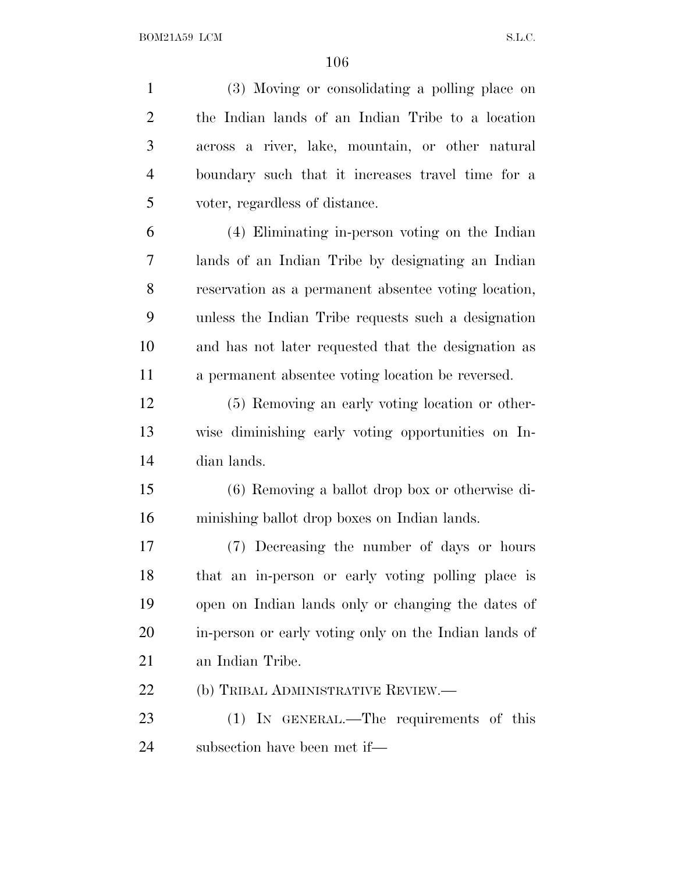(3) Moving or consolidating a polling place on the Indian lands of an Indian Tribe to a location across a river, lake, mountain, or other natural boundary such that it increases travel time for a voter, regardless of distance. (4) Eliminating in-person voting on the Indian lands of an Indian Tribe by designating an Indian reservation as a permanent absentee voting location, unless the Indian Tribe requests such a designation and has not later requested that the designation as a permanent absentee voting location be reversed. (5) Removing an early voting location or other- wise diminishing early voting opportunities on In- dian lands. (6) Removing a ballot drop box or otherwise di- minishing ballot drop boxes on Indian lands. (7) Decreasing the number of days or hours that an in-person or early voting polling place is open on Indian lands only or changing the dates of in-person or early voting only on the Indian lands of an Indian Tribe. 22 (b) TRIBAL ADMINISTRATIVE REVIEW.— 23 (1) IN GENERAL.—The requirements of this subsection have been met if—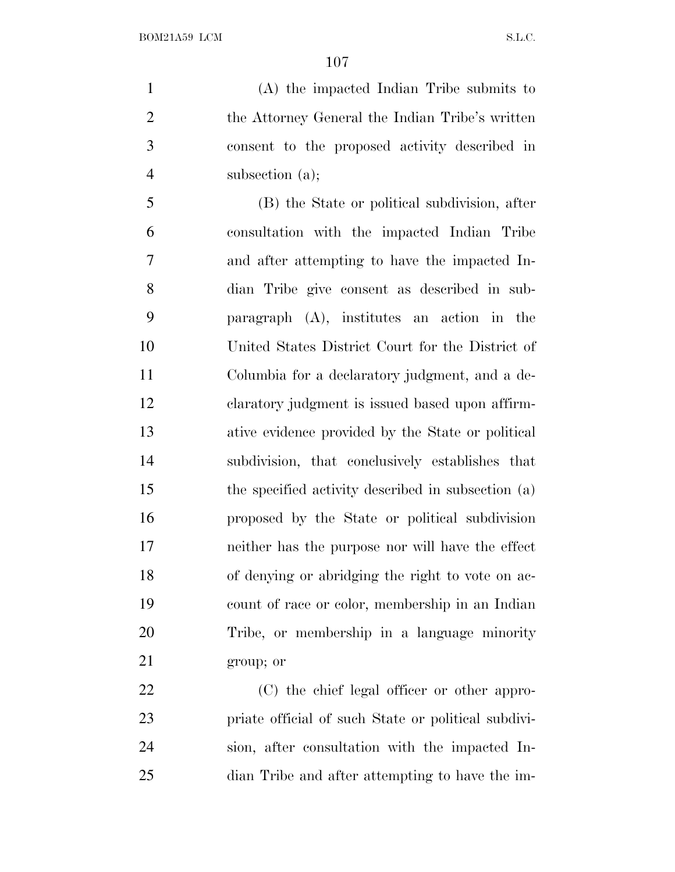(A) the impacted Indian Tribe submits to the Attorney General the Indian Tribe's written consent to the proposed activity described in subsection (a);

 (B) the State or political subdivision, after consultation with the impacted Indian Tribe and after attempting to have the impacted In- dian Tribe give consent as described in sub- paragraph (A), institutes an action in the United States District Court for the District of Columbia for a declaratory judgment, and a de- claratory judgment is issued based upon affirm- ative evidence provided by the State or political subdivision, that conclusively establishes that the specified activity described in subsection (a) proposed by the State or political subdivision neither has the purpose nor will have the effect of denying or abridging the right to vote on ac- count of race or color, membership in an Indian Tribe, or membership in a language minority group; or

 (C) the chief legal officer or other appro- priate official of such State or political subdivi- sion, after consultation with the impacted In-dian Tribe and after attempting to have the im-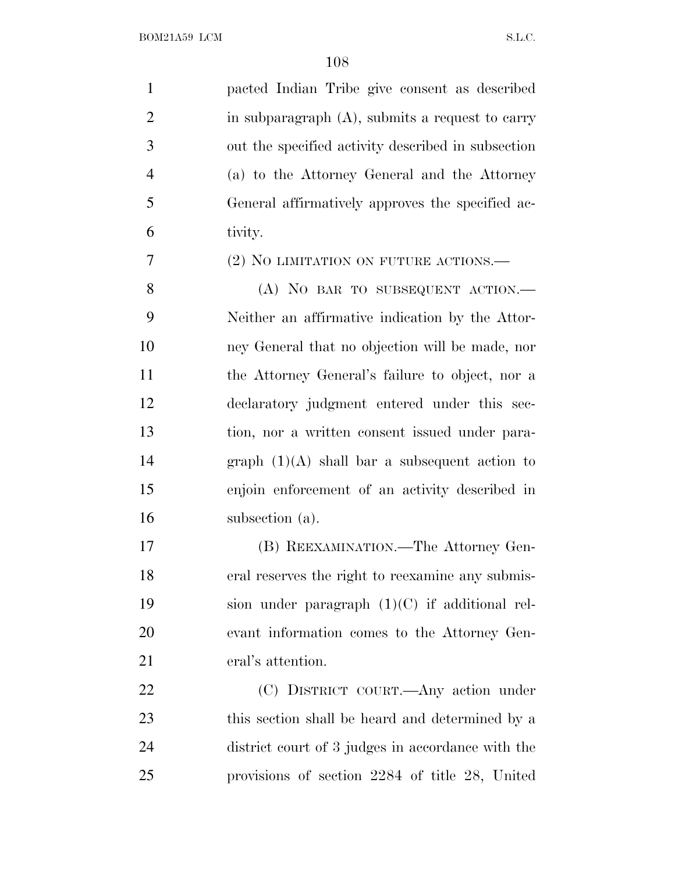| $\mathbf{1}$   | pacted Indian Tribe give consent as described      |
|----------------|----------------------------------------------------|
| $\overline{2}$ | in subparagraph $(A)$ , submits a request to carry |
| 3              | out the specified activity described in subsection |
| $\overline{4}$ | (a) to the Attorney General and the Attorney       |
| 5              | General affirmatively approves the specified ac-   |
| 6              | tivity.                                            |
| 7              | (2) NO LIMITATION ON FUTURE ACTIONS.—              |
| 8              | (A) NO BAR TO SUBSEQUENT ACTION.                   |
| 9              | Neither an affirmative indication by the Attor-    |
| 10             | ney General that no objection will be made, nor    |
| 11             | the Attorney General's failure to object, nor a    |
| 12             | declaratory judgment entered under this sec-       |
| 13             | tion, nor a written consent issued under para-     |
| 14             | graph $(1)(A)$ shall bar a subsequent action to    |
| 15             | enjoin enforcement of an activity described in     |
| 16             | subsection (a).                                    |
| 17             | (B) REEXAMINATION.—The Attorney Gen-               |
| 18             | eral reserves the right to reexamine any submis-   |
| 19             | sion under paragraph $(1)(C)$ if additional rel-   |
| 20             | evant information comes to the Attorney Gen-       |
| 21             | eral's attention.                                  |
| 22             | (C) DISTRICT COURT.—Any action under               |
| 23             | this section shall be heard and determined by a    |
| 24             | district court of 3 judges in accordance with the  |
| 25             | provisions of section 2284 of title 28, United     |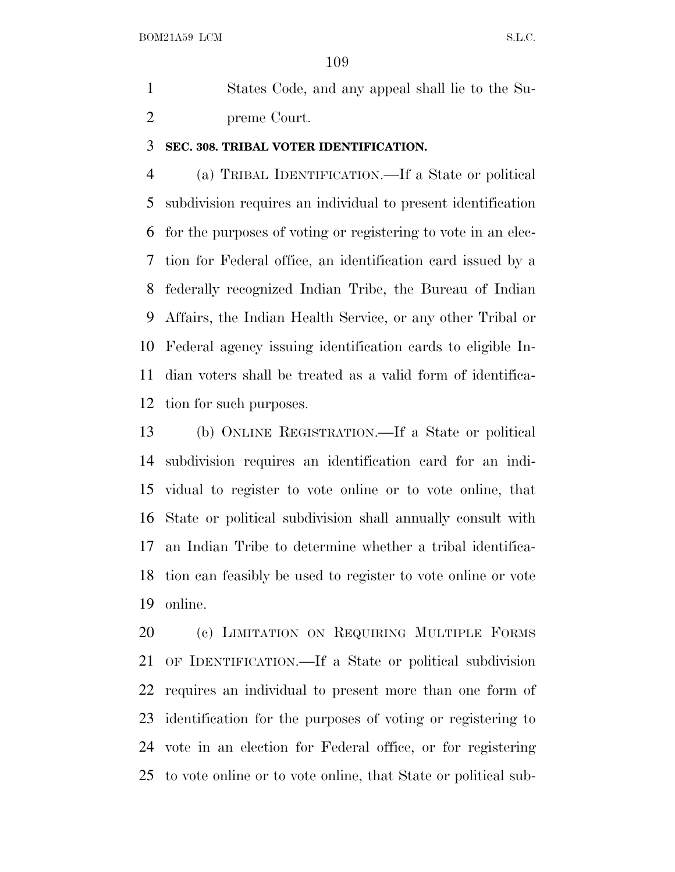States Code, and any appeal shall lie to the Su-preme Court.

#### **SEC. 308. TRIBAL VOTER IDENTIFICATION.**

 (a) TRIBAL IDENTIFICATION.—If a State or political subdivision requires an individual to present identification for the purposes of voting or registering to vote in an elec- tion for Federal office, an identification card issued by a federally recognized Indian Tribe, the Bureau of Indian Affairs, the Indian Health Service, or any other Tribal or Federal agency issuing identification cards to eligible In- dian voters shall be treated as a valid form of identifica-tion for such purposes.

 (b) ONLINE REGISTRATION.—If a State or political subdivision requires an identification card for an indi- vidual to register to vote online or to vote online, that State or political subdivision shall annually consult with an Indian Tribe to determine whether a tribal identifica- tion can feasibly be used to register to vote online or vote online.

 (c) LIMITATION ON REQUIRING MULTIPLE FORMS OF IDENTIFICATION.—If a State or political subdivision requires an individual to present more than one form of identification for the purposes of voting or registering to vote in an election for Federal office, or for registering to vote online or to vote online, that State or political sub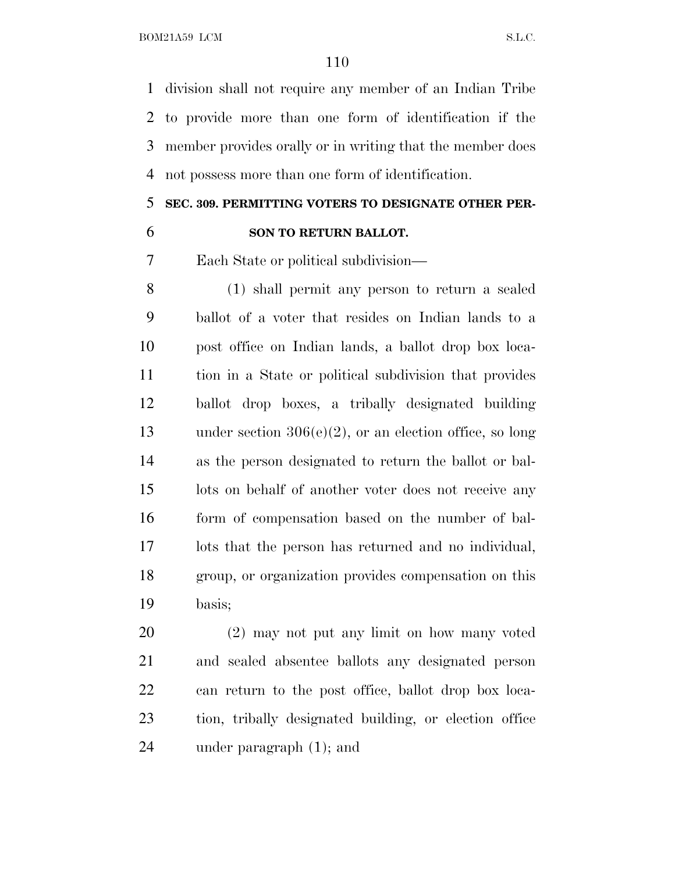BOM21A59 LCM S.L.C.

 division shall not require any member of an Indian Tribe to provide more than one form of identification if the member provides orally or in writing that the member does not possess more than one form of identification.

### **SEC. 309. PERMITTING VOTERS TO DESIGNATE OTHER PER-**

### **SON TO RETURN BALLOT.**

Each State or political subdivision—

 (1) shall permit any person to return a sealed ballot of a voter that resides on Indian lands to a post office on Indian lands, a ballot drop box loca- tion in a State or political subdivision that provides ballot drop boxes, a tribally designated building under section 306(e)(2), or an election office, so long as the person designated to return the ballot or bal- lots on behalf of another voter does not receive any form of compensation based on the number of bal- lots that the person has returned and no individual, group, or organization provides compensation on this basis;

 (2) may not put any limit on how many voted and sealed absentee ballots any designated person can return to the post office, ballot drop box loca- tion, tribally designated building, or election office under paragraph (1); and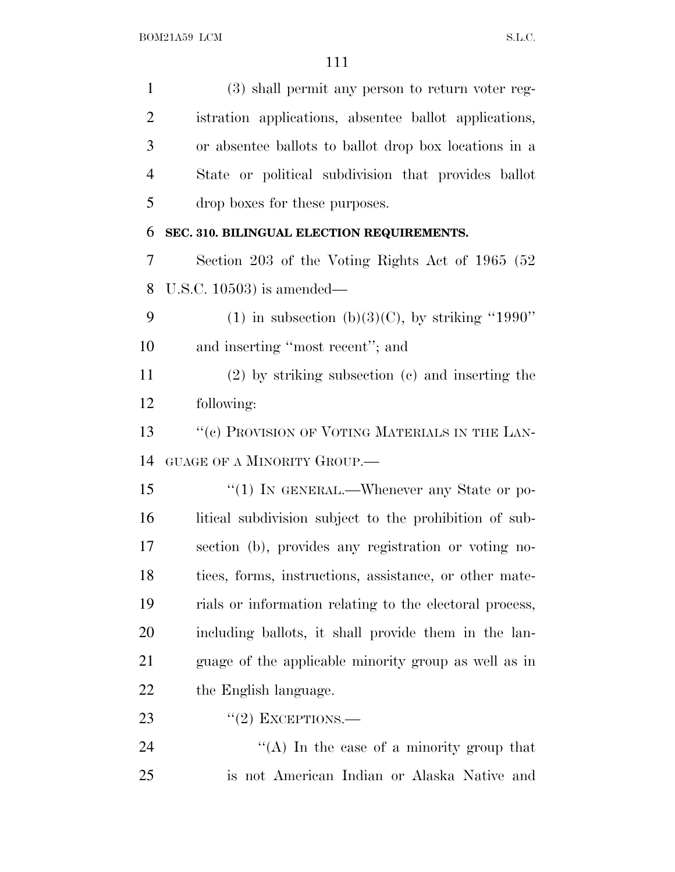(3) shall permit any person to return voter reg- istration applications, absentee ballot applications, or absentee ballots to ballot drop box locations in a State or political subdivision that provides ballot drop boxes for these purposes. **SEC. 310. BILINGUAL ELECTION REQUIREMENTS.** Section 203 of the Voting Rights Act of 1965 (52 U.S.C. 10503) is amended— 9 (1) in subsection (b)(3)(C), by striking "1990" and inserting ''most recent''; and (2) by striking subsection (c) and inserting the following: 13 ""(c) PROVISION OF VOTING MATERIALS IN THE LAN- GUAGE OF A MINORITY GROUP.— 15 "(1) IN GENERAL.—Whenever any State or po- litical subdivision subject to the prohibition of sub- section (b), provides any registration or voting no- tices, forms, instructions, assistance, or other mate- rials or information relating to the electoral process, including ballots, it shall provide them in the lan- guage of the applicable minority group as well as in 22 the English language.  $\frac{1}{2}$  EXCEPTIONS. 24 ''(A) In the case of a minority group that is not American Indian or Alaska Native and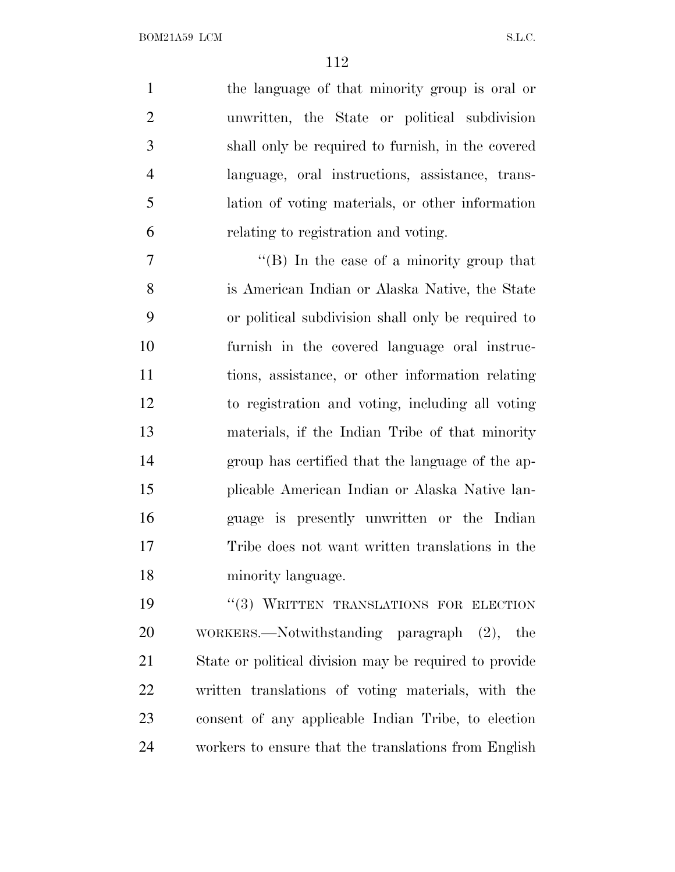the language of that minority group is oral or unwritten, the State or political subdivision shall only be required to furnish, in the covered language, oral instructions, assistance, trans- lation of voting materials, or other information relating to registration and voting.

 $''(B)$  In the case of a minority group that is American Indian or Alaska Native, the State or political subdivision shall only be required to furnish in the covered language oral instruc- tions, assistance, or other information relating to registration and voting, including all voting materials, if the Indian Tribe of that minority group has certified that the language of the ap- plicable American Indian or Alaska Native lan- guage is presently unwritten or the Indian Tribe does not want written translations in the minority language.

19 "(3) WRITTEN TRANSLATIONS FOR ELECTION WORKERS.—Notwithstanding paragraph (2), the State or political division may be required to provide written translations of voting materials, with the consent of any applicable Indian Tribe, to election workers to ensure that the translations from English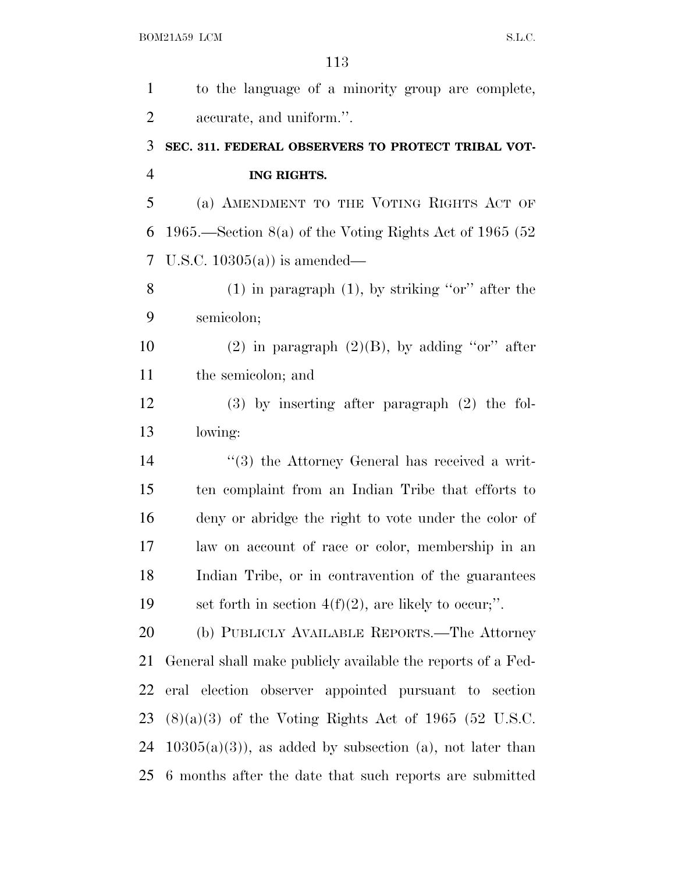| $\mathbf{1}$   | to the language of a minority group are complete,           |
|----------------|-------------------------------------------------------------|
| $\overline{2}$ | accurate, and uniform.".                                    |
| 3              | SEC. 311. FEDERAL OBSERVERS TO PROTECT TRIBAL VOT-          |
| $\overline{4}$ | ING RIGHTS.                                                 |
| 5              | (a) AMENDMENT TO THE VOTING RIGHTS ACT OF                   |
| 6              | 1965.—Section $8(a)$ of the Voting Rights Act of 1965 (52)  |
| 7              | U.S.C. $10305(a)$ is amended—                               |
| 8              | $(1)$ in paragraph $(1)$ , by striking "or" after the       |
| 9              | semicolon;                                                  |
| 10             | (2) in paragraph $(2)(B)$ , by adding "or" after            |
| 11             | the semicolon; and                                          |
| 12             | $(3)$ by inserting after paragraph $(2)$ the fol-           |
| 13             | lowing:                                                     |
| 14             | $\lq(3)$ the Attorney General has received a writ-          |
| 15             | ten complaint from an Indian Tribe that efforts to          |
| 16             | deny or abridge the right to vote under the color of        |
| 17             | law on account of race or color, membership in an           |
| 18             | Indian Tribe, or in contravention of the guarantees         |
| 19             | set forth in section $4(f)(2)$ , are likely to occur;".     |
| 20             | (b) PUBLICLY AVAILABLE REPORTS.—The Attorney                |
| 21             | General shall make publicly available the reports of a Fed- |
| 22             | eral election observer appointed pursuant to section        |
| 23             | $(8)(a)(3)$ of the Voting Rights Act of 1965 (52 U.S.C.     |
| 24             | $10305(a)(3)$ , as added by subsection (a), not later than  |
| 25             | 6 months after the date that such reports are submitted     |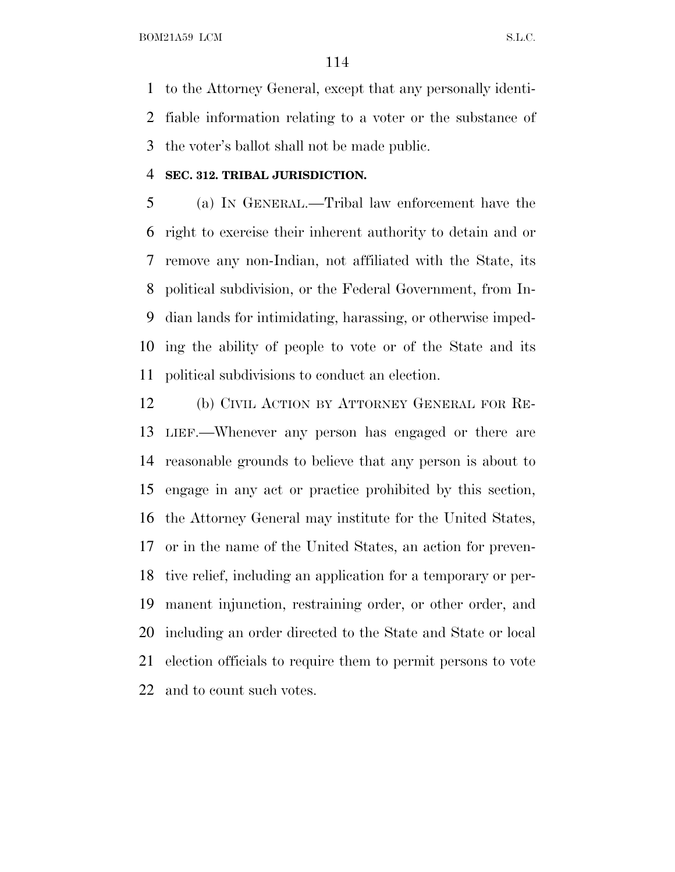to the Attorney General, except that any personally identi- fiable information relating to a voter or the substance of the voter's ballot shall not be made public.

#### **SEC. 312. TRIBAL JURISDICTION.**

 (a) I<sup>N</sup> GENERAL.—Tribal law enforcement have the right to exercise their inherent authority to detain and or remove any non-Indian, not affiliated with the State, its political subdivision, or the Federal Government, from In- dian lands for intimidating, harassing, or otherwise imped- ing the ability of people to vote or of the State and its political subdivisions to conduct an election.

 (b) CIVIL ACTION BY ATTORNEY GENERAL FOR RE- LIEF.—Whenever any person has engaged or there are reasonable grounds to believe that any person is about to engage in any act or practice prohibited by this section, the Attorney General may institute for the United States, or in the name of the United States, an action for preven- tive relief, including an application for a temporary or per- manent injunction, restraining order, or other order, and including an order directed to the State and State or local election officials to require them to permit persons to vote and to count such votes.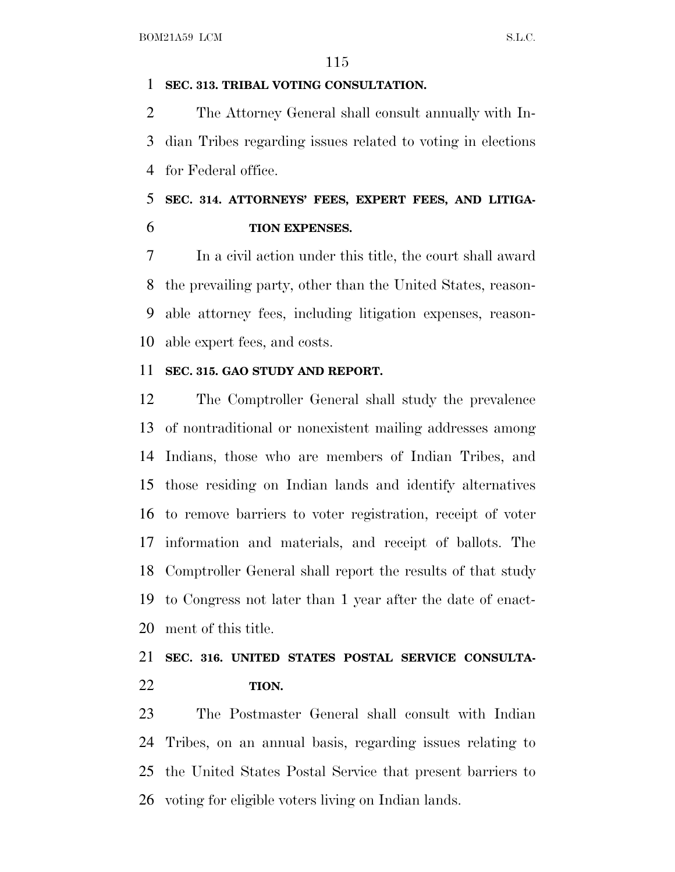### **SEC. 313. TRIBAL VOTING CONSULTATION.**

 The Attorney General shall consult annually with In- dian Tribes regarding issues related to voting in elections for Federal office.

## **SEC. 314. ATTORNEYS' FEES, EXPERT FEES, AND LITIGA-TION EXPENSES.**

 In a civil action under this title, the court shall award the prevailing party, other than the United States, reason- able attorney fees, including litigation expenses, reason-able expert fees, and costs.

#### **SEC. 315. GAO STUDY AND REPORT.**

 The Comptroller General shall study the prevalence of nontraditional or nonexistent mailing addresses among Indians, those who are members of Indian Tribes, and those residing on Indian lands and identify alternatives to remove barriers to voter registration, receipt of voter information and materials, and receipt of ballots. The Comptroller General shall report the results of that study to Congress not later than 1 year after the date of enact-ment of this title.

## **SEC. 316. UNITED STATES POSTAL SERVICE CONSULTA-TION.**

 The Postmaster General shall consult with Indian Tribes, on an annual basis, regarding issues relating to the United States Postal Service that present barriers to voting for eligible voters living on Indian lands.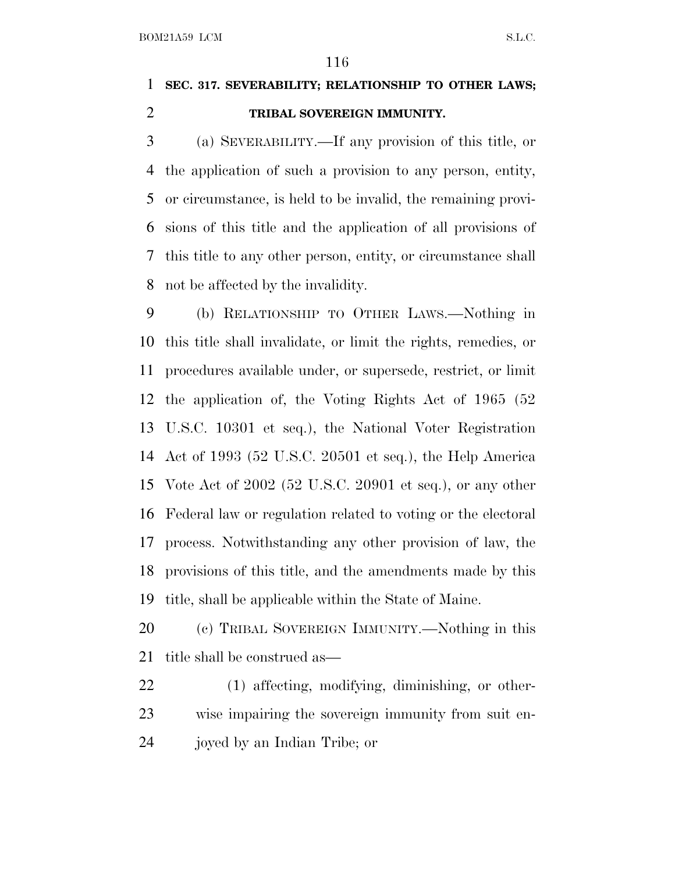# **SEC. 317. SEVERABILITY; RELATIONSHIP TO OTHER LAWS; TRIBAL SOVEREIGN IMMUNITY.**

 (a) SEVERABILITY.—If any provision of this title, or the application of such a provision to any person, entity, or circumstance, is held to be invalid, the remaining provi- sions of this title and the application of all provisions of this title to any other person, entity, or circumstance shall not be affected by the invalidity.

 (b) RELATIONSHIP TO OTHER LAWS.—Nothing in this title shall invalidate, or limit the rights, remedies, or procedures available under, or supersede, restrict, or limit the application of, the Voting Rights Act of 1965 (52 U.S.C. 10301 et seq.), the National Voter Registration Act of 1993 (52 U.S.C. 20501 et seq.), the Help America Vote Act of 2002 (52 U.S.C. 20901 et seq.), or any other Federal law or regulation related to voting or the electoral process. Notwithstanding any other provision of law, the provisions of this title, and the amendments made by this title, shall be applicable within the State of Maine.

 (c) TRIBAL SOVEREIGN IMMUNITY.—Nothing in this title shall be construed as—

 (1) affecting, modifying, diminishing, or other- wise impairing the sovereign immunity from suit en-joyed by an Indian Tribe; or